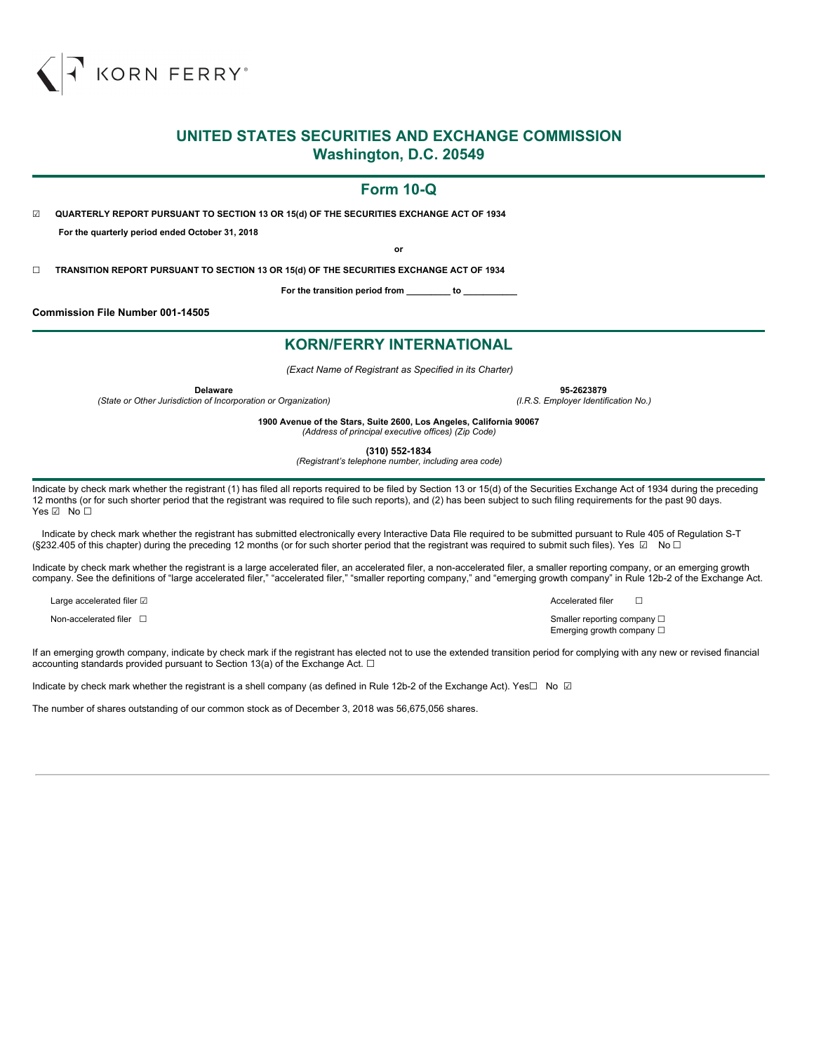

## **UNITED STATES SECURITIES AND EXCHANGE COMMISSION Washington, D.C. 20549**

## **Form 10-Q**

☑ **QUARTERLY REPORT PURSUANT TO SECTION 13 OR 15(d) OF THE SECURITIES EXCHANGE ACT OF 1934 For the quarterly period ended October 31, 2018**

**or**

☐ **TRANSITION REPORT PURSUANT TO SECTION 13 OR 15(d) OF THE SECURITIES EXCHANGE ACT OF 1934**

**For the transition period from \_\_\_\_\_\_\_\_\_ to \_\_\_\_\_\_\_\_\_\_\_**

**Commission File Number 001-14505**

## **KORN/FERRY INTERNATIONAL**

*(Exact Name of Registrant as Specified in its Charter)*

*(State or Other Jurisdiction of Incorporation or Organization) (I.R.S. Employer Identification No.)*

**Delaware 95-2623879**

**1900 Avenue of the Stars, Suite 2600, Los Angeles, California 90067** *(Address of principal executive offices) (Zip Code)*

**(310) 552-1834**

*(Registrant's telephone number, including area code)*

Indicate by check mark whether the registrant (1) has filed all reports required to be filed by Section 13 or 15(d) of the Securities Exchange Act of 1934 during the preceding 12 months (or for such shorter period that the registrant was required to file such reports), and (2) has been subject to such filing requirements for the past 90 days. Yes **<u></u>** No □

Indicate by check mark whether the registrant has submitted electronically every Interactive Data File required to be submitted pursuant to Rule 405 of Regulation S-T (§232.405 of this chapter) during the preceding 12 months (or for such shorter period that the registrant was required to submit such files). Yes ☑ No □

Indicate by check mark whether the registrant is a large accelerated filer, an accelerated filer, a non-accelerated filer, a smaller reporting company, or an emerging growth company. See the definitions of "large accelerated filer," "accelerated filer," "smaller reporting company," and "emerging growth company" in Rule 12b-2 of the Exchange Act.

Large accelerated filer ☑  $\Box$ 

Non-accelerated filer <del>□</del> smaller reporting company □

Emerging growth company □

If an emerging growth company, indicate by check mark if the registrant has elected not to use the extended transition period for complying with any new or revised financial accounting standards provided pursuant to Section 13(a) of the Exchange Act.  $\Box$ 

Indicate by check mark whether the registrant is a shell company (as defined in Rule 12b-2 of the Exchange Act). Yes□ No ☑

The number of shares outstanding of our common stock as of December 3, 2018 was 56,675,056 shares.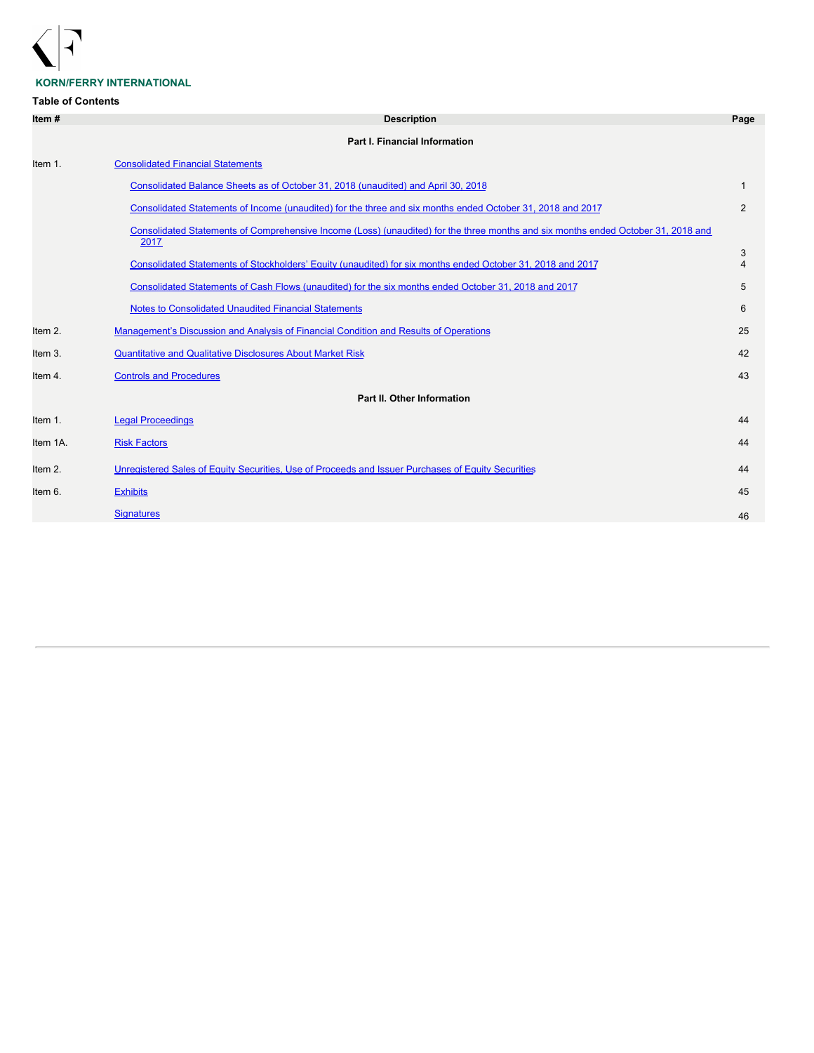

## **KORN/FERRY INTERNATIONAL**

## **Table of Contents**

| Item#    | <b>Description</b>                                                                                                                        | Page                |
|----------|-------------------------------------------------------------------------------------------------------------------------------------------|---------------------|
|          | <b>Part I. Financial Information</b>                                                                                                      |                     |
| Item 1.  | <b>Consolidated Financial Statements</b>                                                                                                  |                     |
|          | Consolidated Balance Sheets as of October 31, 2018 (unaudited) and April 30, 2018                                                         | 1                   |
|          | Consolidated Statements of Income (unaudited) for the three and six months ended October 31, 2018 and 2017                                | 2                   |
|          | Consolidated Statements of Comprehensive Income (Loss) (unaudited) for the three months and six months ended October 31, 2018 and<br>2017 |                     |
|          | Consolidated Statements of Stockholders' Equity (unaudited) for six months ended October 31, 2018 and 2017                                | 3<br>$\overline{4}$ |
|          | Consolidated Statements of Cash Flows (unaudited) for the six months ended October 31, 2018 and 2017                                      | 5                   |
|          | <b>Notes to Consolidated Unaudited Financial Statements</b>                                                                               | 6                   |
| Item 2.  | Management's Discussion and Analysis of Financial Condition and Results of Operations                                                     | 25                  |
| Item 3.  | <b>Quantitative and Qualitative Disclosures About Market Risk</b>                                                                         | 42                  |
| Item 4.  | <b>Controls and Procedures</b>                                                                                                            | 43                  |
|          | Part II. Other Information                                                                                                                |                     |
| Item 1.  | <b>Legal Proceedings</b>                                                                                                                  | 44                  |
| Item 1A. | <b>Risk Factors</b>                                                                                                                       | 44                  |
| Item 2.  | Unregistered Sales of Equity Securities, Use of Proceeds and Issuer Purchases of Equity Securities                                        | 44                  |
| Item 6.  | <b>Exhibits</b>                                                                                                                           | 45                  |
|          | <b>Signatures</b>                                                                                                                         | 46                  |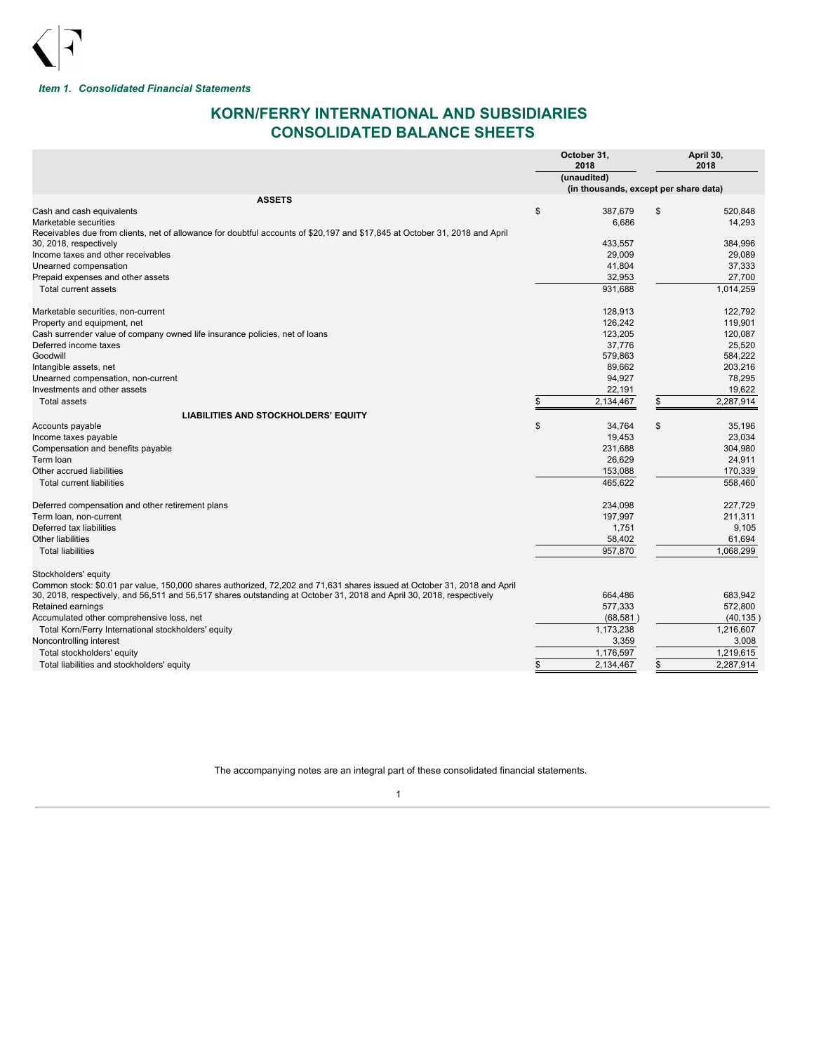

<span id="page-2-0"></span>*Item 1. Consolidated Financial Statements*

# <span id="page-2-1"></span>**KORN/FERRY INTERNATIONAL AND SUBSIDIARIES CONSOLIDATED BALANCE SHEETS**

|                                                                                                                             | October 31,<br>2018                   | April 30,<br>2018 |
|-----------------------------------------------------------------------------------------------------------------------------|---------------------------------------|-------------------|
|                                                                                                                             | (unaudited)                           |                   |
|                                                                                                                             | (in thousands, except per share data) |                   |
| <b>ASSETS</b>                                                                                                               |                                       |                   |
| Cash and cash equivalents                                                                                                   | \$<br>387,679                         | \$<br>520.848     |
| Marketable securities                                                                                                       | 6,686                                 | 14,293            |
| Receivables due from clients, net of allowance for doubtful accounts of \$20,197 and \$17,845 at October 31, 2018 and April |                                       |                   |
| 30, 2018, respectively                                                                                                      | 433,557                               | 384,996           |
| Income taxes and other receivables                                                                                          | 29,009                                | 29,089            |
| Unearned compensation                                                                                                       | 41,804                                | 37,333            |
| Prepaid expenses and other assets                                                                                           | 32,953                                | 27,700            |
| Total current assets                                                                                                        | 931.688                               | 1,014,259         |
| Marketable securities, non-current                                                                                          | 128,913                               | 122,792           |
| Property and equipment, net                                                                                                 | 126,242                               | 119,901           |
| Cash surrender value of company owned life insurance policies, net of loans                                                 | 123,205                               | 120,087           |
| Deferred income taxes                                                                                                       | 37,776                                | 25,520            |
| Goodwill                                                                                                                    | 579,863                               | 584,222           |
| Intangible assets, net                                                                                                      | 89,662                                | 203,216           |
| Unearned compensation, non-current                                                                                          | 94,927                                | 78.295            |
| Investments and other assets                                                                                                | 22,191                                | 19,622            |
| Total assets                                                                                                                | \$<br>2,134,467                       | \$<br>2,287,914   |
| <b>LIABILITIES AND STOCKHOLDERS' EQUITY</b>                                                                                 |                                       |                   |
| Accounts payable                                                                                                            | \$<br>34,764                          | \$<br>35,196      |
| Income taxes payable                                                                                                        | 19,453                                | 23,034            |
| Compensation and benefits payable                                                                                           | 231,688                               | 304,980           |
| Term loan                                                                                                                   | 26,629                                | 24,911            |
| Other accrued liabilities                                                                                                   | 153,088                               | 170,339           |
| <b>Total current liabilities</b>                                                                                            | 465.622                               | 558.460           |
| Deferred compensation and other retirement plans                                                                            | 234,098                               | 227,729           |
| Term loan, non-current                                                                                                      | 197,997                               | 211,311           |
| Deferred tax liabilities                                                                                                    | 1,751                                 | 9,105             |
| <b>Other liabilities</b>                                                                                                    | 58,402                                | 61.694            |
| <b>Total liabilities</b>                                                                                                    | 957,870                               | 1,068,299         |
| Stockholders' equity                                                                                                        |                                       |                   |
| Common stock: \$0.01 par value, 150,000 shares authorized, 72,202 and 71,631 shares issued at October 31, 2018 and April    |                                       |                   |
| 30, 2018, respectively, and 56,511 and 56,517 shares outstanding at October 31, 2018 and April 30, 2018, respectively       | 664.486                               | 683.942           |
| Retained earnings                                                                                                           | 577,333                               | 572,800           |
| Accumulated other comprehensive loss, net                                                                                   | (68, 581)                             | (40, 135)         |
| Total Korn/Ferry International stockholders' equity                                                                         | 1,173,238                             | 1,216,607         |
| Noncontrolling interest                                                                                                     | 3,359                                 | 3,008             |
| Total stockholders' equity                                                                                                  | 1,176,597                             | 1,219,615         |
| Total liabilities and stockholders' equity                                                                                  | 2,134,467                             | \$<br>2,287,914   |
|                                                                                                                             |                                       |                   |

The accompanying notes are an integral part of these consolidated financial statements.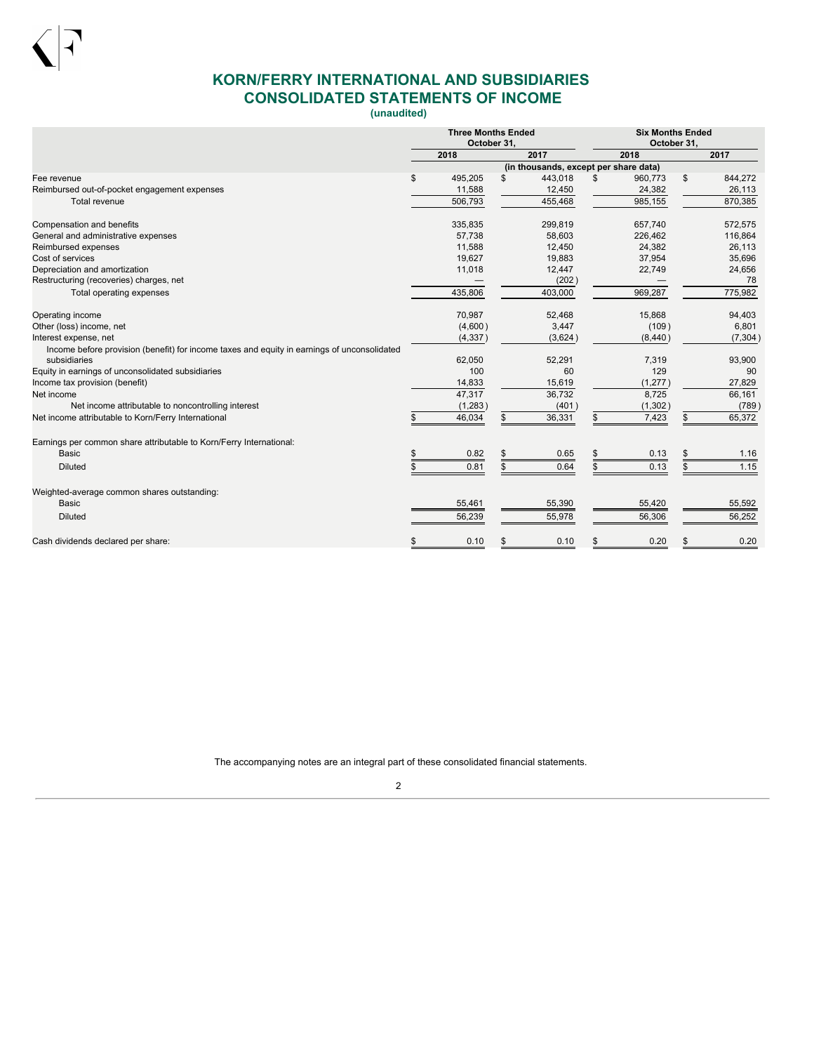

# <span id="page-3-0"></span>**KORN/FERRY INTERNATIONAL AND SUBSIDIARIES CONSOLIDATED STATEMENTS OF INCOME**

**(unaudited)**

|                                                                                             | <b>Three Months Ended</b><br>October 31.                                                                          |          |    |         |    | <b>Six Months Ended</b><br>October 31. |    |          |
|---------------------------------------------------------------------------------------------|-------------------------------------------------------------------------------------------------------------------|----------|----|---------|----|----------------------------------------|----|----------|
|                                                                                             | 2018<br>2018<br>2017<br>(in thousands, except per share data)<br>\$<br>495.205<br>443.018<br>\$<br>\$.<br>960,773 |          |    |         |    |                                        |    | 2017     |
|                                                                                             |                                                                                                                   |          |    |         |    |                                        |    |          |
| Fee revenue                                                                                 |                                                                                                                   |          |    |         |    |                                        | \$ | 844,272  |
| Reimbursed out-of-pocket engagement expenses                                                |                                                                                                                   | 11,588   |    | 12,450  |    | 24,382                                 |    | 26,113   |
| Total revenue                                                                               |                                                                                                                   | 506,793  |    | 455,468 |    | 985,155                                |    | 870,385  |
| Compensation and benefits                                                                   |                                                                                                                   | 335,835  |    | 299,819 |    | 657,740                                |    | 572,575  |
| General and administrative expenses                                                         |                                                                                                                   | 57,738   |    | 58,603  |    | 226,462                                |    | 116,864  |
| Reimbursed expenses                                                                         |                                                                                                                   | 11,588   |    | 12,450  |    | 24,382                                 |    | 26,113   |
| Cost of services                                                                            |                                                                                                                   | 19,627   |    | 19,883  |    | 37,954                                 |    | 35,696   |
| Depreciation and amortization                                                               |                                                                                                                   | 11,018   |    | 12,447  |    | 22,749                                 |    | 24,656   |
| Restructuring (recoveries) charges, net<br>Total operating expenses                         |                                                                                                                   |          |    | (202)   |    |                                        |    | 78       |
|                                                                                             |                                                                                                                   | 435,806  |    | 403,000 |    | 969,287                                |    | 775,982  |
| Operating income                                                                            |                                                                                                                   | 70,987   |    | 52,468  |    | 15,868                                 |    | 94,403   |
| Other (loss) income, net                                                                    |                                                                                                                   | (4,600)  |    | 3,447   |    | (109)                                  |    | 6,801    |
| Interest expense, net                                                                       |                                                                                                                   | (4, 337) |    | (3,624) |    | (8, 440)                               |    | (7, 304) |
| Income before provision (benefit) for income taxes and equity in earnings of unconsolidated |                                                                                                                   |          |    |         |    |                                        |    |          |
| subsidiaries                                                                                |                                                                                                                   | 62,050   |    | 52,291  |    | 7,319                                  |    | 93,900   |
| Equity in earnings of unconsolidated subsidiaries                                           |                                                                                                                   | 100      |    | 60      |    | 129                                    |    | 90       |
| Income tax provision (benefit)                                                              |                                                                                                                   | 14,833   |    | 15,619  |    | (1, 277)                               |    | 27,829   |
| Net income                                                                                  |                                                                                                                   | 47,317   |    | 36,732  |    | 8,725                                  |    | 66,161   |
| Net income attributable to noncontrolling interest                                          |                                                                                                                   | (1, 283) |    | (401)   |    | (1, 302)                               |    | (789)    |
| Net income attributable to Korn/Ferry International                                         |                                                                                                                   | 46,034   |    | 36,331  |    | 7,423                                  | \$ | 65,372   |
| Earnings per common share attributable to Korn/Ferry International:                         |                                                                                                                   |          |    |         |    |                                        |    |          |
| <b>Basic</b>                                                                                |                                                                                                                   | 0.82     |    | 0.65    |    | 0.13                                   |    | 1.16     |
| <b>Diluted</b>                                                                              |                                                                                                                   | 0.81     |    | 0.64    |    | 0.13                                   |    | 1.15     |
| Weighted-average common shares outstanding:                                                 |                                                                                                                   |          |    |         |    |                                        |    |          |
| <b>Basic</b>                                                                                |                                                                                                                   | 55,461   |    | 55,390  |    | 55,420                                 |    | 55,592   |
| <b>Diluted</b>                                                                              |                                                                                                                   | 56,239   |    | 55,978  |    | 56,306                                 |    | 56,252   |
|                                                                                             |                                                                                                                   |          |    |         |    |                                        |    |          |
| Cash dividends declared per share:                                                          | \$                                                                                                                | 0.10     | \$ | 0.10    | \$ | 0.20                                   | \$ | 0.20     |

The accompanying notes are an integral part of these consolidated financial statements.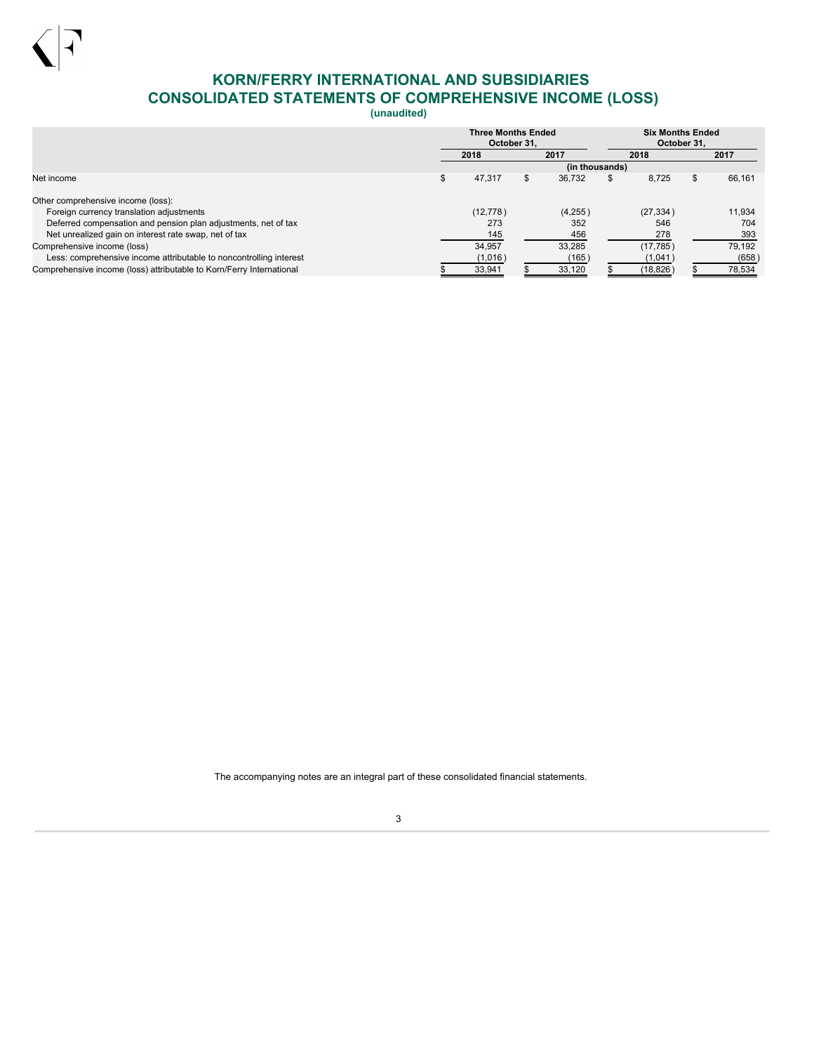

# <span id="page-4-0"></span>**KORN/FERRY INTERNATIONAL AND SUBSIDIARIES CONSOLIDATED STATEMENTS OF COMPREHENSIVE INCOME (LOSS)**

**(unaudited)**

|                                                                      | <b>Three Months Ended</b><br>October 31. |    |                |   |           | <b>Six Months Ended</b><br>October 31. |        |
|----------------------------------------------------------------------|------------------------------------------|----|----------------|---|-----------|----------------------------------------|--------|
|                                                                      | 2018                                     |    | 2017           |   | 2018      |                                        | 2017   |
|                                                                      |                                          |    | (in thousands) |   |           |                                        |        |
| Net income                                                           | 47,317                                   | S. | 36.732         | ъ | 8.725     | \$.                                    | 66,161 |
| Other comprehensive income (loss):                                   |                                          |    |                |   |           |                                        |        |
| Foreign currency translation adjustments                             | (12, 778)                                |    | (4,255)        |   | (27, 334) |                                        | 11.934 |
| Deferred compensation and pension plan adjustments, net of tax       | 273                                      |    | 352            |   | 546       |                                        | 704    |
| Net unrealized gain on interest rate swap, net of tax                | 145                                      |    | 456            |   | 278       |                                        | 393    |
| Comprehensive income (loss)                                          | 34.957                                   |    | 33.285         |   | (17, 785) |                                        | 79,192 |
| Less: comprehensive income attributable to noncontrolling interest   | (1,016)                                  |    | (165)          |   | (1,041)   |                                        | (658)  |
| Comprehensive income (loss) attributable to Korn/Ferry International | 33,941                                   |    | 33,120         |   | (18, 826) |                                        | 78,534 |

The accompanying notes are an integral part of these consolidated financial statements.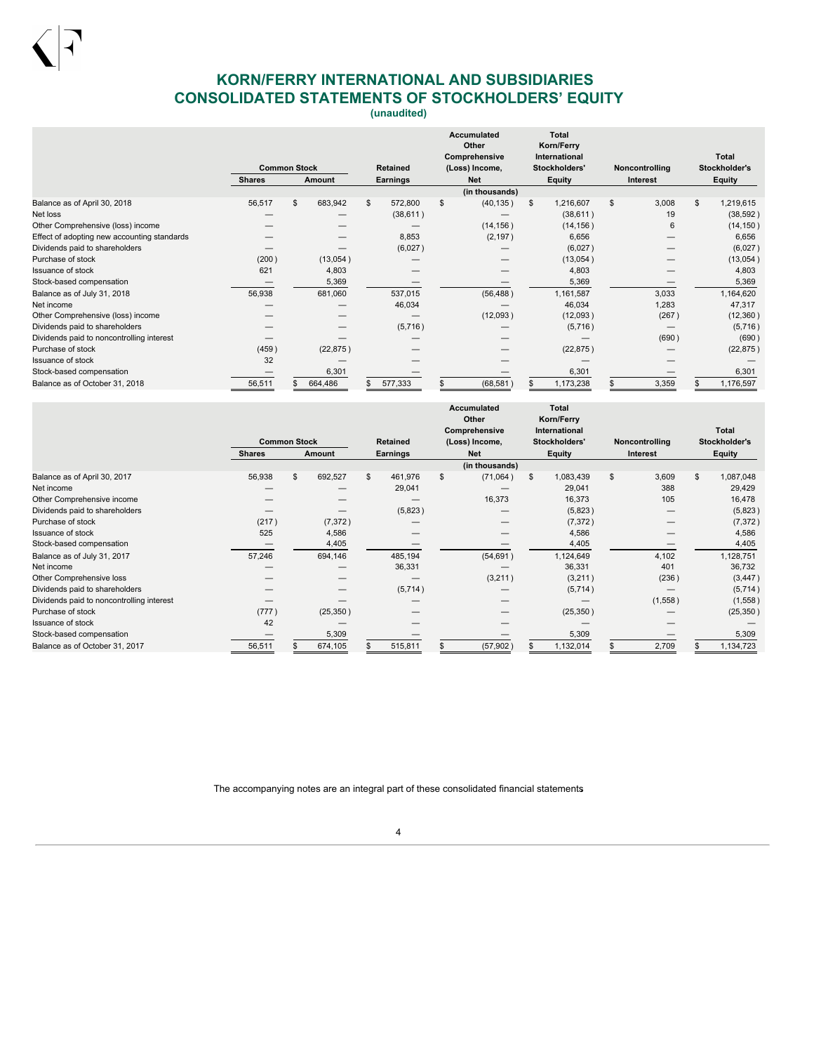

# <span id="page-5-0"></span>**KORN/FERRY INTERNATIONAL AND SUBSIDIARIES CONSOLIDATED STATEMENTS OF STOCKHOLDERS' EQUITY**

**(unaudited)**

|                                             |               |                               |           |          |                                 |     | Accumulated<br>Other           | <b>Total</b><br>Korn/Ferry |                 |    |            |                               |               |                 |  |
|---------------------------------------------|---------------|-------------------------------|-----------|----------|---------------------------------|-----|--------------------------------|----------------------------|-----------------|----|------------|-------------------------------|---------------|-----------------|--|
|                                             |               | <b>Common Stock</b><br>Amount |           | Retained | Comprehensive<br>(Loss) Income, |     | International<br>Stockholders' |                            | Noncontrolling  |    |            | <b>Total</b><br>Stockholder's |               |                 |  |
|                                             | <b>Shares</b> |                               |           |          |                                 |     |                                |                            | <b>Earnings</b> |    | <b>Net</b> |                               | <b>Equity</b> | <b>Interest</b> |  |
|                                             |               |                               |           |          |                                 |     | (in thousands)                 |                            |                 |    |            |                               |               |                 |  |
| Balance as of April 30, 2018                | 56,517        |                               | 683,942   | \$       | 572,800                         | \$. | (40, 135)                      | \$                         | 1,216,607       | \$ | 3,008      | \$.                           | 1,219,615     |                 |  |
| Net loss                                    |               |                               |           |          | (38, 611)                       |     |                                |                            | (38, 611)       |    | 19         |                               | (38, 592)     |                 |  |
| Other Comprehensive (loss) income           |               |                               |           |          |                                 |     | (14, 156)                      |                            | (14, 156)       |    | 6          |                               | (14, 150)     |                 |  |
| Effect of adopting new accounting standards |               |                               |           |          | 8,853                           |     | (2, 197)                       |                            | 6,656           |    |            |                               | 6,656         |                 |  |
| Dividends paid to shareholders              |               |                               |           |          | (6,027)                         |     |                                |                            | (6,027)         |    |            |                               | (6,027)       |                 |  |
| Purchase of stock                           | (200)         |                               | (13,054)  |          |                                 |     |                                |                            | (13,054)        |    |            |                               | (13,054)      |                 |  |
| <b>Issuance of stock</b>                    | 621           |                               | 4,803     |          |                                 |     |                                |                            | 4,803           |    |            |                               | 4,803         |                 |  |
| Stock-based compensation                    |               |                               | 5,369     |          |                                 |     |                                |                            | 5,369           |    |            |                               | 5,369         |                 |  |
| Balance as of July 31, 2018                 | 56,938        |                               | 681,060   |          | 537,015                         |     | (56, 488)                      |                            | 1,161,587       |    | 3,033      |                               | 1,164,620     |                 |  |
| Net income                                  |               |                               |           |          | 46,034                          |     |                                |                            | 46,034          |    | 1,283      |                               | 47,317        |                 |  |
| Other Comprehensive (loss) income           |               |                               |           |          |                                 |     | (12,093)                       |                            | (12,093)        |    | (267)      |                               | (12, 360)     |                 |  |
| Dividends paid to shareholders              |               |                               |           |          | (5,716)                         |     |                                |                            | (5,716)         |    |            |                               | (5,716)       |                 |  |
| Dividends paid to noncontrolling interest   |               |                               |           |          |                                 |     |                                |                            |                 |    | (690)      |                               | (690)         |                 |  |
| Purchase of stock                           | (459)         |                               | (22, 875) |          |                                 |     |                                |                            | (22, 875)       |    |            |                               | (22, 875)     |                 |  |
| <b>Issuance of stock</b>                    | 32            |                               |           |          |                                 |     |                                |                            |                 |    |            |                               |               |                 |  |
| Stock-based compensation                    |               |                               | 6,301     |          |                                 |     |                                |                            | 6,301           |    |            |                               | 6,301         |                 |  |
| Balance as of October 31, 2018              | 56,511        |                               | 664,486   |          | 577,333                         |     | (68, 581)                      |                            | 1,173,238       |    | 3,359      |                               | 1,176,597     |                 |  |

|                                           |        |                                                |           |    |         |                 | Accumulated<br>Other<br>Comprehensive |    | <b>Total</b><br>Korn/Ferry<br>International |    |                |    | Total     |               |               |
|-------------------------------------------|--------|------------------------------------------------|-----------|----|---------|-----------------|---------------------------------------|----|---------------------------------------------|----|----------------|----|-----------|---------------|---------------|
|                                           |        | <b>Common Stock</b><br><b>Shares</b><br>Amount |           |    |         | <b>Retained</b> | Stockholders'<br>(Loss) Income,       |    |                                             |    | Noncontrolling |    |           | Stockholder's |               |
|                                           |        |                                                |           |    |         |                 | Earnings                              |    | <b>Net</b>                                  |    | <b>Equity</b>  |    | Interest  |               | <b>Equity</b> |
|                                           |        |                                                |           |    |         |                 | (in thousands)                        |    |                                             |    |                |    |           |               |               |
| Balance as of April 30, 2017              | 56,938 | \$                                             | 692,527   | \$ | 461,976 | \$              | (71,064)                              | \$ | 1,083,439                                   | \$ | 3,609          | \$ | 1,087,048 |               |               |
| Net income                                |        |                                                |           |    | 29,041  |                 |                                       |    | 29,041                                      |    | 388            |    | 29,429    |               |               |
| Other Comprehensive income                |        |                                                |           |    |         |                 | 16,373                                |    | 16,373                                      |    | 105            |    | 16,478    |               |               |
| Dividends paid to shareholders            |        |                                                |           |    | (5,823) |                 |                                       |    | (5,823)                                     |    |                |    | (5,823)   |               |               |
| Purchase of stock                         | (217)  |                                                | (7, 372)  |    |         |                 |                                       |    | (7, 372)                                    |    |                |    | (7, 372)  |               |               |
| <b>Issuance of stock</b>                  | 525    |                                                | 4,586     |    |         |                 |                                       |    | 4,586                                       |    |                |    | 4,586     |               |               |
| Stock-based compensation                  |        |                                                | 4,405     |    |         |                 |                                       |    | 4,405                                       |    |                |    | 4,405     |               |               |
| Balance as of July 31, 2017               | 57,246 |                                                | 694,146   |    | 485,194 |                 | (54, 691)                             |    | 1,124,649                                   |    | 4,102          |    | 1,128,751 |               |               |
| Net income                                |        |                                                |           |    | 36,331  |                 |                                       |    | 36,331                                      |    | 401            |    | 36,732    |               |               |
| Other Comprehensive loss                  |        |                                                |           |    |         |                 | (3,211)                               |    | (3,211)                                     |    | (236)          |    | (3, 447)  |               |               |
| Dividends paid to shareholders            |        |                                                |           |    | (5,714) |                 |                                       |    | (5,714)                                     |    |                |    | (5,714)   |               |               |
| Dividends paid to noncontrolling interest |        |                                                |           |    |         |                 |                                       |    |                                             |    | (1,558)        |    | (1,558)   |               |               |
| Purchase of stock                         | (777)  |                                                | (25, 350) |    |         |                 |                                       |    | (25, 350)                                   |    |                |    | (25, 350) |               |               |
| Issuance of stock                         | 42     |                                                |           |    |         |                 |                                       |    |                                             |    |                |    |           |               |               |
| Stock-based compensation                  | –      |                                                | 5,309     |    |         |                 |                                       |    | 5,309                                       |    |                |    | 5,309     |               |               |
| Balance as of October 31, 2017            | 56,511 |                                                | 674,105   |    | 515,811 |                 | (57, 902)                             |    | 1,132,014                                   |    | 2,709          |    | 1,134,723 |               |               |

The accompanying notes are an integral part of these consolidated financial statements.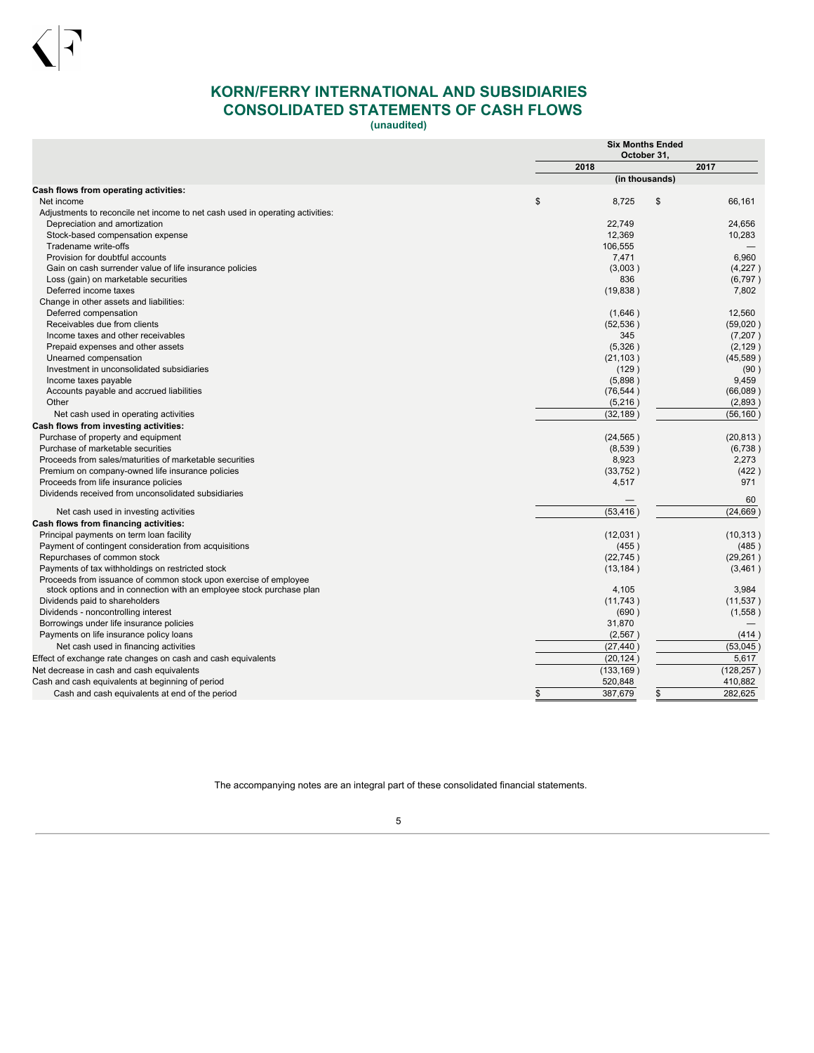

# <span id="page-6-0"></span>**KORN/FERRY INTERNATIONAL AND SUBSIDIARIES CONSOLIDATED STATEMENTS OF CASH FLOWS**

**(unaudited)**

|                                                                                                                                          | <b>Six Months Ended</b><br>October 31, |               |
|------------------------------------------------------------------------------------------------------------------------------------------|----------------------------------------|---------------|
|                                                                                                                                          | 2018                                   | 2017          |
|                                                                                                                                          | (in thousands)                         |               |
| Cash flows from operating activities:<br>Net income                                                                                      | \$<br>8.725                            | 66.161        |
|                                                                                                                                          |                                        | \$            |
| Adjustments to reconcile net income to net cash used in operating activities:<br>Depreciation and amortization                           | 22,749                                 | 24,656        |
| Stock-based compensation expense                                                                                                         | 12.369                                 | 10,283        |
| Tradename write-offs                                                                                                                     | 106,555                                |               |
| Provision for doubtful accounts                                                                                                          | 7,471                                  | 6,960         |
| Gain on cash surrender value of life insurance policies                                                                                  | (3,003)                                | (4,227)       |
| Loss (gain) on marketable securities                                                                                                     | 836                                    | (6,797)       |
| Deferred income taxes                                                                                                                    | (19, 838)                              | 7,802         |
| Change in other assets and liabilities:                                                                                                  |                                        |               |
| Deferred compensation                                                                                                                    | (1,646)                                | 12,560        |
| Receivables due from clients                                                                                                             | (52, 536)                              | (59,020)      |
| Income taxes and other receivables                                                                                                       | 345                                    | (7, 207)      |
| Prepaid expenses and other assets                                                                                                        | (5,326)                                | (2, 129)      |
| Unearned compensation                                                                                                                    | (21, 103)                              | (45, 589)     |
| Investment in unconsolidated subsidiaries                                                                                                | (129)                                  | (90)          |
| Income taxes payable                                                                                                                     | (5,898)                                | 9,459         |
| Accounts payable and accrued liabilities                                                                                                 | (76, 544)                              | (66,089)      |
| Other                                                                                                                                    | (5,216)                                | (2,893)       |
| Net cash used in operating activities                                                                                                    | (32, 189)                              | (56, 160)     |
| Cash flows from investing activities:                                                                                                    |                                        |               |
| Purchase of property and equipment                                                                                                       | (24, 565)                              | (20, 813)     |
| Purchase of marketable securities                                                                                                        | (8,539)                                | (6,738)       |
| Proceeds from sales/maturities of marketable securities                                                                                  | 8,923                                  | 2,273         |
| Premium on company-owned life insurance policies                                                                                         | (33, 752)                              | (422)         |
| Proceeds from life insurance policies                                                                                                    | 4,517                                  | 971           |
| Dividends received from unconsolidated subsidiaries                                                                                      |                                        |               |
|                                                                                                                                          |                                        | 60            |
| Net cash used in investing activities                                                                                                    | (53, 416)                              | (24, 669)     |
| <b>Cash flows from financing activities:</b>                                                                                             |                                        |               |
| Principal payments on term loan facility                                                                                                 | (12,031)                               | (10, 313)     |
| Payment of contingent consideration from acquisitions                                                                                    | (455)                                  | (485)         |
| Repurchases of common stock                                                                                                              | (22, 745)                              | (29, 261)     |
| Payments of tax withholdings on restricted stock                                                                                         | (13, 184)                              | (3,461)       |
| Proceeds from issuance of common stock upon exercise of employee<br>stock options and in connection with an employee stock purchase plan | 4,105                                  | 3,984         |
| Dividends paid to shareholders                                                                                                           | (11,743)                               | (11, 537)     |
| Dividends - noncontrolling interest                                                                                                      | (690)                                  | (1,558)       |
| Borrowings under life insurance policies                                                                                                 | 31,870                                 |               |
| Payments on life insurance policy loans                                                                                                  | (2, 567)                               | (414)         |
| Net cash used in financing activities                                                                                                    | (27, 440)                              | (53,045)      |
|                                                                                                                                          | (20, 124)                              | 5,617         |
| Effect of exchange rate changes on cash and cash equivalents<br>Net decrease in cash and cash equivalents                                | (133, 169)                             | (128, 257)    |
|                                                                                                                                          | 520,848                                | 410,882       |
| Cash and cash equivalents at beginning of period                                                                                         |                                        |               |
| Cash and cash equivalents at end of the period                                                                                           | \$<br>387,679                          | \$<br>282,625 |

The accompanying notes are an integral part of these consolidated financial statements.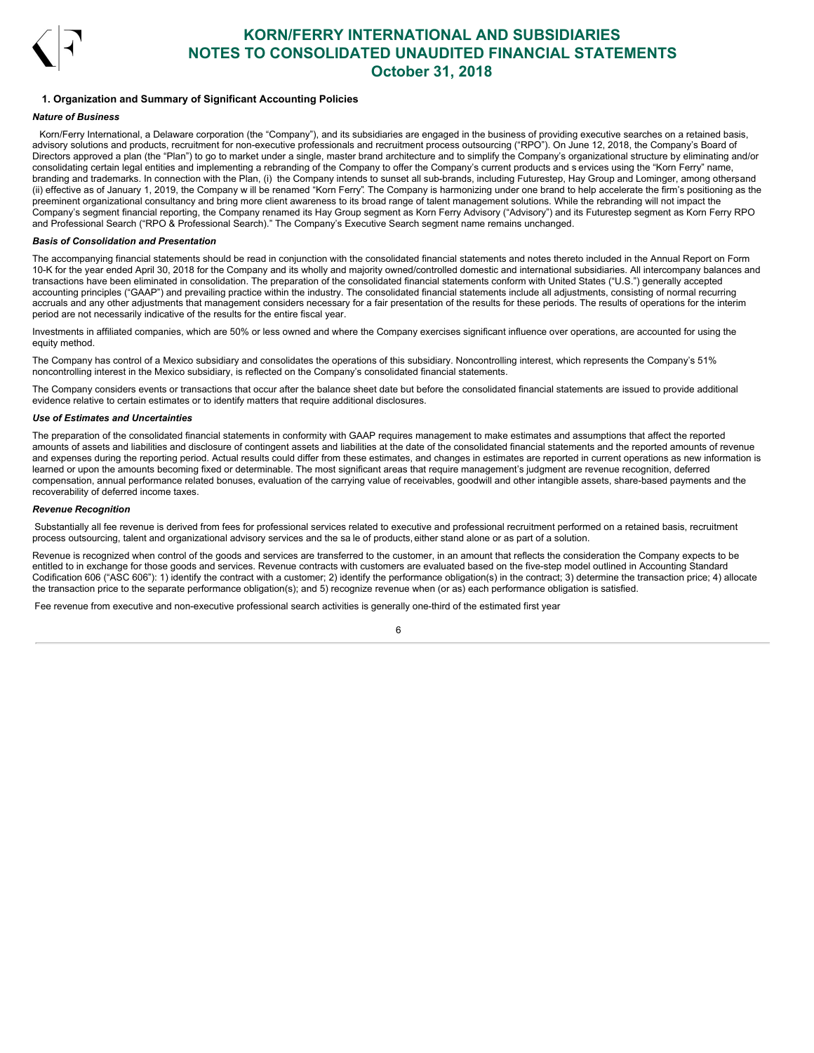

## <span id="page-7-0"></span>**1. Organization and Summary of Significant Accounting Policies**

## *Nature of Business*

Korn/Ferry International, a Delaware corporation (the "Company"), and its subsidiaries are engaged in the business of providing executive searches on a retained basis, advisory solutions and products, recruitment for non-executive professionals and recruitment process outsourcing ("RPO"). On June 12, 2018, the Company's Board of Directors approved a plan (the "Plan") to go to market under a single, master brand architecture and to simplify the Company's organizational structure by eliminating and/or consolidating certain legal entities and implementing a rebranding of the Company to offer the Company's current products and s ervices using the "Korn Ferry" name, branding and trademarks. In connection with the Plan, (i) the Company intends to sunset all sub-brands, including Futurestep, Hay Group and Lominger, among others and (ii) effective as of January 1, 2019, the Company w ill be renamed "Korn Ferry". The Company is harmonizing under one brand to help accelerate the firm's positioning as the preeminent organizational consultancy and bring more client awareness to its broad range of talent management solutions. While the rebranding will not impact the Company's segment financial reporting, the Company renamed its Hay Group segment as Korn Ferry Advisory ("Advisory") and its Futurestep segment as Korn Ferry RPO and Professional Search ("RPO & Professional Search)." The Company's Executive Search segment name remains unchanged.

### *Basis of Consolidation and Presentation*

The accompanying financial statements should be read in conjunction with the consolidated financial statements and notes thereto included in the Annual Report on Form 10-K for the year ended April 30, 2018 for the Company and its wholly and majority owned/controlled domestic and international subsidiaries. All intercompany balances and transactions have been eliminated in consolidation. The preparation of the consolidated financial statements conform with United States ("U.S.") generally accepted accounting principles ("GAAP") and prevailing practice within the industry. The consolidated financial statements include all adjustments, consisting of normal recurring accruals and any other adjustments that management considers necessary for a fair presentation of the results for these periods. The results of operations for the interim period are not necessarily indicative of the results for the entire fiscal year.

Investments in affiliated companies, which are 50% or less owned and where the Company exercises significant influence over operations, are accounted for using the equity method.

The Company has control of a Mexico subsidiary and consolidates the operations of this subsidiary. Noncontrolling interest, which represents the Company's 51% noncontrolling interest in the Mexico subsidiary, is reflected on the Company's consolidated financial statements.

The Company considers events or transactions that occur after the balance sheet date but before the consolidated financial statements are issued to provide additional evidence relative to certain estimates or to identify matters that require additional disclosures.

### *Use of Estimates and Uncertainties*

The preparation of the consolidated financial statements in conformity with GAAP requires management to make estimates and assumptions that affect the reported amounts of assets and liabilities and disclosure of contingent assets and liabilities at the date of the consolidated financial statements and the reported amounts of revenue and expenses during the reporting period. Actual results could differ from these estimates, and changes in estimates are reported in current operations as new information is learned or upon the amounts becoming fixed or determinable. The most significant areas that require management's judgment are revenue recognition, deferred compensation, annual performance related bonuses, evaluation of the carrying value of receivables, goodwill and other intangible assets, share-based payments and the recoverability of deferred income taxes.

### *Revenue Recognition*

Substantially all fee revenue is derived from fees for professional services related to executive and professional recruitment performed on a retained basis, recruitment process outsourcing, talent and organizational advisory services and the sa le of products, either stand alone or as part of a solution.

Revenue is recognized when control of the goods and services are transferred to the customer, in an amount that reflects the consideration the Company expects to be entitled to in exchange for those goods and services. Revenue contracts with customers are evaluated based on the five-step model outlined in Accounting Standard Codification 606 ("ASC 606"): 1) identify the contract with a customer; 2) identify the performance obligation(s) in the contract; 3) determine the transaction price; 4) allocate the transaction price to the separate performance obligation(s); and 5) recognize revenue when (or as) each performance obligation is satisfied.

Fee revenue from executive and non-executive professional search activities is generally one-third of the estimated first year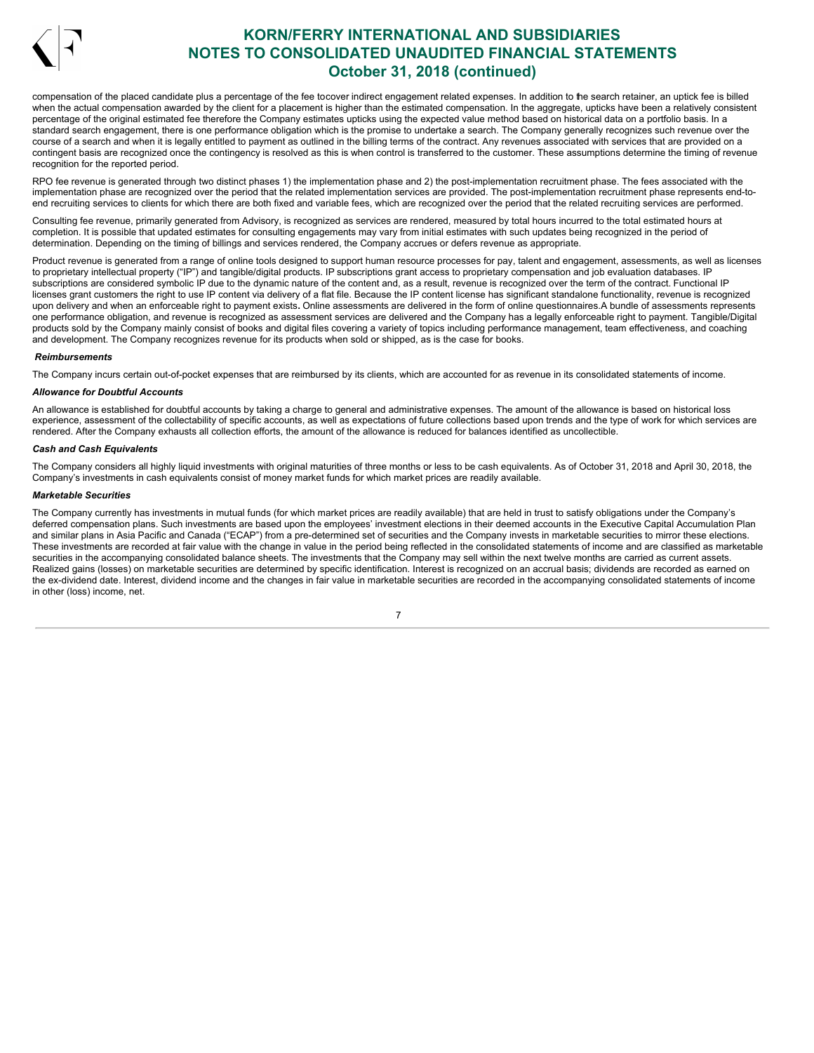

compensation of the placed candidate plus a percentage of the fee tocover indirect engagement related expenses. In addition to the search retainer, an uptick fee is billed when the actual compensation awarded by the client for a placement is higher than the estimated compensation. In the aggregate, upticks have been a relatively consistent percentage of the original estimated fee therefore the Company estimates upticks using the expected value method based on historical data on a portfolio basis. In a standard search engagement, there is one performance obligation which is the promise to undertake a search. The Company generally recognizes such revenue over the course of a search and when it is legally entitled to payment as outlined in the billing terms of the contract. Any revenues associated with services that are provided on a contingent basis are recognized once the contingency is resolved as this is when control is transferred to the customer. These assumptions determine the timing of revenue recognition for the reported period.

RPO fee revenue is generated through two distinct phases 1) the implementation phase and 2) the post-implementation recruitment phase. The fees associated with the implementation phase are recognized over the period that the related implementation services are provided. The post-implementation recruitment phase represents end-toend recruiting services to clients for which there are both fixed and variable fees, which are recognized over the period that the related recruiting services are performed.

Consulting fee revenue, primarily generated from Advisory, is recognized as services are rendered, measured by total hours incurred to the total estimated hours at completion. It is possible that updated estimates for consulting engagements may vary from initial estimates with such updates being recognized in the period of determination. Depending on the timing of billings and services rendered, the Company accrues or defers revenue as appropriate.

Product revenue is generated from a range of online tools designed to support human resource processes for pay, talent and engagement, assessments, as well as licenses to proprietary intellectual property ("IP") and tangible/digital products. IP subscriptions grant access to proprietary compensation and job evaluation databases. IP subscriptions are considered symbolic IP due to the dynamic nature of the content and, as a result, revenue is recognized over the term of the contract. Functional IP licenses grant customers the right to use IP content via delivery of a flat file. Because the IP content license has significant standalone functionality, revenue is recognized upon delivery and when an enforceable right to payment exists. Online assessments are delivered in the form of online questionnaires.A bundle of assessments represents one performance obligation, and revenue is recognized as assessment services are delivered and the Company has a legally enforceable right to payment. Tangible/Digital products sold by the Company mainly consist of books and digital files covering a variety of topics including performance management, team effectiveness, and coaching and development. The Company recognizes revenue for its products when sold or shipped, as is the case for books.

### *Reimbursements*

The Company incurs certain out-of-pocket expenses that are reimbursed by its clients, which are accounted for as revenue in its consolidated statements of income.

#### *Allowance for Doubtful Accounts*

An allowance is established for doubtful accounts by taking a charge to general and administrative expenses. The amount of the allowance is based on historical loss experience, assessment of the collectability of specific accounts, as well as expectations of future collections based upon trends and the type of work for which services are rendered. After the Company exhausts all collection efforts, the amount of the allowance is reduced for balances identified as uncollectible.

#### *Cash and Cash Equivalents*

The Company considers all highly liquid investments with original maturities of three months or less to be cash equivalents. As of October 31, 2018 and April 30, 2018, the Company's investments in cash equivalents consist of money market funds for which market prices are readily available.

### *Marketable Securities*

The Company currently has investments in mutual funds (for which market prices are readily available) that are held in trust to satisfy obligations under the Company's deferred compensation plans. Such investments are based upon the employees' investment elections in their deemed accounts in the Executive Capital Accumulation Plan and similar plans in Asia Pacific and Canada ("ECAP") from a pre-determined set of securities and the Company invests in marketable securities to mirror these elections. These investments are recorded at fair value with the change in value in the period being reflected in the consolidated statements of income and are classified as marketable securities in the accompanying consolidated balance sheets. The investments that the Company may sell within the next twelve months are carried as current assets. Realized gains (losses) on marketable securities are determined by specific identification. Interest is recognized on an accrual basis; dividends are recorded as earned on the ex-dividend date. Interest, dividend income and the changes in fair value in marketable securities are recorded in the accompanying consolidated statements of income in other (loss) income, net.

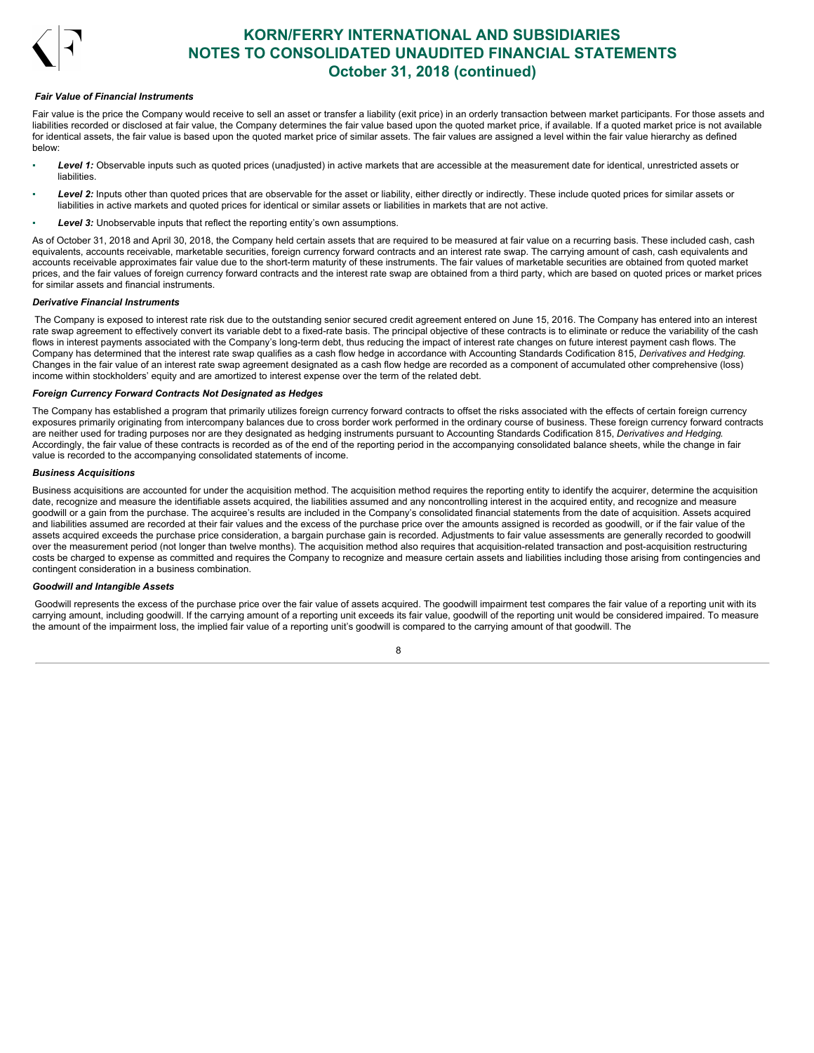

### *Fair Value of Financial Instruments*

Fair value is the price the Company would receive to sell an asset or transfer a liability (exit price) in an orderly transaction between market participants. For those assets and liabilities recorded or disclosed at fair value, the Company determines the fair value based upon the quoted market price, if available. If a quoted market price is not available for identical assets, the fair value is based upon the quoted market price of similar assets. The fair values are assigned a level within the fair value hierarchy as defined below:

- Level 1: Observable inputs such as quoted prices (unadjusted) in active markets that are accessible at the measurement date for identical, unrestricted assets or liabilities.
- Level 2: Inputs other than quoted prices that are observable for the asset or liability, either directly or indirectly. These include quoted prices for similar assets or liabilities in active markets and quoted prices for identical or similar assets or liabilities in markets that are not active.
- **Level 3:** Unobservable inputs that reflect the reporting entity's own assumptions.

As of October 31. 2018 and April 30, 2018, the Company held certain assets that are required to be measured at fair value on a recurring basis. These included cash, cash equivalents, accounts receivable, marketable securities, foreign currency forward contracts and an interest rate swap. The carrying amount of cash, cash equivalents and accounts receivable approximates fair value due to the short-term maturity of these instruments. The fair values of marketable securities are obtained from quoted market prices, and the fair values of foreign currency forward contracts and the interest rate swap are obtained from a third party, which are based on quoted prices or market prices for similar assets and financial instruments.

### *Derivative Financial Instruments*

The Company is exposed to interest rate risk due to the outstanding senior secured credit agreement entered on June 15, 2016. The Company has entered into an interest rate swap agreement to effectively convert its variable debt to a fixed-rate basis. The principal objective of these contracts is to eliminate or reduce the variability of the cash flows in interest payments associated with the Company's long-term debt, thus reducing the impact of interest rate changes on future interest payment cash flows. The Company has determined that the interest rate swap qualifies as a cash flow hedge in accordance with Accounting Standards Codification 815, *Derivatives and Hedging*. Changes in the fair value of an interest rate swap agreement designated as a cash flow hedge are recorded as a component of accumulated other comprehensive (loss) income within stockholders' equity and are amortized to interest expense over the term of the related debt.

### *Foreign Currency Forward Contracts Not Designated as Hedges*

The Company has established a program that primarily utilizes foreign currency forward contracts to offset the risks associated with the effects of certain foreign currency exposures primarily originating from intercompany balances due to cross border work performed in the ordinary course of business. These foreign currency forward contracts are neither used for trading purposes nor are they designated as hedging instruments pursuant to Accounting Standards Codification 815, *Derivatives and Hedging*. Accordingly, the fair value of these contracts is recorded as of the end of the reporting period in the accompanying consolidated balance sheets, while the change in fair value is recorded to the accompanying consolidated statements of income.

### *Business Acquisitions*

Business acquisitions are accounted for under the acquisition method. The acquisition method requires the reporting entity to identify the acquirer, determine the acquisition date, recognize and measure the identifiable assets acquired, the liabilities assumed and any noncontrolling interest in the acquired entity, and recognize and measure goodwill or a gain from the purchase. The acquiree's results are included in the Company's consolidated financial statements from the date of acquisition. Assets acquired and liabilities assumed are recorded at their fair values and the excess of the purchase price over the amounts assigned is recorded as goodwill, or if the fair value of the assets acquired exceeds the purchase price consideration, a bargain purchase gain is recorded. Adjustments to fair value assessments are generally recorded to goodwill over the measurement period (not longer than twelve months). The acquisition method also requires that acquisition-related transaction and post-acquisition restructuring costs be charged to expense as committed and requires the Company to recognize and measure certain assets and liabilities including those arising from contingencies and contingent consideration in a business combination.

### *Goodwill and Intangible Assets*

Goodwill represents the excess of the purchase price over the fair value of assets acquired. The goodwill impairment test compares the fair value of a reporting unit with its carrying amount, including goodwill. If the carrying amount of a reporting unit exceeds its fair value, goodwill of the reporting unit would be considered impaired. To measure the amount of the impairment loss, the implied fair value of a reporting unit's goodwill is compared to the carrying amount of that goodwill. The

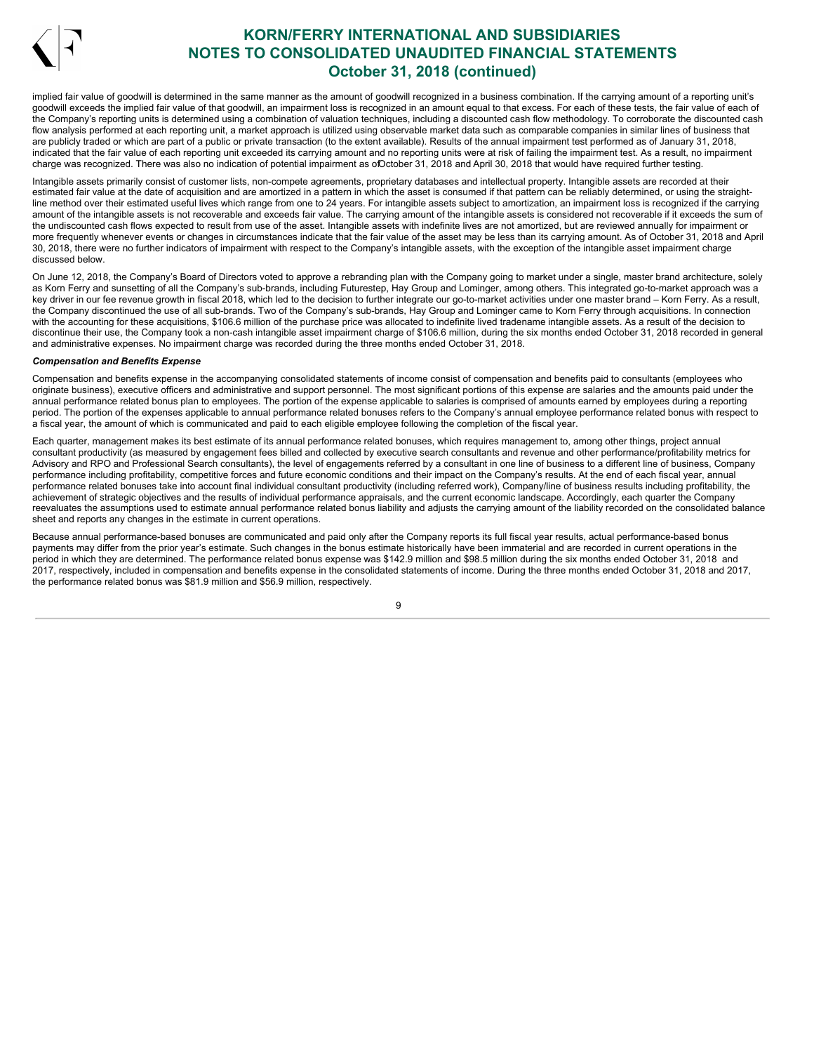

implied fair value of goodwill is determined in the same manner as the amount of goodwill recognized in a business combination. If the carrying amount of a reporting unit's goodwill exceeds the implied fair value of that goodwill, an impairment loss is recognized in an amount equal to that excess. For each of these tests, the fair value of each of the Company's reporting units is determined using a combination of valuation techniques, including a discounted cash flow methodology. To corroborate the discounted cash flow analysis performed at each reporting unit, a market approach is utilized using observable market data such as comparable companies in similar lines of business that are publicly traded or which are part of a public or private transaction (to the extent available). Results of the annual impairment test performed as of January 31, 2018, indicated that the fair value of each reporting unit exceeded its carrying amount and no reporting units were at risk of failing the impairment test. As a result, no impairment charge was recognized. There was also no indication of potential impairment as ofOctober 31, 2018 and April 30, 2018 that would have required further testing.

Intangible assets primarily consist of customer lists, non-compete agreements, proprietary databases and intellectual property. Intangible assets are recorded at their estimated fair value at the date of acquisition and are amortized in a pattern in which the asset is consumed if that pattern can be reliably determined, or using the straightline method over their estimated useful lives which range from one to 24 years. For intangible assets subject to amortization, an impairment loss is recognized if the carrying amount of the intangible assets is not recoverable and exceeds fair value. The carrying amount of the intangible assets is considered not recoverable if it exceeds the sum of the undiscounted cash flows expected to result from use of the asset. Intangible assets with indefinite lives are not amortized, but are reviewed annually for impairment or more frequently whenever events or changes in circumstances indicate that the fair value of the asset may be less than its carrying amount. As of October 31, 2018 and April 30, 2018, there were no further indicators of impairment with respect to the Company's intangible assets, with the exception of the intangible asset impairment charge discussed below.

On June 12, 2018, the Company's Board of Directors voted to approve a rebranding plan with the Company going to market under a single, master brand architecture, solely as Korn Ferry and sunsetting of all the Company's sub-brands, including Futurestep, Hay Group and Lominger, among others. This integrated go-to-market approach was a key driver in our fee revenue growth in fiscal 2018, which led to the decision to further integrate our go-to-market activities under one master brand – Korn Ferry. As a result, the Company discontinued the use of all sub-brands. Two of the Company's sub-brands, Hay Group and Lominger came to Korn Ferry through acquisitions. In connection with the accounting for these acquisitions, \$106.6 million of the purchase price was allocated to indefinite lived tradename intangible assets. As a result of the decision to discontinue their use, the Company took a non-cash intangible asset impairment charge of \$106.6 million, during the six months ended October 31, 2018 recorded in general and administrative expenses. No impairment charge was recorded during the three months ended October 31, 2018.

### *Compensation and Benefits Expense*

Compensation and benefits expense in the accompanying consolidated statements of income consist of compensation and benefits paid to consultants (employees who originate business), executive officers and administrative and support personnel. The most significant portions of this expense are salaries and the amounts paid under the annual performance related bonus plan to employees. The portion of the expense applicable to salaries is comprised of amounts earned by employees during a reporting period. The portion of the expenses applicable to annual performance related bonuses refers to the Company's annual employee performance related bonus with respect to a fiscal year, the amount of which is communicated and paid to each eligible employee following the completion of the fiscal year.

Each quarter, management makes its best estimate of its annual performance related bonuses, which requires management to, among other things, project annual consultant productivity (as measured by engagement fees billed and collected by executive search consultants and revenue and other performance/profitability metrics for Advisory and RPO and Professional Search consultants), the level of engagements referred by a consultant in one line of business to a different line of business, Company performance including profitability, competitive forces and future economic conditions and their impact on the Company's results. At the end of each fiscal year, annual performance related bonuses take into account final individual consultant productivity (including referred work), Company/line of business results including profitability, the achievement of strategic objectives and the results of individual performance appraisals, and the current economic landscape. Accordingly, each quarter the Company reevaluates the assumptions used to estimate annual performance related bonus liability and adjusts the carrying amount of the liability recorded on the consolidated balance sheet and reports any changes in the estimate in current operations.

Because annual performance-based bonuses are communicated and paid only after the Company reports its full fiscal year results, actual performance-based bonus payments may differ from the prior year's estimate. Such changes in the bonus estimate historically have been immaterial and are recorded in current operations in the period in which they are determined. The performance related bonus expense was \$142.9 million and \$98.5 million during the six months ended October 31, 2018 and 2017, respectively, included in compensation and benefits expense in the consolidated statements of income. During the three months ended October 31, 2018 and 2017, the performance related bonus was \$81.9 million and \$56.9 million, respectively.

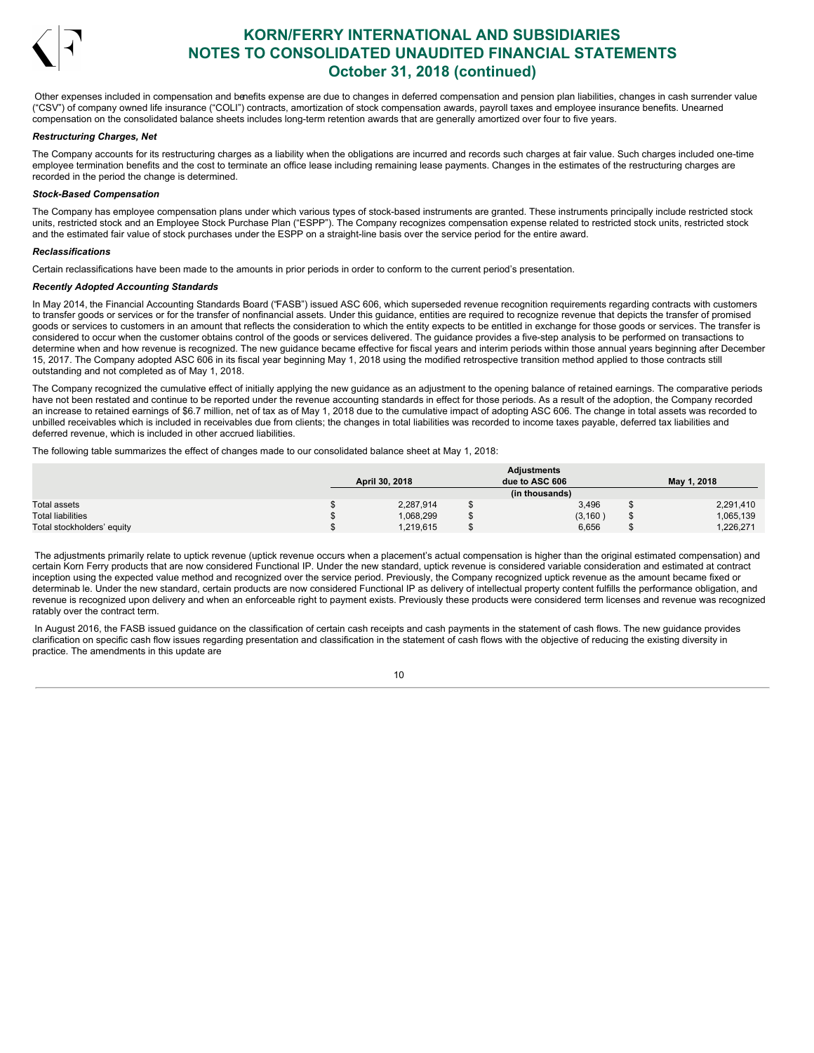

Other expenses included in compensation and benefits expense are due to changes in deferred compensation and pension plan liabilities, changes in cash surrender value ("CSV") of company owned life insurance ("COLI") contracts, amortization of stock compensation awards, payroll taxes and employee insurance benefits. Unearned compensation on the consolidated balance sheets includes long-term retention awards that are generally amortized over four to five years.

### *Restructuring Charges, Net*

The Company accounts for its restructuring charges as a liability when the obligations are incurred and records such charges at fair value. Such charges included one-time employee termination benefits and the cost to terminate an office lease including remaining lease payments. Changes in the estimates of the restructuring charges are recorded in the period the change is determined.

### *Stock-Based Compensation*

The Company has employee compensation plans under which various types of stock-based instruments are granted. These instruments principally include restricted stock units, restricted stock and an Employee Stock Purchase Plan ("ESPP"). The Company recognizes compensation expense related to restricted stock units, restricted stock and the estimated fair value of stock purchases under the ESPP on a straight-line basis over the service period for the entire award.

#### *Reclassifications*

Certain reclassifications have been made to the amounts in prior periods in order to conform to the current period's presentation.

### *Recently Adopted Accounting Standards*

In May 2014, the Financial Accounting Standards Board ("FASB") issued ASC 606, which superseded revenue recognition requirements regarding contracts with customers to transfer goods or services or for the transfer of nonfinancial assets. Under this guidance, entities are required to recognize revenue that depicts the transfer of promised goods or services to customers in an amount that reflects the consideration to which the entity expects to be entitled in exchange for those goods or services. The transfer is considered to occur when the customer obtains control of the goods or services delivered. The guidance provides a five-step analysis to be performed on transactions to determine when and how revenue is recognized. The new guidance became effective for fiscal years and interim periods within those annual years beginning after December 15, 2017. The Company adopted ASC 606 in its fiscal year beginning May 1, 2018 using the modified retrospective transition method applied to those contracts still outstanding and not completed as of May 1, 2018.

The Company recognized the cumulative effect of initially applying the new guidance as an adjustment to the opening balance of retained earnings. The comparative periods have not been restated and continue to be reported under the revenue accounting standards in effect for those periods. As a result of the adoption, the Company recorded an increase to retained earnings of \$6.7 million, net of tax as of May 1, 2018 due to the cumulative impact of adopting ASC 606. The change in total assets was recorded to unbilled receivables which is included in receivables due from clients; the changes in total liabilities was recorded to income taxes payable, deferred tax liabilities and deferred revenue, which is included in other accrued liabilities.

The following table summarizes the effect of changes made to our consolidated balance sheet at May 1, 2018:

|                            |                | <b>Adjustments</b> |             |
|----------------------------|----------------|--------------------|-------------|
|                            | April 30, 2018 | due to ASC 606     | May 1, 2018 |
|                            |                | (in thousands)     |             |
| Total assets               | 2,287,914      | 3,496              | 2,291,410   |
| <b>Total liabilities</b>   | 1,068,299      | (3, 160)           | 1,065,139   |
| Total stockholders' equity | 1,219,615      | 6,656              | .226,271    |

The adjustments primarily relate to uptick revenue (uptick revenue occurs when a placement's actual compensation is higher than the original estimated compensation) and certain Korn Ferry products that are now considered Functional IP. Under the new standard, uptick revenue is considered variable consideration and estimated at contract inception using the expected value method and recognized over the service period. Previously, the Company recognized uptick revenue as the amount became fixed or determinab le. Under the new standard, certain products are now considered Functional IP as delivery of intellectual property content fulfills the performance obligation, and revenue is recognized upon delivery and when an enforceable right to payment exists. Previously these products were considered term licenses and revenue was recognized ratably over the contract term.

In August 2016, the FASB issued guidance on the classification of certain cash receipts and cash payments in the statement of cash flows. The new guidance provides clarification on specific cash flow issues regarding presentation and classification in the statement of cash flows with the objective of reducing the existing diversity in practice. The amendments in this update are

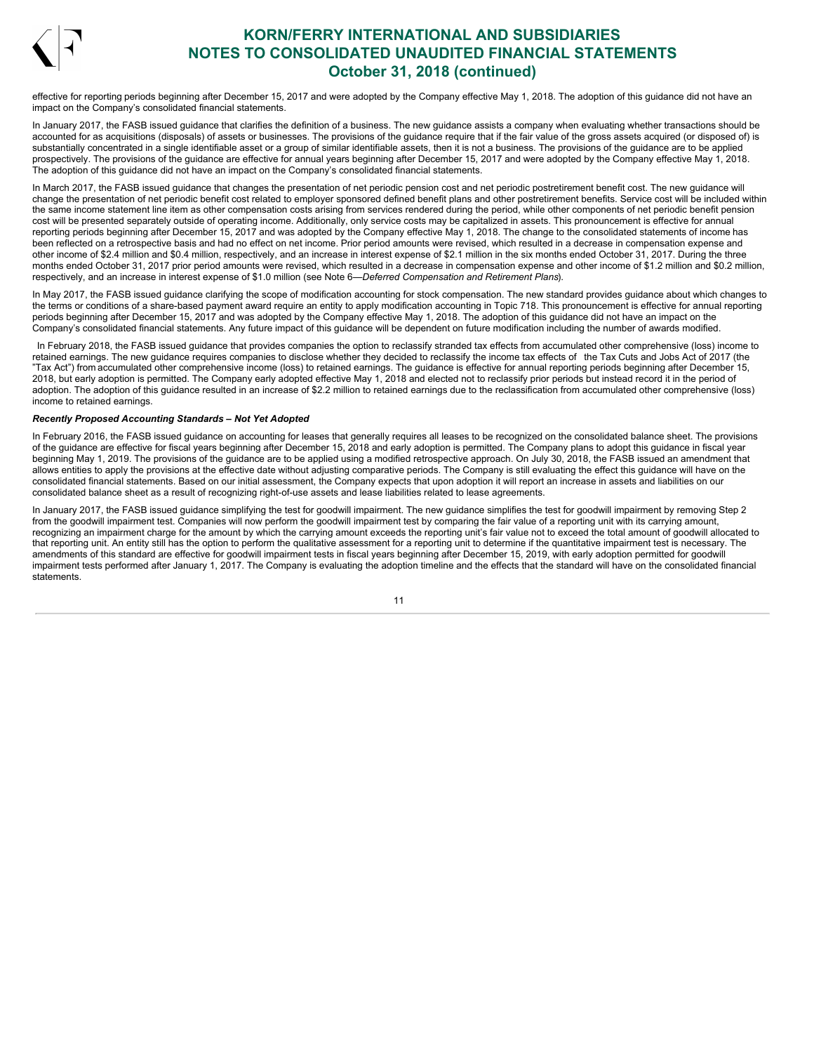

effective for reporting periods beginning after December 15, 2017 and were adopted by the Company effective May 1, 2018. The adoption of this guidance did not have an impact on the Company's consolidated financial statements.

In January 2017, the FASB issued guidance that clarifies the definition of a business. The new guidance assists a company when evaluating whether transactions should be accounted for as acquisitions (disposals) of assets or businesses. The provisions of the guidance require that if the fair value of the gross assets acquired (or disposed of) is substantially concentrated in a single identifiable asset or a group of similar identifiable assets, then it is not a business. The provisions of the guidance are to be applied prospectively. The provisions of the guidance are effective for annual years beginning after December 15, 2017 and were adopted by the Company effective May 1, 2018. The adoption of this guidance did not have an impact on the Company's consolidated financial statements.

In March 2017, the FASB issued guidance that changes the presentation of net periodic pension cost and net periodic postretirement benefit cost. The new guidance will change the presentation of net periodic benefit cost related to employer sponsored defined benefit plans and other postretirement benefits. Service cost will be included within the same income statement line item as other compensation costs arising from services rendered during the period, while other components of net periodic benefit pension cost will be presented separately outside of operating income. Additionally, only service costs may be capitalized in assets. This pronouncement is effective for annual reporting periods beginning after December 15, 2017 and was adopted by the Company effective May 1, 2018. The change to the consolidated statements of income has been reflected on a retrospective basis and had no effect on net income. Prior period amounts were revised, which resulted in a decrease in compensation expense and other income of \$2.4 million and \$0.4 million, respectively, and an increase in interest expense of \$2.1 million in the six months ended October 31, 2017. During the three months ended October 31, 2017 prior period amounts were revised, which resulted in a decrease in compensation expense and other income of \$1.2 million and \$0.2 million, respectively, and an increase in interest expense of \$1.0 million (see Note 6—*Deferred Compensation and Retirement Plans*).

In May 2017, the FASB issued guidance clarifying the scope of modification accounting for stock compensation. The new standard provides guidance about which changes to the terms or conditions of a share-based payment award require an entity to apply modification accounting in Topic 718. This pronouncement is effective for annual reporting periods beginning after December 15, 2017 and was adopted by the Company effective May 1, 2018. The adoption of this guidance did not have an impact on the Company's consolidated financial statements. Any future impact of this guidance will be dependent on future modification including the number of awards modified.

In February 2018, the FASB issued guidance that provides companies the option to reclassify stranded tax effects from accumulated other comprehensive (loss) income to retained earnings. The new guidance requires companies to disclose whether they decided to reclassify the income tax effects of the Tax Cuts and Jobs Act of 2017 (the "Tax Act") from accumulated other comprehensive income (loss) to retained earnings. The guidance is effective for annual reporting periods beginning after December 15, 2018, but early adoption is permitted. The Company early adopted effective May 1, 2018 and elected not to reclassify prior periods but instead record it in the period of adoption. The adoption of this guidance resulted in an increase of \$2.2 million to retained earnings due to the reclassification from accumulated other comprehensive (loss) income to retained earnings.

### *Recently Proposed Accounting Standards – Not Yet Adopted*

In February 2016, the FASB issued guidance on accounting for leases that generally requires all leases to be recognized on the consolidated balance sheet. The provisions of the guidance are effective for fiscal years beginning after December 15, 2018 and early adoption is permitted. The Company plans to adopt this guidance in fiscal year beginning May 1, 2019. The provisions of the guidance are to be applied using a modified retrospective approach. On July 30, 2018, the FASB issued an amendment that allows entities to apply the provisions at the effective date without adjusting comparative periods. The Company is still evaluating the effect this guidance will have on the consolidated financial statements. Based on our initial assessment, the Company expects that upon adoption it will report an increase in assets and liabilities on our consolidated balance sheet as a result of recognizing right-of-use assets and lease liabilities related to lease agreements.

In January 2017, the FASB issued guidance simplifying the test for goodwill impairment. The new guidance simplifies the test for goodwill impairment by removing Step 2 from the goodwill impairment test. Companies will now perform the goodwill impairment test by comparing the fair value of a reporting unit with its carrying amount, recognizing an impairment charge for the amount by which the carrying amount exceeds the reporting unit's fair value not to exceed the total amount of goodwill allocated to that reporting unit. An entity still has the option to perform the qualitative assessment for a reporting unit to determine if the quantitative impairment test is necessary. The amendments of this standard are effective for goodwill impairment tests in fiscal years beginning after December 15, 2019, with early adoption permitted for goodwill impairment tests performed after January 1, 2017. The Company is evaluating the adoption timeline and the effects that the standard will have on the consolidated financial statements.

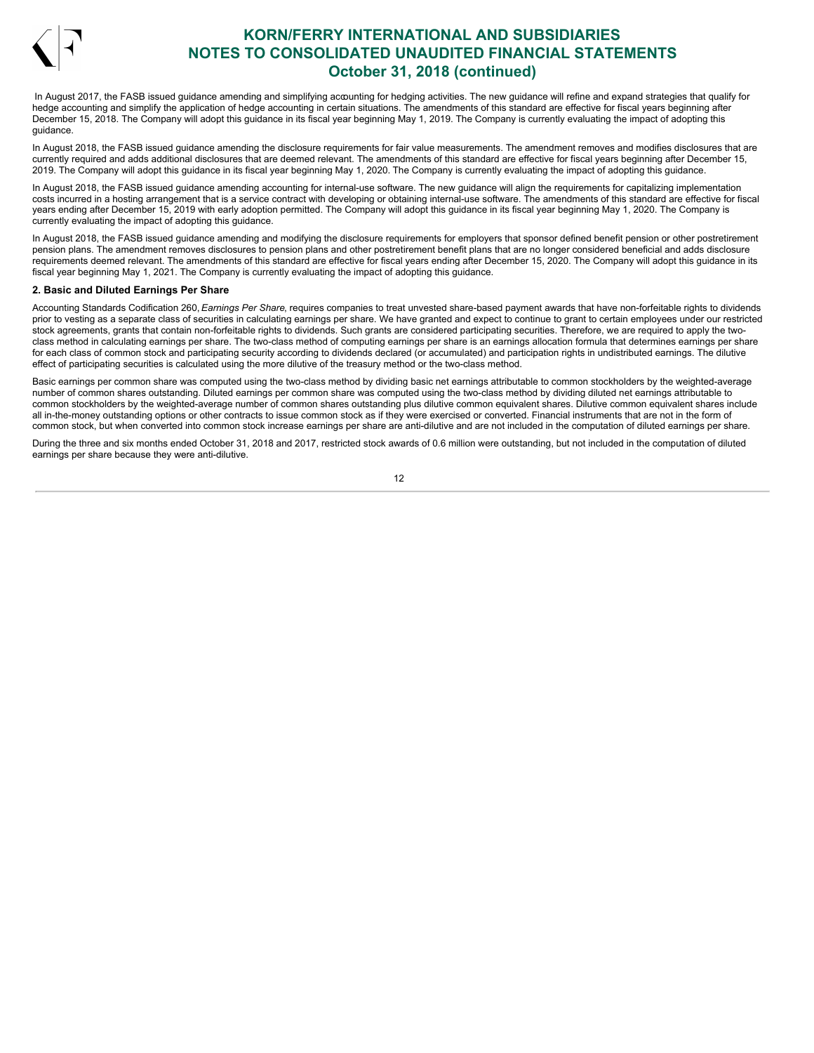

In August 2017, the FASB issued guidance amending and simplifying accounting for hedging activities. The new guidance will refine and expand strategies that qualify for hedge accounting and simplify the application of hedge accounting in certain situations. The amendments of this standard are effective for fiscal years beginning after December 15, 2018. The Company will adopt this guidance in its fiscal year beginning May 1, 2019. The Company is currently evaluating the impact of adopting this guidance.

In August 2018, the FASB issued guidance amending the disclosure requirements for fair value measurements. The amendment removes and modifies disclosures that are currently required and adds additional disclosures that are deemed relevant. The amendments of this standard are effective for fiscal years beginning after December 15, 2019. The Company will adopt this guidance in its fiscal year beginning May 1, 2020. The Company is currently evaluating the impact of adopting this guidance.

In August 2018, the FASB issued guidance amending accounting for internal-use software. The new guidance will align the requirements for capitalizing implementation costs incurred in a hosting arrangement that is a service contract with developing or obtaining internal-use software. The amendments of this standard are effective for fiscal years ending after December 15, 2019 with early adoption permitted. The Company will adopt this guidance in its fiscal year beginning May 1, 2020. The Company is currently evaluating the impact of adopting this guidance.

In August 2018, the FASB issued guidance amending and modifying the disclosure requirements for employers that sponsor defined benefit pension or other postretirement pension plans. The amendment removes disclosures to pension plans and other postretirement benefit plans that are no longer considered beneficial and adds disclosure requirements deemed relevant. The amendments of this standard are effective for fiscal years ending after December 15, 2020. The Company will adopt this quidance in its fiscal year beginning May 1, 2021. The Company is currently evaluating the impact of adopting this guidance.

### **2. Basic and Diluted Earnings Per Share**

Accounting Standards Codification 260, *Earnings Per Share*, requires companies to treat unvested share-based payment awards that have non-forfeitable rights to dividends prior to vesting as a separate class of securities in calculating earnings per share. We have granted and expect to continue to grant to certain employees under our restricted stock agreements, grants that contain non-forfeitable rights to dividends. Such grants are considered participating securities. Therefore, we are required to apply the twoclass method in calculating earnings per share. The two-class method of computing earnings per share is an earnings allocation formula that determines earnings per share for each class of common stock and participating security according to dividends declared (or accumulated) and participation rights in undistributed earnings. The dilutive effect of participating securities is calculated using the more dilutive of the treasury method or the two-class method.

Basic earnings per common share was computed using the two-class method by dividing basic net earnings attributable to common stockholders by the weighted-average number of common shares outstanding. Diluted earnings per common share was computed using the two-class method by dividing diluted net earnings attributable to common stockholders by the weighted-average number of common shares outstanding plus dilutive common equivalent shares. Dilutive common equivalent shares include all in-the-money outstanding options or other contracts to issue common stock as if they were exercised or converted. Financial instruments that are not in the form of common stock, but when converted into common stock increase earnings per share are anti-dilutive and are not included in the computation of diluted earnings per share.

During the three and six months ended October 31, 2018 and 2017, restricted stock awards of 0.6 million were outstanding, but not included in the computation of diluted earnings per share because they were anti-dilutive.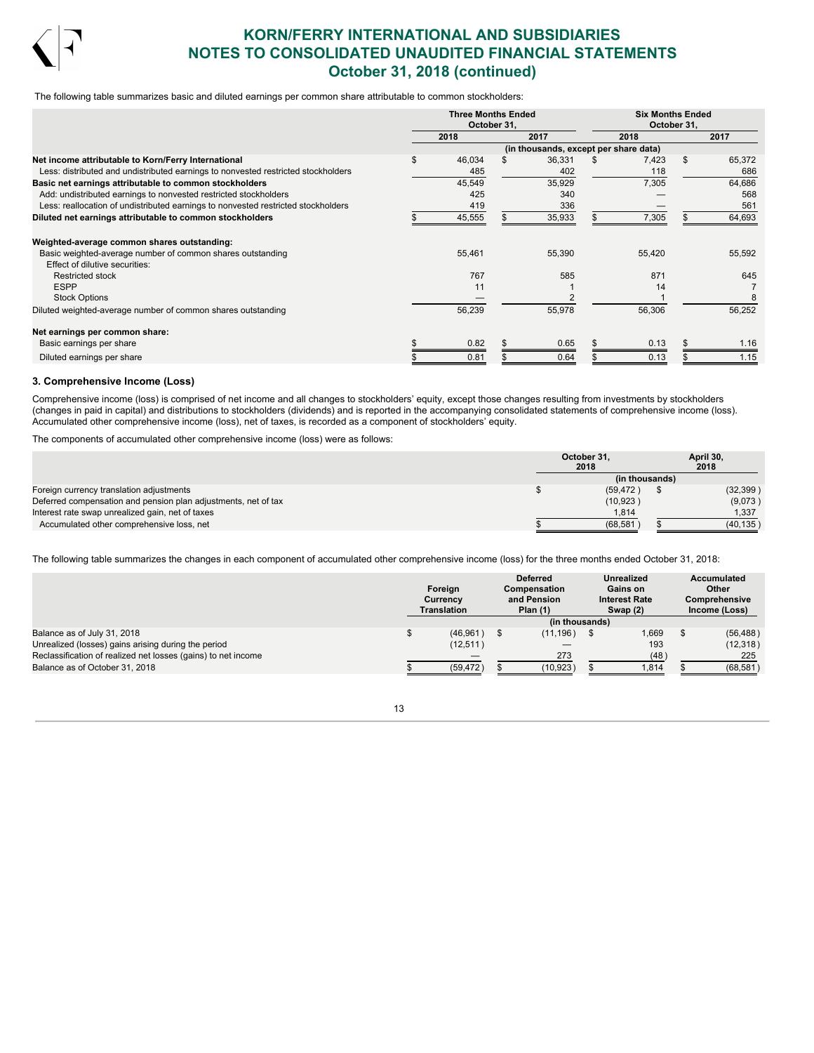

The following table summarizes basic and diluted earnings per common share attributable to common stockholders:

|                                                                                   | <b>Three Months Ended</b><br>October 31, |  | <b>Six Months Ended</b><br>October 31, |        |     |        |
|-----------------------------------------------------------------------------------|------------------------------------------|--|----------------------------------------|--------|-----|--------|
|                                                                                   | 2018                                     |  | 2017                                   | 2018   |     | 2017   |
|                                                                                   |                                          |  | (in thousands, except per share data)  |        |     |        |
| Net income attributable to Korn/Ferry International                               | 46,034                                   |  | 36,331                                 | 7,423  | \$. | 65,372 |
| Less: distributed and undistributed earnings to nonvested restricted stockholders | 485                                      |  | 402                                    | 118    |     | 686    |
| Basic net earnings attributable to common stockholders                            | 45,549                                   |  | 35,929                                 | 7,305  |     | 64,686 |
| Add: undistributed earnings to nonvested restricted stockholders                  | 425                                      |  | 340                                    |        |     | 568    |
| Less: reallocation of undistributed earnings to nonvested restricted stockholders | 419                                      |  | 336                                    |        |     | 561    |
| Diluted net earnings attributable to common stockholders                          | 45,555                                   |  | 35,933                                 | 7,305  |     | 64,693 |
| Weighted-average common shares outstanding:                                       |                                          |  |                                        |        |     |        |
| Basic weighted-average number of common shares outstanding                        | 55,461                                   |  | 55,390                                 | 55,420 |     | 55,592 |
| Effect of dilutive securities:                                                    |                                          |  |                                        |        |     |        |
| <b>Restricted stock</b>                                                           | 767                                      |  | 585                                    | 871    |     | 645    |
| <b>ESPP</b>                                                                       | 11                                       |  |                                        | 14     |     |        |
| <b>Stock Options</b>                                                              |                                          |  |                                        |        |     | 8      |
| Diluted weighted-average number of common shares outstanding                      | 56,239                                   |  | 55,978                                 | 56,306 |     | 56,252 |
| Net earnings per common share:                                                    |                                          |  |                                        |        |     |        |
| Basic earnings per share                                                          | 0.82                                     |  | 0.65                                   | 0.13   |     | 1.16   |
| Diluted earnings per share                                                        | 0.81                                     |  | 0.64                                   | 0.13   |     | 1.15   |

### **3. Comprehensive Income (Loss)**

Comprehensive income (loss) is comprised of net income and all changes to stockholders' equity, except those changes resulting from investments by stockholders (changes in paid in capital) and distributions to stockholders (dividends) and is reported in the accompanying consolidated statements of comprehensive income (loss). Accumulated other comprehensive income (loss), net of taxes, is recorded as a component of stockholders' equity.

The components of accumulated other comprehensive income (loss) were as follows:

|                                                                | October 31. |                | April 30, |
|----------------------------------------------------------------|-------------|----------------|-----------|
|                                                                | 2018        |                | 2018      |
|                                                                |             | (in thousands) |           |
| Foreign currency translation adjustments                       |             | (59.472)       | (32, 399) |
| Deferred compensation and pension plan adjustments, net of tax |             | (10, 923)      | (9,073)   |
| Interest rate swap unrealized gain, net of taxes               |             | 1.814          | 1,337     |
| Accumulated other comprehensive loss, net                      |             | (68.581)       | (40, 135) |

The following table summarizes the changes in each component of accumulated other comprehensive income (loss) for the three months ended October 31, 2018:

|                                                               | Foreign<br>Currency<br>Translation | <b>Unrealized</b><br><b>Deferred</b><br>Gains on<br>Compensation<br><b>Interest Rate</b><br>and Pension<br>Plan $(1)$<br>Swap $(2)$ |                |  | Accumulated<br>Other<br>Comprehensive<br>Income (Loss) |           |
|---------------------------------------------------------------|------------------------------------|-------------------------------------------------------------------------------------------------------------------------------------|----------------|--|--------------------------------------------------------|-----------|
|                                                               |                                    |                                                                                                                                     | (in thousands) |  |                                                        |           |
| Balance as of July 31, 2018                                   | (46, 961)                          |                                                                                                                                     | (11, 196)      |  | 1,669                                                  | (56, 488) |
| Unrealized (losses) gains arising during the period           | (12, 511)                          |                                                                                                                                     |                |  | 193                                                    | (12, 318) |
| Reclassification of realized net losses (gains) to net income |                                    |                                                                                                                                     | 273            |  | (48)                                                   | 225       |
| Balance as of October 31, 2018                                | (59, 472)                          |                                                                                                                                     | (10, 923)      |  | 1,814                                                  | (68, 581) |

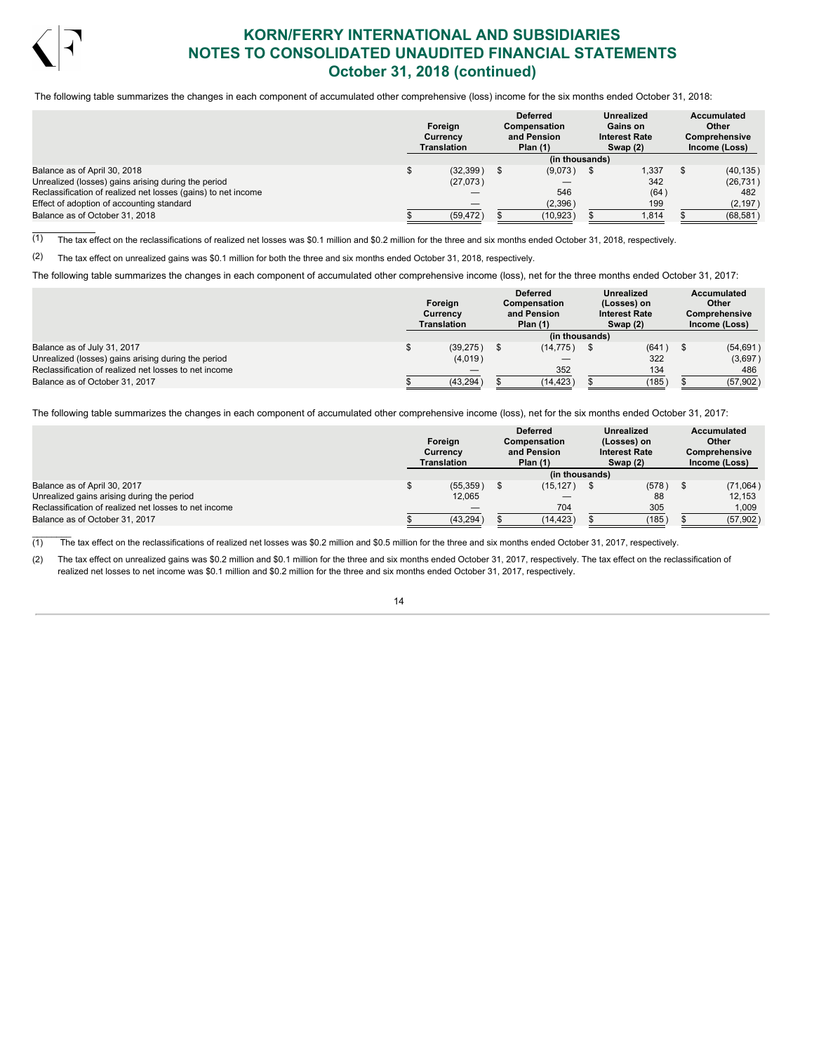

 $\frac{1}{2}$ 

# **KORN/FERRY INTERNATIONAL AND SUBSIDIARIES NOTES TO CONSOLIDATED UNAUDITED FINANCIAL STATEMENTS October 31, 2018 (continued)**

The following table summarizes the changes in each component of accumulated other comprehensive (loss) income for the six months ended October 31, 2018:

|                                                               |  | Foreign<br>Currency<br>Translation |           |                |       | <b>Deferred</b><br>Compensation<br>and Pension<br>Plan $(1)$ | <b>Unrealized</b><br>Gains on<br><b>Interest Rate</b><br>Swap (2) | Accumulated<br>Other<br><b>Comprehensive</b><br>Income (Loss) |
|---------------------------------------------------------------|--|------------------------------------|-----------|----------------|-------|--------------------------------------------------------------|-------------------------------------------------------------------|---------------------------------------------------------------|
|                                                               |  |                                    |           | (in thousands) |       |                                                              |                                                                   |                                                               |
| Balance as of April 30, 2018                                  |  |                                    | (32, 399) | (9,073)        | 1.337 | (40, 135)                                                    |                                                                   |                                                               |
| Unrealized (losses) gains arising during the period           |  |                                    | (27,073)  |                | 342   | (26, 731)                                                    |                                                                   |                                                               |
| Reclassification of realized net losses (gains) to net income |  |                                    |           | 546            | (64)  | 482                                                          |                                                                   |                                                               |
| Effect of adoption of accounting standard                     |  |                                    |           | (2,396)        | 199   | (2, 197)                                                     |                                                                   |                                                               |
| Balance as of October 31, 2018                                |  |                                    | (59, 472) | (10, 923)      | 1,814 | (68, 581)                                                    |                                                                   |                                                               |

 $(1)$  The tax effect on the reclassifications of realized net losses was \$0.1 million and \$0.2 million for the three and six months ended October 31, 2018, respectively.

(2) The tax effect on unrealized gains was \$0.1 million for both the three and six months ended October 31, 2018, respectively.

The following table summarizes the changes in each component of accumulated other comprehensive income (loss), net for the three months ended October 31, 2017:

|                                                       | Foreign<br>Currency<br>Translation |  | <b>Deferred</b><br>Compensation<br>and Pension<br>Plan $(1)$ | <b>Unrealized</b><br>(Losses) on<br><b>Interest Rate</b><br>Swap $(2)$ | <b>Accumulated</b><br>Other<br><b>Comprehensive</b><br>Income (Loss) |
|-------------------------------------------------------|------------------------------------|--|--------------------------------------------------------------|------------------------------------------------------------------------|----------------------------------------------------------------------|
|                                                       |                                    |  | (in thousands)                                               |                                                                        |                                                                      |
| Balance as of July 31, 2017                           | (39, 275)                          |  | (14, 775)                                                    | $(641)$ \$                                                             | (54, 691)                                                            |
| Unrealized (losses) gains arising during the period   | (4,019)                            |  |                                                              | 322                                                                    | (3,697)                                                              |
| Reclassification of realized net losses to net income |                                    |  | 352                                                          | 134                                                                    | 486                                                                  |
| Balance as of October 31, 2017                        | (43, 294)                          |  | (14, 423)                                                    | (185)                                                                  | (57, 902)                                                            |

The following table summarizes the changes in each component of accumulated other comprehensive income (loss), net for the six months ended October 31, 2017:

|                                                       | Foreian<br>Currencv<br><b>Translation</b> | <b>Deferred</b><br>Compensation<br>and Pension<br>Plan $(1)$ | <b>Unrealized</b><br>(Losses) on<br><b>Interest Rate</b><br>Swap $(2)$ | Accumulated<br>Other<br><b>Comprehensive</b><br>Income (Loss) |
|-------------------------------------------------------|-------------------------------------------|--------------------------------------------------------------|------------------------------------------------------------------------|---------------------------------------------------------------|
|                                                       |                                           | (in thousands)                                               |                                                                        |                                                               |
| Balance as of April 30, 2017                          | (55, 359)                                 | (15, 127)                                                    | (578)                                                                  | (71,064)                                                      |
| Unrealized gains arising during the period            | 12,065                                    |                                                              | 88                                                                     | 12,153                                                        |
| Reclassification of realized net losses to net income |                                           | 704                                                          | 305                                                                    | 1,009                                                         |
| Balance as of October 31, 2017                        | (43, 294)                                 | (14, 423)                                                    | (185)                                                                  | (57, 902)                                                     |

(1) The tax effect on the reclassifications of realized net losses was \$0.2 million and \$0.5 million for the three and six months ended October 31, 2017, respectively.

(2) The tax effect on unrealized gains was \$0.2 million and \$0.1 million for the three and six months ended October 31, 2017, respectively. The tax effect on the reclassification of realized net losses to net income was \$0.1 million and \$0.2 million for the three and six months ended October 31, 2017, respectively.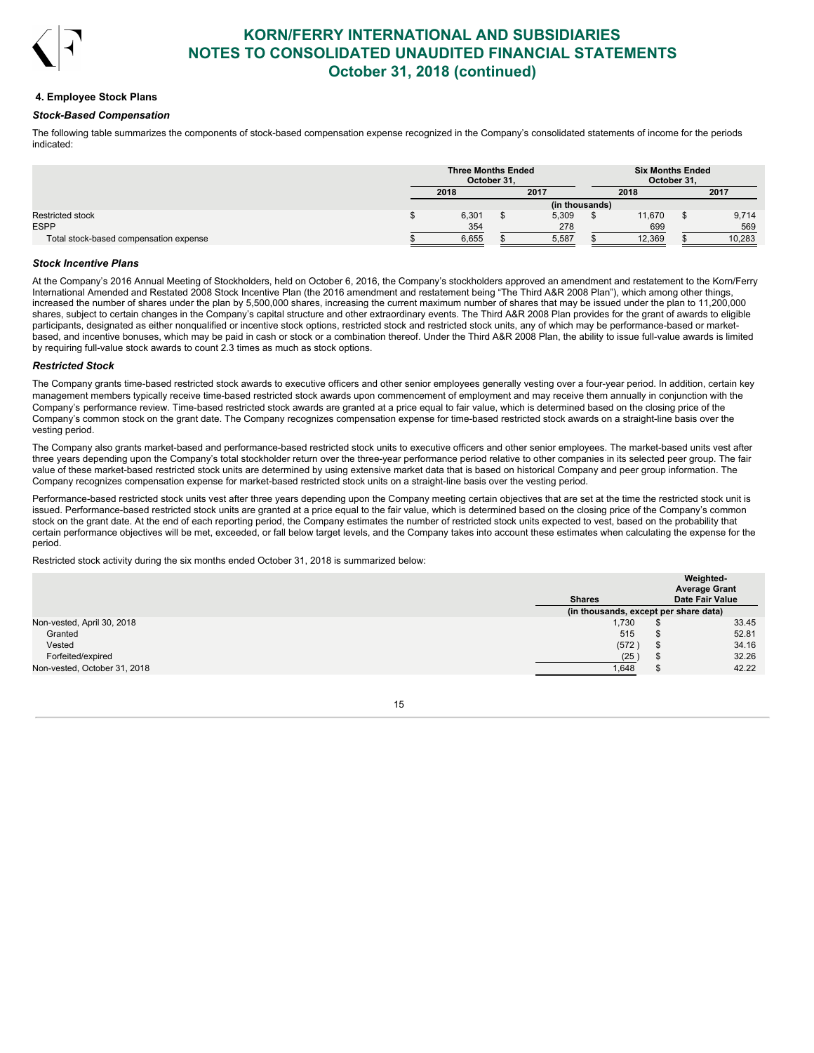

### **4. Employee Stock Plans**

### *Stock-Based Compensation*

The following table summarizes the components of stock-based compensation expense recognized in the Company's consolidated statements of income for the periods indicated:

|                                        |                | <b>Three Months Ended</b><br>October 31. |  | <b>Six Months Ended</b><br>October 31. |        |      |        |
|----------------------------------------|----------------|------------------------------------------|--|----------------------------------------|--------|------|--------|
|                                        | 2017<br>2018   |                                          |  |                                        | 2018   | 2017 |        |
|                                        | (in thousands) |                                          |  |                                        |        |      |        |
|                                        |                | 6,301                                    |  | 5,309                                  | 11.670 |      | 9,714  |
|                                        |                | 354                                      |  | 278                                    | 699    |      | 569    |
| Total stock-based compensation expense |                | 6.655                                    |  | 5,587                                  | 12,369 |      | 10.283 |

### *Stock Incentive Plans*

At the Company's 2016 Annual Meeting of Stockholders, held on October 6, 2016, the Company's stockholders approved an amendment and restatement to the Korn/Ferry International Amended and Restated 2008 Stock Incentive Plan (the 2016 amendment and restatement being "The Third A&R 2008 Plan"), which among other things, increased the number of shares under the plan by 5,500,000 shares, increasing the current maximum number of shares that may be issued under the plan to 11,200,000 shares, subject to certain changes in the Company's capital structure and other extraordinary events. The Third A&R 2008 Plan provides for the grant of awards to eligible participants, designated as either nonqualified or incentive stock options, restricted stock and restricted stock units, any of which may be performance-based or marketbased, and incentive bonuses, which may be paid in cash or stock or a combination thereof. Under the Third A&R 2008 Plan, the ability to issue full-value awards is limited by requiring full-value stock awards to count 2.3 times as much as stock options.

## *Restricted Stock*

The Company grants time-based restricted stock awards to executive officers and other senior employees generally vesting over a four-year period. In addition, certain key management members typically receive time-based restricted stock awards upon commencement of employment and may receive them annually in conjunction with the Company's performance review. Time-based restricted stock awards are granted at a price equal to fair value, which is determined based on the closing price of the Company's common stock on the grant date. The Company recognizes compensation expense for time-based restricted stock awards on a straight-line basis over the vesting period.

The Company also grants market-based and performance-based restricted stock units to executive officers and other senior employees. The market-based units vest after three years depending upon the Company's total stockholder return over the three-year performance period relative to other companies in its selected peer group. The fair value of these market-based restricted stock units are determined by using extensive market data that is based on historical Company and peer group information. The Company recognizes compensation expense for market-based restricted stock units on a straight-line basis over the vesting period.

Performance-based restricted stock units vest after three years depending upon the Company meeting certain objectives that are set at the time the restricted stock unit is issued. Performance-based restricted stock units are granted at a price equal to the fair value, which is determined based on the closing price of the Company's common stock on the grant date. At the end of each reporting period, the Company estimates the number of restricted stock units expected to vest, based on the probability that certain performance objectives will be met, exceeded, or fall below target levels, and the Company takes into account these estimates when calculating the expense for the period.

Restricted stock activity during the six months ended October 31, 2018 is summarized below:

|                              | <b>Shares</b> |       |     | Weighted-<br><b>Average Grant</b><br><b>Date Fair Value</b> |
|------------------------------|---------------|-------|-----|-------------------------------------------------------------|
|                              |               |       |     | (in thousands, except per share data)                       |
| Non-vested, April 30, 2018   |               | 1,730 |     | 33.45                                                       |
| Granted                      |               | 515   |     | 52.81                                                       |
| Vested                       |               | (572) | AD. | 34.16                                                       |
| Forfeited/expired            |               | (25)  |     | 32.26                                                       |
| Non-vested, October 31, 2018 |               | 1.648 |     | 42.22                                                       |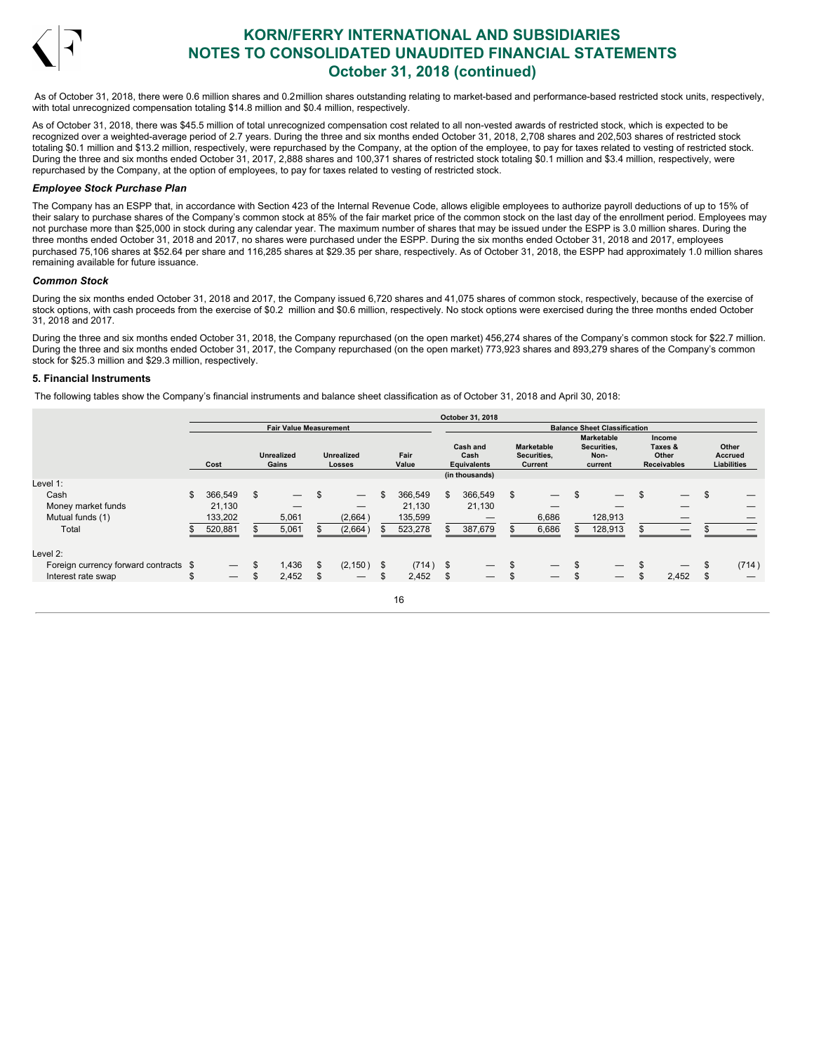

As of October 31, 2018, there were 0.6 million shares and 0.2million shares outstanding relating to market-based and performance-based restricted stock units, respectively, with total unrecognized compensation totaling \$14.8 million and \$0.4 million, respectively.

As of October 31, 2018, there was \$45.5 million of total unrecognized compensation cost related to all non-vested awards of restricted stock, which is expected to be recognized over a weighted-average period of 2.7 years. During the three and six months ended October 31, 2018, 2,708 shares and 202,503 shares of restricted stock totaling \$0.1 million and \$13.2 million, respectively, were repurchased by the Company, at the option of the employee, to pay for taxes related to vesting of restricted stock. During the three and six months ended October 31, 2017, 2,888 shares and 100,371 shares of restricted stock totaling \$0.1 million and \$3.4 million, respectively, were repurchased by the Company, at the option of employees, to pay for taxes related to vesting of restricted stock.

### *Employee Stock Purchase Plan*

The Company has an ESPP that, in accordance with Section 423 of the Internal Revenue Code, allows eligible employees to authorize payroll deductions of up to 15% of their salary to purchase shares of the Company's common stock at 85% of the fair market price of the common stock on the last day of the enrollment period. Employees may not purchase more than \$25,000 in stock during any calendar year. The maximum number of shares that may be issued under the ESPP is 3.0 million shares. During the three months ended October 31, 2018 and 2017, no shares were purchased under the ESPP. During the six months ended October 31, 2018 and 2017, employees purchased 75,106 shares at \$52.64 per share and 116,285 shares at \$29.35 per share, respectively. As of October 31, 2018, the ESPP had approximately 1.0 million shares remaining available for future issuance.

### *Common Stock*

During the six months ended October 31, 2018 and 2017, the Company issued 6,720 shares and 41,075 shares of common stock, respectively, because of the exercise of stock options, with cash proceeds from the exercise of \$0.2 million and \$0.6 million, respectively. No stock options were exercised during the three months ended October 31, 2018 and 2017.

During the three and six months ended October 31, 2018, the Company repurchased (on the open market) 456,274 shares of the Company's common stock for \$22.7 million. During the three and six months ended October 31, 2017, the Company repurchased (on the open market) 773,923 shares and 893,279 shares of the Company's common stock for \$25.3 million and \$29.3 million, respectively.

## **5. Financial Instruments**

The following tables show the Company's financial instruments and balance sheet classification as of October 31, 2018 and April 30, 2018:

|                                       |                                |                                |     |                                    |     |               |    | October 31, 2018                       |                                             |                                                     |                                                  |                                        |
|---------------------------------------|--------------------------------|--------------------------------|-----|------------------------------------|-----|---------------|----|----------------------------------------|---------------------------------------------|-----------------------------------------------------|--------------------------------------------------|----------------------------------------|
|                                       |                                | <b>Fair Value Measurement</b>  |     |                                    |     |               |    |                                        |                                             | <b>Balance Sheet Classification</b>                 |                                                  |                                        |
|                                       | Cost                           | <b>Unrealized</b><br>Gains     |     | <b>Unrealized</b><br><b>Losses</b> |     | Fair<br>Value |    | Cash and<br>Cash<br><b>Equivalents</b> | <b>Marketable</b><br>Securities,<br>Current | <b>Marketable</b><br>Securities,<br>Non-<br>current | Income<br>Taxes &<br>Other<br><b>Receivables</b> | Other<br><b>Accrued</b><br>Liabilities |
| Level 1:                              |                                |                                |     |                                    |     |               |    | (in thousands)                         |                                             |                                                     |                                                  |                                        |
| Cash                                  | \$<br>366,549                  | \$<br>$\overline{\phantom{m}}$ | \$  | $\overline{\phantom{m}}$           |     | 366,549       | -S | 366,549                                | \$                                          | $\overline{\phantom{0}}$                            | $\overline{\phantom{m}}$                         |                                        |
| Money market funds                    | 21.130                         |                                |     |                                    |     | 21.130        |    | 21,130                                 |                                             |                                                     |                                                  |                                        |
| Mutual funds (1)                      | 133,202                        | 5,061                          |     | (2,664)                            |     | 135,599       |    |                                        | 6,686                                       | 128,913                                             |                                                  |                                        |
| Total                                 | 520,881                        | 5,061                          |     | (2,664)                            |     | 523,278       |    | 387,679                                | 6,686                                       | 128,913                                             |                                                  |                                        |
| Level 2:                              |                                |                                |     |                                    |     |               |    |                                        |                                             |                                                     |                                                  |                                        |
| Foreign currency forward contracts \$ |                                | \$<br>1,436                    | \$  | (2, 150)                           | -\$ | $(714)$ \$    |    | $\hspace{0.05cm}$                      | \$<br>$\overline{\phantom{m}}$              |                                                     | $\hspace{0.1mm}-\hspace{0.1mm}$                  | (714)                                  |
| Interest rate swap                    | \$<br>$\overline{\phantom{0}}$ | \$<br>2,452                    | \$. | $\hspace{0.1mm}-\hspace{0.1mm}$    | \$. | 2,452         |    |                                        | \$<br>$\qquad \qquad -$                     |                                                     | 2,452                                            |                                        |
|                                       |                                |                                |     |                                    |     |               |    |                                        |                                             |                                                     |                                                  |                                        |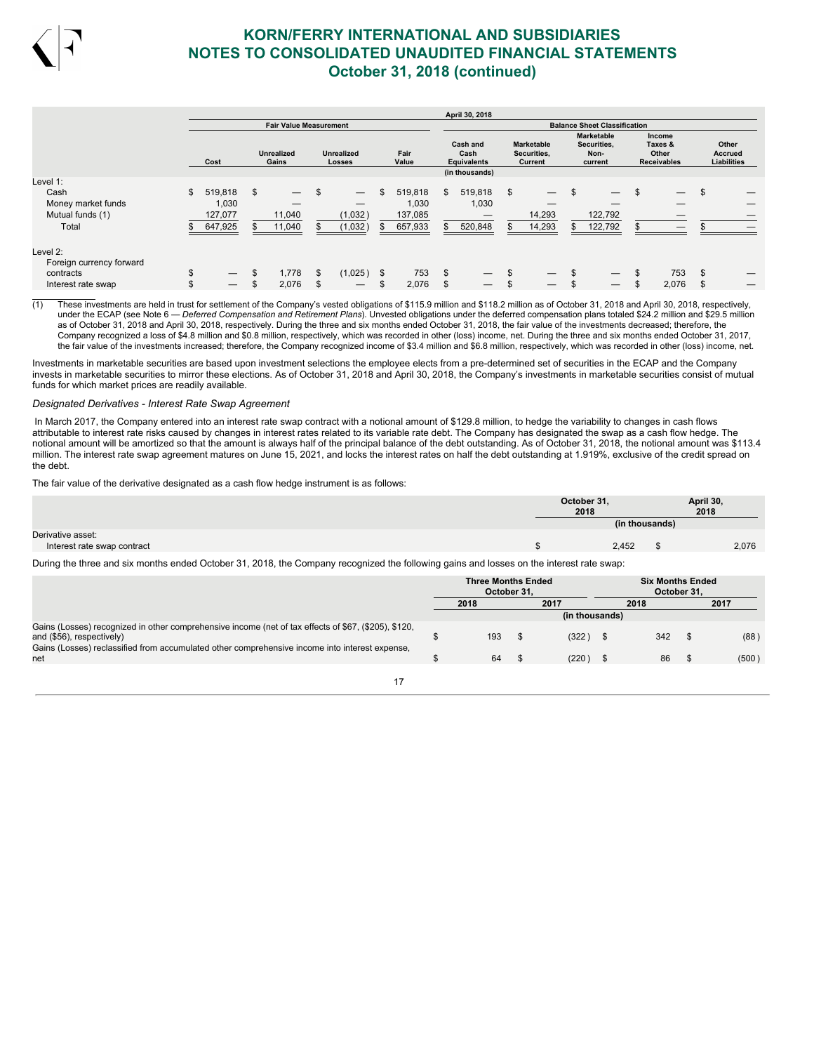

|                                                                         |          |                                        |          |                               |          |                                                |           |                                        |          | April 30, 2018                         |           |                                             |          |                                                     |          |                                                  |                                               |
|-------------------------------------------------------------------------|----------|----------------------------------------|----------|-------------------------------|----------|------------------------------------------------|-----------|----------------------------------------|----------|----------------------------------------|-----------|---------------------------------------------|----------|-----------------------------------------------------|----------|--------------------------------------------------|-----------------------------------------------|
|                                                                         |          |                                        |          | <b>Fair Value Measurement</b> |          |                                                |           |                                        |          |                                        |           |                                             |          | <b>Balance Sheet Classification</b>                 |          |                                                  |                                               |
|                                                                         |          | Cost                                   |          | <b>Unrealized</b><br>Gains    |          | <b>Unrealized</b><br><b>Losses</b>             |           | Fair<br>Value                          |          | Cash and<br>Cash<br><b>Equivalents</b> |           | <b>Marketable</b><br>Securities,<br>Current |          | <b>Marketable</b><br>Securities,<br>Non-<br>current |          | Income<br>Taxes &<br>Other<br><b>Receivables</b> | Other<br><b>Accrued</b><br><b>Liabilities</b> |
| Level 1:                                                                |          |                                        |          |                               |          |                                                |           |                                        |          | (in thousands)                         |           |                                             |          |                                                     |          |                                                  |                                               |
| Cash<br>Money market funds<br>Mutual funds (1)<br>Total                 | \$       | 519,818<br>1,030<br>127,077<br>647,925 | \$       | 11,040<br>11,040              | \$       | $\overline{\phantom{0}}$<br>(1,032)<br>(1,032) | \$<br>\$. | 519,818<br>1,030<br>137,085<br>657,933 | \$.      | 519,818<br>1,030<br>520,848            | \$<br>\$. | 14,293<br>14,293                            | \$       | 122,792<br>122,792                                  | \$       | $\overline{\phantom{0}}$<br>—                    |                                               |
| Level 2:<br>Foreign currency forward<br>contracts<br>Interest rate swap | \$<br>\$ |                                        | \$<br>\$ | 1,778<br>2,076                | -S<br>\$ | (1,025)                                        | \$<br>\$  | 753<br>2,076                           | \$<br>\$ |                                        | \$<br>\$  |                                             | \$<br>\$ |                                                     | \$<br>\$ | 753<br>2,076                                     |                                               |

(1) These investments are held in trust for settlement of the Company's vested obligations of \$115.9 million and \$118.2 million as of October 31, 2018 and April 30, 2018, respectively, under the ECAP (see Note 6 — *Deferred Compensation and Retirement Plans*). Unvested obligations under the deferred compensation plans totaled \$24.2 million and \$29.5 million as of October 31, 2018 and April 30, 2018, respectively. During the three and six months ended October 31, 2018, the fair value of the investments decreased; therefore, the Company recognized a loss of \$4.8 million and \$0.8 million, respectively, which was recorded in other (loss) income, net. During the three and six months ended October 31, 2017, the fair value of the investments increased; therefore, the Company recognized income of \$3.4 million and \$6.8 million, respectively, which was recorded in other (loss) income, net.

Investments in marketable securities are based upon investment selections the employee elects from a pre-determined set of securities in the ECAP and the Company invests in marketable securities to mirror these elections. As of October 31, 2018 and April 30, 2018, the Company's investments in marketable securities consist of mutual funds for which market prices are readily available.

### *Designated Derivatives - Interest Rate Swap Agreement*

In March 2017, the Company entered into an interest rate swap contract with a notional amount of \$129.8 million, to hedge the variability to changes in cash flows attributable to interest rate risks caused by changes in interest rates related to its variable rate debt. The Company has designated the swap as a cash flow hedge. The notional amount will be amortized so that the amount is always half of the principal balance of the debt outstanding. As of October 31, 2018, the notional amount was \$113.4 million. The interest rate swap agreement matures on June 15, 2021, and locks the interest rates on half the debt outstanding at 1.919%, exclusive of the credit spread on the debt.

The fair value of the derivative designated as a cash flow hedge instrument is as follows:

| April 30,<br>October 31,<br>2018<br>2018      |  |
|-----------------------------------------------|--|
| (in thousands)                                |  |
| Derivative asset:                             |  |
| 2,076<br>2,452<br>Interest rate swap contract |  |

During the three and six months ended October 31, 2018, the Company recognized the following gains and losses on the interest rate swap:

|                                                                                                                                   | <b>Three Months Ended</b><br>October 31. |     |  |                | <b>Six Months Ended</b><br>October 31. |      |       |  |
|-----------------------------------------------------------------------------------------------------------------------------------|------------------------------------------|-----|--|----------------|----------------------------------------|------|-------|--|
|                                                                                                                                   | 2017<br>2018                             |     |  | 2018           |                                        | 2017 |       |  |
|                                                                                                                                   |                                          |     |  | (in thousands) |                                        |      |       |  |
| Gains (Losses) recognized in other comprehensive income (net of tax effects of \$67, (\$205), \$120,<br>and (\$56), respectively) |                                          | 193 |  | (322)          | 342                                    |      | (88)  |  |
| Gains (Losses) reclassified from accumulated other comprehensive income into interest expense,<br>net                             |                                          | 64  |  | (220)          | 86                                     |      | (500) |  |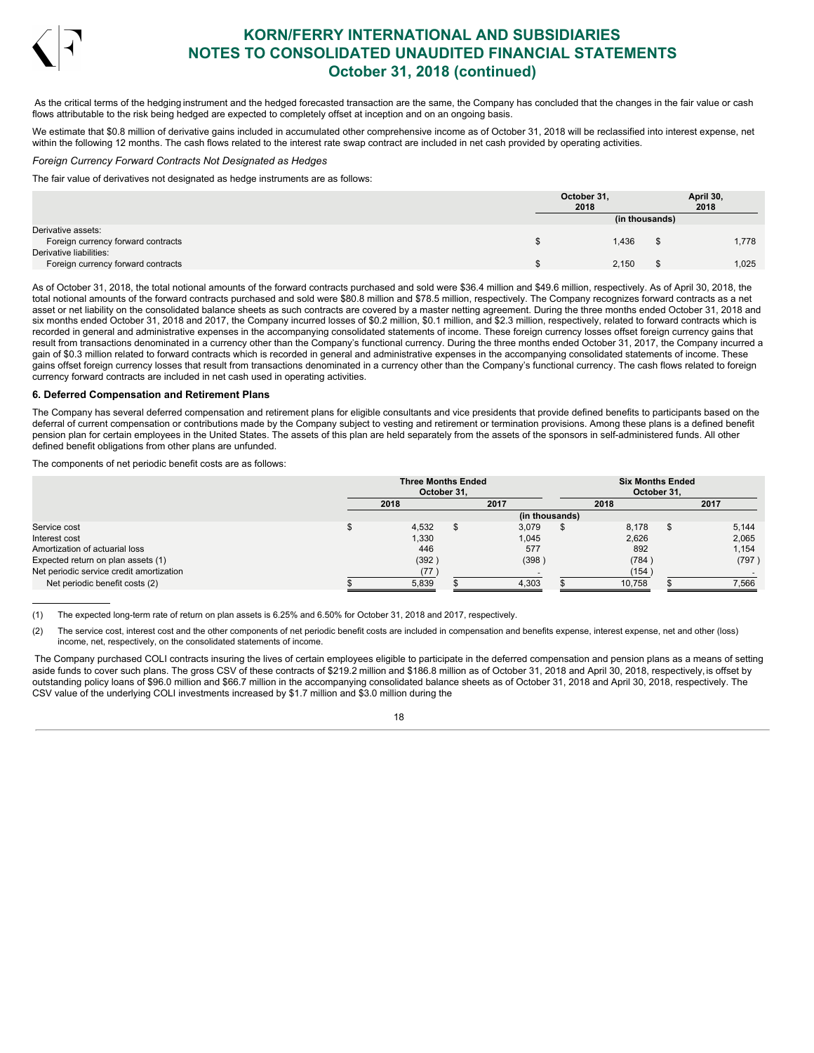

As the critical terms of the hedging instrument and the hedged forecasted transaction are the same, the Company has concluded that the changes in the fair value or cash flows attributable to the risk being hedged are expected to completely offset at inception and on an ongoing basis.

We estimate that \$0.8 million of derivative gains included in accumulated other comprehensive income as of October 31, 2018 will be reclassified into interest expense, net within the following 12 months. The cash flows related to the interest rate swap contract are included in net cash provided by operating activities.

### *Foreign Currency Forward Contracts Not Designated as Hedges*

The fair value of derivatives not designated as hedge instruments are as follows:

|                                                          | October 31,<br>2018 |                | April 30,<br>2018 |
|----------------------------------------------------------|---------------------|----------------|-------------------|
|                                                          |                     | (in thousands) |                   |
| Derivative assets:<br>Foreign currency forward contracts |                     | 1,436          | 1,778             |
| Derivative liabilities:                                  |                     |                |                   |
| Foreign currency forward contracts                       |                     | 2,150          | 1,025             |

As of October 31, 2018, the total notional amounts of the forward contracts purchased and sold were \$36.4 million and \$49.6 million, respectively. As of April 30, 2018, the total notional amounts of the forward contracts purchased and sold were \$80.8 million and \$78.5 million, respectively. The Company recognizes forward contracts as a net asset or net liability on the consolidated balance sheets as such contracts are covered by a master netting agreement. During the three months ended October 31, 2018 and six months ended October 31, 2018 and 2017, the Company incurred losses of \$0.2 million, \$0.1 million, and \$2.3 million, respectively, related to forward contracts which is recorded in general and administrative expenses in the accompanying consolidated statements of income. These foreign currency losses offset foreign currency gains that result from transactions denominated in a currency other than the Company's functional currency. During the three months ended October 31, 2017, the Company incurred a gain of \$0.3 million related to forward contracts which is recorded in general and administrative expenses in the accompanying consolidated statements of income. These gains offset foreign currency losses that result from transactions denominated in a currency other than the Company's functional currency. The cash flows related to foreign currency forward contracts are included in net cash used in operating activities.

### **6. Deferred Compensation and Retirement Plans**

The Company has several deferred compensation and retirement plans for eligible consultants and vice presidents that provide defined benefits to participants based on the deferral of current compensation or contributions made by the Company subject to vesting and retirement or termination provisions. Among these plans is a defined benefit pension plan for certain employees in the United States. The assets of this plan are held separately from the assets of the sponsors in self-administered funds. All other defined benefit obligations from other plans are unfunded.

The components of net periodic benefit costs are as follows:

|                                          | <b>Three Months Ended</b><br>October 31. |       |  |                |  | <b>Six Months Ended</b><br>October 31. |    |        |  |  |
|------------------------------------------|------------------------------------------|-------|--|----------------|--|----------------------------------------|----|--------|--|--|
|                                          | 2018                                     |       |  | 2017           |  | 2018                                   |    | 2017   |  |  |
|                                          |                                          |       |  | (in thousands) |  |                                        |    |        |  |  |
| Service cost                             |                                          | 4,532 |  | 3.079          |  | 8.178                                  | £. | 5.144  |  |  |
| Interest cost                            |                                          | 1,330 |  | 1.045          |  | 2,626                                  |    | 2,065  |  |  |
| Amortization of actuarial loss           |                                          | 446   |  | 577            |  | 892                                    |    | 1,154  |  |  |
| Expected return on plan assets (1)       |                                          | (392) |  | (398)          |  | (784)                                  |    | (797 ) |  |  |
| Net periodic service credit amortization |                                          | (77   |  |                |  | (154)                                  |    |        |  |  |
| Net periodic benefit costs (2)           |                                          | 5,839 |  | 4,303          |  | 10,758                                 |    | 7,566  |  |  |

(1) The expected long-term rate of return on plan assets is 6.25% and 6.50% for October 31, 2018 and 2017, respectively.

(2) The service cost, interest cost and the other components of net periodic benefit costs are included in compensation and benefits expense, interest expense, net and other (loss) income, net, respectively, on the consolidated statements of income.

The Company purchased COLI contracts insuring the lives of certain employees eligible to participate in the deferred compensation and pension plans as a means of setting aside funds to cover such plans. The gross CSV of these contracts of \$219.2 million and \$186.8 million as of October 31, 2018 and April 30, 2018, respectively,is offset by outstanding policy loans of \$96.0 million and \$66.7 million in the accompanying consolidated balance sheets as of October 31, 2018 and April 30, 2018, respectively. The CSV value of the underlying COLI investments increased by \$1.7 million and \$3.0 million during the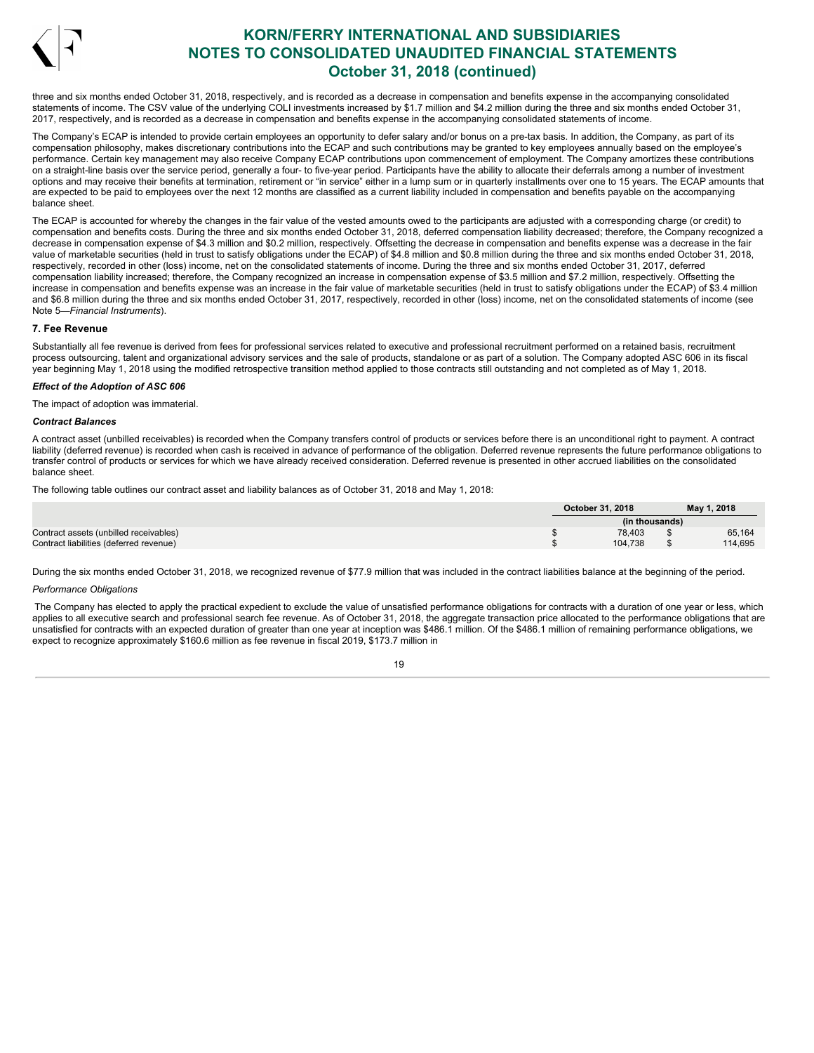

three and six months ended October 31, 2018, respectively, and is recorded as a decrease in compensation and benefits expense in the accompanying consolidated statements of income. The CSV value of the underlying COLI investments increased by \$1.7 million and \$4.2 million during the three and six months ended October 31, 2017, respectively, and is recorded as a decrease in compensation and benefits expense in the accompanying consolidated statements of income.

The Company's ECAP is intended to provide certain employees an opportunity to defer salary and/or bonus on a pre-tax basis. In addition, the Company, as part of its compensation philosophy, makes discretionary contributions into the ECAP and such contributions may be granted to key employees annually based on the employee's performance. Certain key management may also receive Company ECAP contributions upon commencement of employment. The Company amortizes these contributions on a straight-line basis over the service period, generally a four- to five-year period. Participants have the ability to allocate their deferrals among a number of investment options and may receive their benefits at termination, retirement or "in service" either in a lump sum or in quarterly installments over one to 15 years. The ECAP amounts that are expected to be paid to employees over the next 12 months are classified as a current liability included in compensation and benefits payable on the accompanying balance sheet.

The ECAP is accounted for whereby the changes in the fair value of the vested amounts owed to the participants are adjusted with a corresponding charge (or credit) to compensation and benefits costs. During the three and six months ended October 31, 2018, deferred compensation liability decreased; therefore, the Company recognized a decrease in compensation expense of \$4.3 million and \$0.2 million, respectively. Offsetting the decrease in compensation and benefits expense was a decrease in the fair value of marketable securities (held in trust to satisfy obligations under the ECAP) of \$4.8 million and \$0.8 million during the three and six months ended October 31, 2018, respectively, recorded in other (loss) income, net on the consolidated statements of income. During the three and six months ended October 31, 2017, deferred compensation liability increased; therefore, the Company recognized an increase in compensation expense of \$3.5 million and \$7.2 million, respectively. Offsetting the increase in compensation and benefits expense was an increase in the fair value of marketable securities (held in trust to satisfy obligations under the ECAP) of \$3.4 million and \$6.8 million during the three and six months ended October 31, 2017, respectively, recorded in other (loss) income, net on the consolidated statements of income (see Note 5—*Financial Instruments*).

### **7. Fee Revenue**

Substantially all fee revenue is derived from fees for professional services related to executive and professional recruitment performed on a retained basis, recruitment process outsourcing, talent and organizational advisory services and the sale of products, standalone or as part of a solution. The Company adopted ASC 606 in its fiscal year beginning May 1, 2018 using the modified retrospective transition method applied to those contracts still outstanding and not completed as of May 1, 2018.

### *Effect of the Adoption of ASC 606*

The impact of adoption was immaterial.

### *Contract Balances*

A contract asset (unbilled receivables) is recorded when the Company transfers control of products or services before there is an unconditional right to payment. A contract liability (deferred revenue) is recorded when cash is received in advance of performance of the obligation. Deferred revenue represents the future performance obligations to transfer control of products or services for which we have already received consideration. Deferred revenue is presented in other accrued liabilities on the consolidated balance sheet.

The following table outlines our contract asset and liability balances as of October 31, 2018 and May 1, 2018:

|                                         | October 31, 2018 |                | May 1, 2018 |
|-----------------------------------------|------------------|----------------|-------------|
|                                         |                  | (in thousands) |             |
| Contract assets (unbilled receivables)  |                  | 78.403         | 65,164      |
| Contract liabilities (deferred revenue) |                  | 104.738        | 114,695     |

During the six months ended October 31, 2018, we recognized revenue of \$77.9 million that was included in the contract liabilities balance at the beginning of the period.

## *Performance Obligations*

The Company has elected to apply the practical expedient to exclude the value of unsatisfied performance obligations for contracts with a duration of one year or less, which applies to all executive search and professional search fee revenue. As of October 31, 2018, the aggregate transaction price allocated to the performance obligations that are unsatisfied for contracts with an expected duration of greater than one year at inception was \$486.1 million. Of the \$486.1 million of remaining performance obligations, we expect to recognize approximately \$160.6 million as fee revenue in fiscal 2019, \$173.7 million in

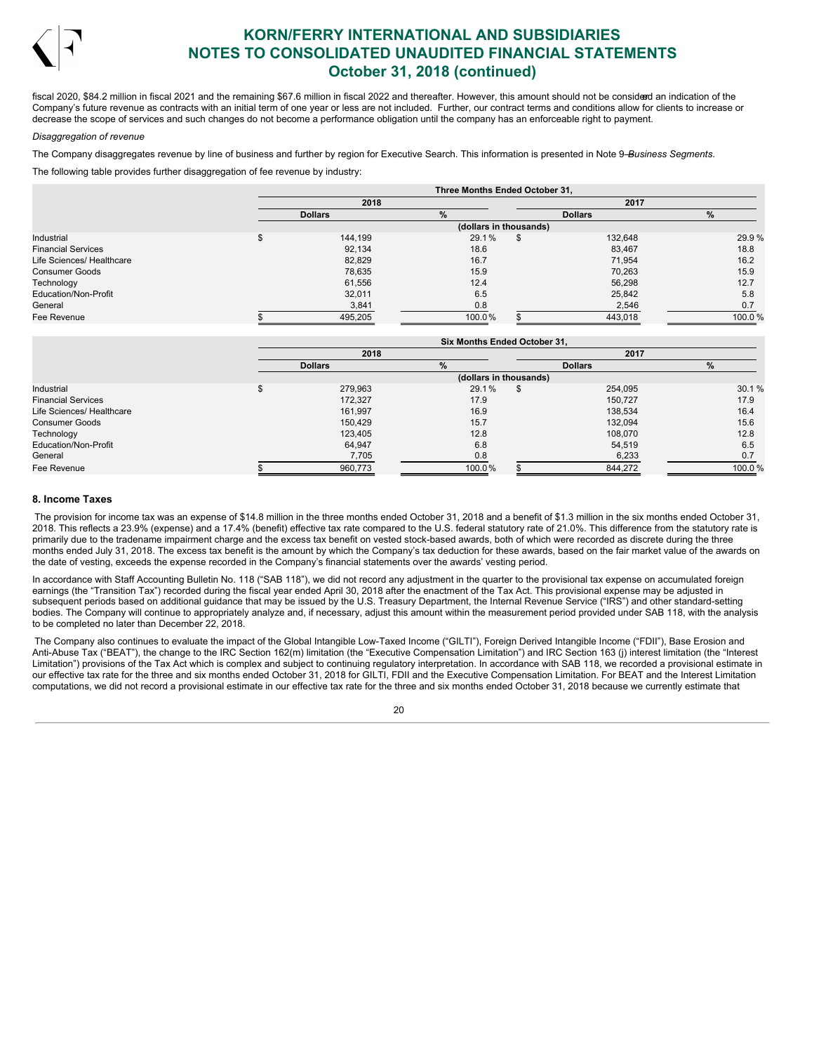

fiscal 2020, \$84.2 million in fiscal 2021 and the remaining \$67.6 million in fiscal 2022 and thereafter. However, this amount should not be considerd an indication of the Company's future revenue as contracts with an initial term of one year or less are not included. Further, our contract terms and conditions allow for clients to increase or decrease the scope of services and such changes do not become a performance obligation until the company has an enforceable right to payment.

### *Disaggregation of revenue*

The Company disaggregates revenue by line of business and further by region for Executive Search. This information is presented in Note 9—*Business Segments*.

The following table provides further disaggregation of fee revenue by industry:

|                           |                        | Three Months Ended October 31. |  |                |        |  |  |  |  |  |  |  |
|---------------------------|------------------------|--------------------------------|--|----------------|--------|--|--|--|--|--|--|--|
|                           | 2018                   |                                |  | 2017           |        |  |  |  |  |  |  |  |
|                           | <b>Dollars</b>         | $\%$                           |  | <b>Dollars</b> | %      |  |  |  |  |  |  |  |
|                           | (dollars in thousands) |                                |  |                |        |  |  |  |  |  |  |  |
| Industrial                | 144,199                | 29.1%                          |  | 132,648        | 29.9%  |  |  |  |  |  |  |  |
| <b>Financial Services</b> | 92,134                 | 18.6                           |  | 83,467         | 18.8   |  |  |  |  |  |  |  |
| Life Sciences/ Healthcare | 82,829                 | 16.7                           |  | 71.954         | 16.2   |  |  |  |  |  |  |  |
| <b>Consumer Goods</b>     | 78,635                 | 15.9                           |  | 70.263         | 15.9   |  |  |  |  |  |  |  |
| Technology                | 61,556                 | 12.4                           |  | 56.298         | 12.7   |  |  |  |  |  |  |  |
| Education/Non-Profit      | 32,011                 | 6.5                            |  | 25.842         | 5.8    |  |  |  |  |  |  |  |
| General                   | 3,841                  | 0.8                            |  | 2,546          | 0.7    |  |  |  |  |  |  |  |
| Fee Revenue               | 495,205                | 100.0%                         |  | 443,018        | 100.0% |  |  |  |  |  |  |  |

|                           |                | <b>Six Months Ended October 31.</b> |                |        |
|---------------------------|----------------|-------------------------------------|----------------|--------|
|                           | 2018           |                                     | 2017           |        |
|                           | <b>Dollars</b> | %                                   | <b>Dollars</b> | $\%$   |
|                           |                | (dollars in thousands)              |                |        |
| Industrial                | 279,963        | 29.1%                               | \$<br>254,095  | 30.1%  |
| <b>Financial Services</b> | 172,327        | 17.9                                | 150,727        | 17.9   |
| Life Sciences/ Healthcare | 161,997        | 16.9                                | 138,534        | 16.4   |
| <b>Consumer Goods</b>     | 150.429        | 15.7                                | 132.094        | 15.6   |
| Technology                | 123,405        | 12.8                                | 108.070        | 12.8   |
| Education/Non-Profit      | 64,947         | 6.8                                 | 54.519         | 6.5    |
| General                   | 7,705          | 0.8                                 | 6,233          | 0.7    |
| Fee Revenue               | 960,773        | 100.0%                              | 844.272        | 100.0% |

### **8. Income Taxes**

The provision for income tax was an expense of \$14.8 million in the three months ended October 31, 2018 and a benefit of \$1.3 million in the six months ended October 31, 2018. This reflects a 23.9% (expense) and a 17.4% (benefit) effective tax rate compared to the U.S. federal statutory rate of 21.0%. This difference from the statutory rate is primarily due to the tradename impairment charge and the excess tax benefit on vested stock-based awards, both of which were recorded as discrete during the three months ended July 31, 2018. The excess tax benefit is the amount by which the Company's tax deduction for these awards, based on the fair market value of the awards on the date of vesting, exceeds the expense recorded in the Company's financial statements over the awards' vesting period.

In accordance with Staff Accounting Bulletin No. 118 ("SAB 118"), we did not record any adjustment in the quarter to the provisional tax expense on accumulated foreign earnings (the "Transition Tax") recorded during the fiscal year ended April 30, 2018 after the enactment of the Tax Act. This provisional expense may be adjusted in subsequent periods based on additional guidance that may be issued by the U.S. Treasury Department, the Internal Revenue Service ("IRS") and other standard-setting bodies. The Company will continue to appropriately analyze and, if necessary, adjust this amount within the measurement period provided under SAB 118, with the analysis to be completed no later than December 22, 2018.

The Company also continues to evaluate the impact of the Global Intangible Low-Taxed Income ("GILTI"), Foreign Derived Intangible Income ("FDII"), Base Erosion and Anti-Abuse Tax ("BEAT"), the change to the IRC Section 162(m) limitation (the "Executive Compensation Limitation") and IRC Section 163 (j) interest limitation (the "Interest Limitation") provisions of the Tax Act which is complex and subject to continuing regulatory interpretation. In accordance with SAB 118, we recorded a provisional estimate in our effective tax rate for the three and six months ended October 31, 2018 for GILTI, FDII and the Executive Compensation Limitation. For BEAT and the Interest Limitation computations, we did not record a provisional estimate in our effective tax rate for the three and six months ended October 31, 2018 because we currently estimate that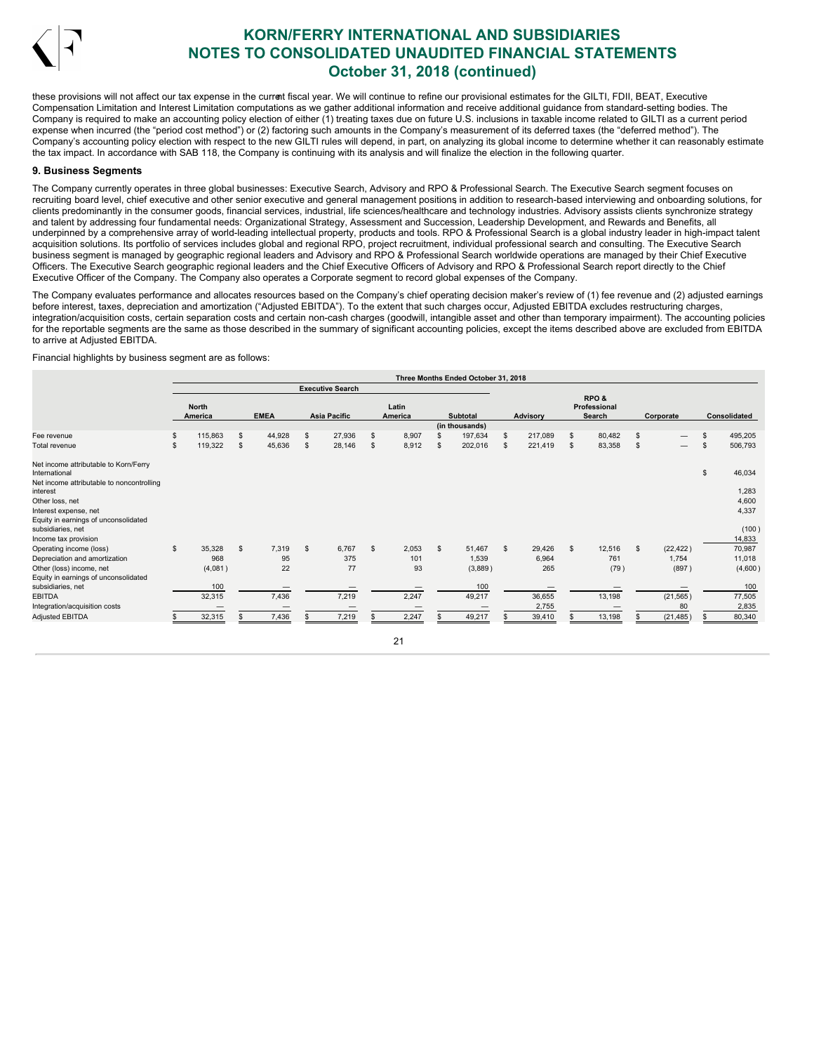

these provisions will not affect our tax expense in the current fiscal year. We will continue to refine our provisional estimates for the GILTI, FDII, BEAT. Executive Compensation Limitation and Interest Limitation computations as we gather additional information and receive additional guidance from standard-setting bodies. The Company is required to make an accounting policy election of either (1) treating taxes due on future U.S. inclusions in taxable income related to GILTI as a current period expense when incurred (the "period cost method") or (2) factoring such amounts in the Company's measurement of its deferred taxes (the "deferred method"). The Company's accounting policy election with respect to the new GILTI rules will depend, in part, on analyzing its global income to determine whether it can reasonably estimate the tax impact. In accordance with SAB 118, the Company is continuing with its analysis and will finalize the election in the following quarter.

### **9. Business Segments**

The Company currently operates in three global businesses: Executive Search, Advisory and RPO & Professional Search. The Executive Search segment focuses on recruiting board level, chief executive and other senior executive and general management positions in addition to research-based interviewing and onboarding solutions, for clients predominantly in the consumer goods, financial services, industrial, life sciences/healthcare and technology industries. Advisory assists clients synchronize strategy and talent by addressing four fundamental needs: Organizational Strategy, Assessment and Succession, Leadership Development, and Rewards and Benefits, all underpinned by a comprehensive array of world-leading intellectual property, products and tools. RPO & Professional Search is a global industry leader in high-impact talent acquisition solutions. Its portfolio of services includes global and regional RPO, project recruitment, individual professional search and consulting. The Executive Search business segment is managed by geographic regional leaders and Advisory and RPO & Professional Search worldwide operations are managed by their Chief Executive Officers. The Executive Search geographic regional leaders and the Chief Executive Officers of Advisory and RPO & Professional Search report directly to the Chief Executive Officer of the Company. The Company also operates a Corporate segment to record global expenses of the Company.

The Company evaluates performance and allocates resources based on the Company's chief operating decision maker's review of (1) fee revenue and (2) adjusted earnings before interest, taxes, depreciation and amortization ("Adjusted EBITDA"). To the extent that such charges occur, Adjusted EBITDA excludes restructuring charges, integration/acquisition costs, certain separation costs and certain non-cash charges (goodwill, intangible asset and other than temporary impairment). The accounting policies for the reportable segments are the same as those described in the summary of significant accounting policies, except the items described above are excluded from EBITDA to arrive at Adjusted EBITDA.

### Financial highlights by business segment are as follows:

|                                                           |                         |    |             |                         |                |                  |                | Three Months Ended October 31, 2018 |     |                 |              |                                |    |           |                |              |
|-----------------------------------------------------------|-------------------------|----|-------------|-------------------------|----------------|------------------|----------------|-------------------------------------|-----|-----------------|--------------|--------------------------------|----|-----------|----------------|--------------|
|                                                           |                         |    |             | <b>Executive Search</b> |                |                  |                |                                     |     |                 |              |                                |    |           |                |              |
|                                                           | <b>North</b><br>America |    | <b>EMEA</b> | <b>Asia Pacific</b>     |                | Latin<br>America |                | <b>Subtotal</b>                     |     | <b>Advisory</b> |              | RPO&<br>Professional<br>Search |    | Corporate |                | Consolidated |
|                                                           |                         |    |             |                         |                |                  |                | (in thousands)                      |     |                 |              |                                |    |           |                |              |
| Fee revenue                                               | \$<br>115,863           | s  | 44,928      | \$<br>27,936            |                | 8,907            |                | 197,634                             | \$  | 217,089         | \$           | 80,482                         | \$ |           | $\mathfrak{s}$ | 495,205      |
| Total revenue                                             | \$<br>119,322           | \$ | 45,636      | \$<br>28,146            | $\mathfrak{s}$ | 8,912            |                | 202,016                             | S.  | 221,419         | \$           | 83,358                         | S  |           | \$.            | 506,793      |
| Net income attributable to Korn/Ferry<br>International    |                         |    |             |                         |                |                  |                |                                     |     |                 |              |                                |    |           | \$             | 46,034       |
| Net income attributable to noncontrolling<br>interest     |                         |    |             |                         |                |                  |                |                                     |     |                 |              |                                |    |           |                | 1,283        |
| Other loss, net                                           |                         |    |             |                         |                |                  |                |                                     |     |                 |              |                                |    |           |                | 4,600        |
| Interest expense, net                                     |                         |    |             |                         |                |                  |                |                                     |     |                 |              |                                |    |           |                | 4,337        |
| Equity in earnings of unconsolidated<br>subsidiaries, net |                         |    |             |                         |                |                  |                |                                     |     |                 |              |                                |    |           |                | (100)        |
| Income tax provision                                      |                         |    |             |                         |                |                  |                |                                     |     |                 |              |                                |    |           |                | 14,833       |
| Operating income (loss)                                   | \$<br>35,328            | \$ | 7,319       | \$<br>6,767             |                | 2,053            | $\mathfrak{s}$ | 51,467                              | \$. | 29,426          | $\mathbf{s}$ | 12,516                         | S  | (22, 422) |                | 70,987       |
| Depreciation and amortization                             | 968                     |    | 95          | 375                     |                | 101              |                | 1,539                               |     | 6,964           |              | 761                            |    | 1,754     |                | 11,018       |
| Other (loss) income, net                                  | (4,081)                 |    | 22          | 77                      |                | 93               |                | (3,889)                             |     | 265             |              | (79)                           |    | (897)     |                | (4,600)      |
| Equity in earnings of unconsolidated                      |                         |    |             |                         |                |                  |                |                                     |     |                 |              |                                |    |           |                |              |
| subsidiaries, net                                         | 100                     |    |             |                         |                |                  |                | 100                                 |     |                 |              |                                |    |           |                | 100          |
| <b>EBITDA</b>                                             | 32,315                  |    | 7,436       | 7,219                   |                | 2,247            |                | 49,217                              |     | 36,655          |              | 13,198                         |    | (21, 565) |                | 77,505       |
| Integration/acquisition costs                             |                         |    |             |                         |                |                  |                |                                     |     | 2,755           |              |                                |    | 80        |                | 2,835        |
| <b>Adjusted EBITDA</b>                                    | 32,315                  |    | 7,436       | 7,219                   |                | 2,247            |                | 49,217                              |     | 39,410          |              | 13,198                         |    | (21, 485) |                | 80,340       |

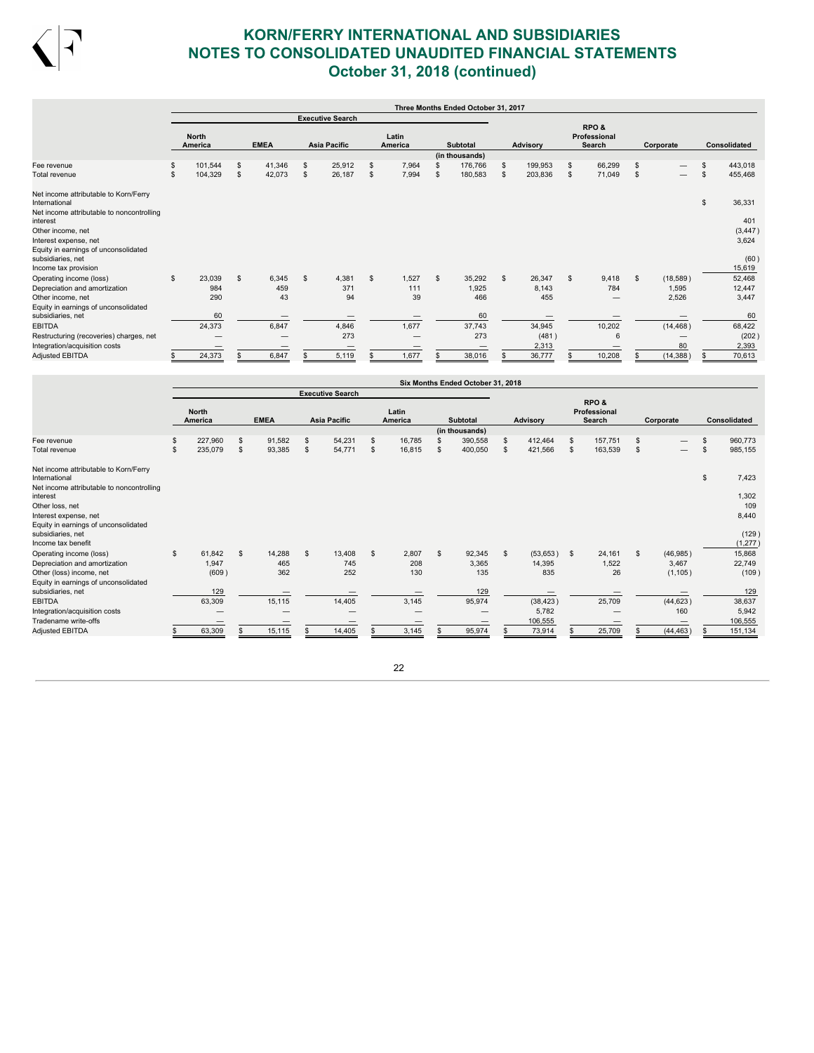

|                                                           |    |                         |              |             |                         |                  |                | Three Months Ended October 31, 2017 |    |                 |              |                                 |                |           |                     |
|-----------------------------------------------------------|----|-------------------------|--------------|-------------|-------------------------|------------------|----------------|-------------------------------------|----|-----------------|--------------|---------------------------------|----------------|-----------|---------------------|
|                                                           |    |                         |              |             | <b>Executive Search</b> |                  |                |                                     |    |                 |              |                                 |                |           |                     |
|                                                           |    | <b>North</b><br>America |              | <b>EMEA</b> | <b>Asia Pacific</b>     | Latin<br>America |                | <b>Subtotal</b>                     |    | <b>Advisory</b> |              | RPO &<br>Professional<br>Search |                | Corporate | <b>Consolidated</b> |
|                                                           |    |                         |              |             |                         |                  |                | (in thousands)                      |    |                 |              |                                 |                |           |                     |
| Fee revenue                                               | \$ | 101,544                 | S            | 41,346      | \$<br>25,912            | 7,964            |                | 176,766                             | \$ | 199,953         | \$           | 66,299                          | \$.            |           | \$<br>443,018       |
| Total revenue                                             | S  | 104,329                 | \$           | 42,073      | \$<br>26,187            | \$<br>7,994      | \$.            | 180,583                             | \$ | 203,836         | S            | 71,049                          | $\mathfrak{s}$ |           | \$<br>455,468       |
| Net income attributable to Korn/Ferry<br>International    |    |                         |              |             |                         |                  |                |                                     |    |                 |              |                                 |                |           | \$<br>36,331        |
| Net income attributable to noncontrolling<br>interest     |    |                         |              |             |                         |                  |                |                                     |    |                 |              |                                 |                |           | 401                 |
| Other income, net                                         |    |                         |              |             |                         |                  |                |                                     |    |                 |              |                                 |                |           | (3, 447)            |
| Interest expense, net                                     |    |                         |              |             |                         |                  |                |                                     |    |                 |              |                                 |                |           | 3,624               |
| Equity in earnings of unconsolidated<br>subsidiaries, net |    |                         |              |             |                         |                  |                |                                     |    |                 |              |                                 |                |           |                     |
| Income tax provision                                      |    |                         |              |             |                         |                  |                |                                     |    |                 |              |                                 |                |           | (60)<br>15,619      |
|                                                           | s. | 23,039                  | $\mathbf{s}$ | 6,345       | \$<br>4,381             | \$<br>1,527      | $\mathfrak{s}$ | 35,292                              | s. | 26,347          | $\mathbf{s}$ | 9,418                           | $\mathfrak{s}$ | (18,589)  |                     |
| Operating income (loss)<br>Depreciation and amortization  |    | 984                     |              | 459         | 371                     | 111              |                | 1,925                               |    | 8,143           |              | 784                             |                | 1,595     | 52,468<br>12,447    |
| Other income, net                                         |    | 290                     |              | 43          | 94                      | 39               |                | 466                                 |    | 455             |              | —                               |                | 2,526     | 3,447               |
| Equity in earnings of unconsolidated                      |    |                         |              |             |                         |                  |                |                                     |    |                 |              |                                 |                |           |                     |
| subsidiaries, net                                         |    | 60                      |              |             |                         |                  |                | 60                                  |    |                 |              |                                 |                |           | 60                  |
| <b>EBITDA</b>                                             |    | 24,373                  |              | 6,847       | 4,846                   | 1,677            |                | 37,743                              |    | 34,945          |              | 10,202                          |                | (14, 468) | 68,422              |
| Restructuring (recoveries) charges, net                   |    |                         |              |             | 273                     |                  |                | 273                                 |    | (481)           |              | 6                               |                |           | (202)               |
| Integration/acquisition costs                             |    |                         |              |             |                         |                  |                |                                     |    | 2,313           |              |                                 |                | 80        | 2,393               |
| Adjusted EBITDA                                           | s  | 24,373                  |              | 6,847       | 5,119                   | 1,677            |                | 38,016                              |    | 36,777          |              | 10,208                          |                | (14, 388) | 70,613              |

|                                                                                                     |                |                         |    |             |                         |                  |    | Six Months Ended October 31, 2018 |                |    |                                |    |           |               |
|-----------------------------------------------------------------------------------------------------|----------------|-------------------------|----|-------------|-------------------------|------------------|----|-----------------------------------|----------------|----|--------------------------------|----|-----------|---------------|
|                                                                                                     |                |                         |    |             | <b>Executive Search</b> |                  |    |                                   |                |    |                                |    |           |               |
|                                                                                                     |                | <b>North</b><br>America |    | <b>EMEA</b> | <b>Asia Pacific</b>     | Latin<br>America |    | <b>Subtotal</b>                   | Advisory       |    | RPO&<br>Professional<br>Search |    | Corporate | Consolidated  |
|                                                                                                     |                |                         |    |             |                         |                  |    | (in thousands)                    |                |    |                                |    |           |               |
| Fee revenue                                                                                         | \$             | 227,960                 | S  | 91,582      | \$<br>54,231            | \$<br>16,785     |    | 390,558                           | \$<br>412,464  | s  | 157,751                        | \$ |           | 960,773       |
| Total revenue                                                                                       | $\mathfrak{s}$ | 235,079                 | \$ | 93,385      | \$<br>54,771            | \$<br>16,815     | £. | 400,050                           | \$<br>421,566  | \$ | 163,539                        | \$ |           | \$<br>985,155 |
| Net income attributable to Korn/Ferry<br>International<br>Net income attributable to noncontrolling |                |                         |    |             |                         |                  |    |                                   |                |    |                                |    |           | \$<br>7,423   |
| interest                                                                                            |                |                         |    |             |                         |                  |    |                                   |                |    |                                |    |           | 1,302         |
| Other loss, net                                                                                     |                |                         |    |             |                         |                  |    |                                   |                |    |                                |    |           | 109           |
| Interest expense, net                                                                               |                |                         |    |             |                         |                  |    |                                   |                |    |                                |    |           | 8,440         |
| Equity in earnings of unconsolidated<br>subsidiaries, net                                           |                |                         |    |             |                         |                  |    |                                   |                |    |                                |    |           | (129)         |
| Income tax benefit                                                                                  |                |                         |    |             |                         |                  |    |                                   |                |    |                                |    |           | (1, 277)      |
| Operating income (loss)                                                                             | \$             | 61,842                  | \$ | 14,288      | \$<br>13,408            | \$<br>2,807      | s. | 92,345                            | \$<br>(53,653) | -S | 24,161                         | s. | (46, 985) | 15,868        |
| Depreciation and amortization                                                                       |                | 1,947                   |    | 465         | 745                     | 208              |    | 3,365                             | 14,395         |    | 1,522                          |    | 3,467     | 22,749        |
| Other (loss) income, net                                                                            |                | (609)                   |    | 362         | 252                     | 130              |    | 135                               | 835            |    | 26                             |    | (1, 105)  | (109)         |
| Equity in earnings of unconsolidated<br>subsidiaries, net                                           |                | 129                     |    |             |                         |                  |    | 129                               |                |    |                                |    |           | 129           |
| <b>EBITDA</b>                                                                                       |                | 63,309                  |    | 15,115      | 14,405                  | 3,145            |    | 95,974                            | (38, 423)      |    | 25,709                         |    | (44, 623) | 38,637        |
| Integration/acquisition costs                                                                       |                |                         |    | –           |                         |                  |    |                                   | 5,782          |    |                                |    | 160       | 5,942         |
| Tradename write-offs                                                                                |                |                         |    | –           | –                       |                  |    |                                   | 106,555        |    | –                              |    |           | 106,555       |
| Adjusted EBITDA                                                                                     |                | 63,309                  |    | 15,115      | 14,405                  | 3,145            |    | 95,974                            | 73,914         |    | 25,709                         |    | (44, 463) | 151,134       |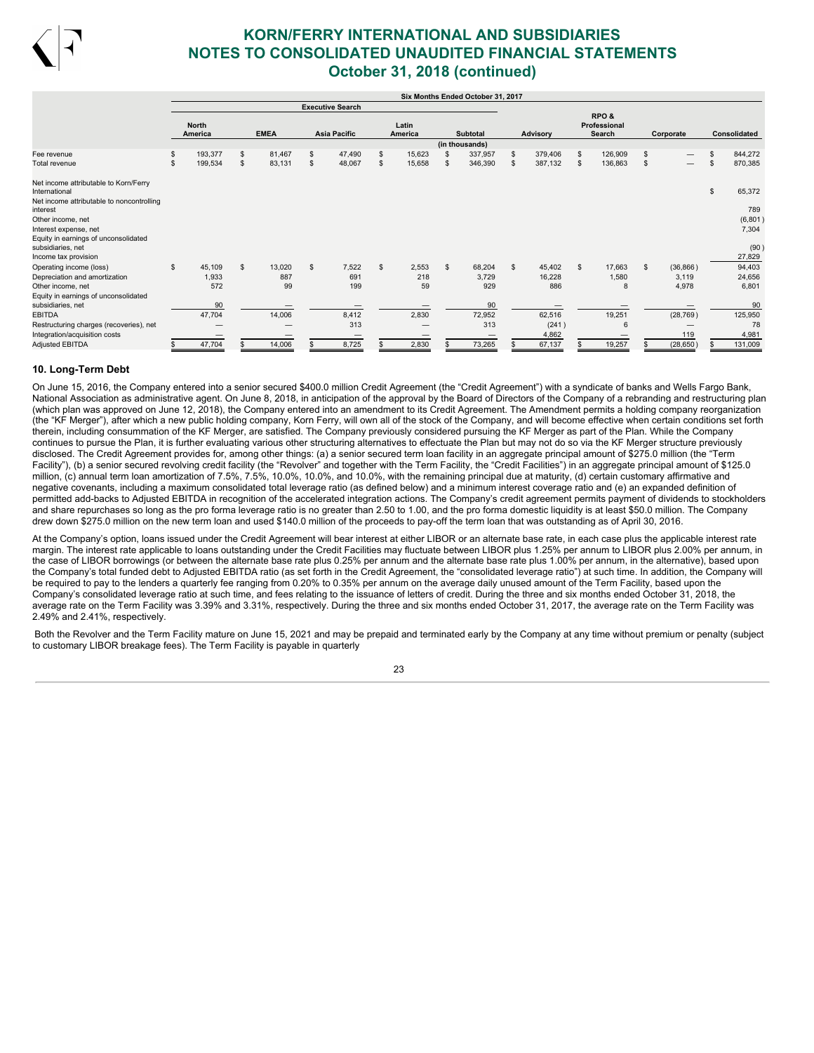

|                                                        |    |                         |              |                |                          |                |                  | Six Months Ended October 31, 2017 |                 |                                                       |    |                          |                     |
|--------------------------------------------------------|----|-------------------------|--------------|----------------|--------------------------|----------------|------------------|-----------------------------------|-----------------|-------------------------------------------------------|----|--------------------------|---------------------|
|                                                        |    |                         |              |                | <b>Executive Search</b>  |                |                  |                                   |                 |                                                       |    |                          |                     |
|                                                        |    | <b>North</b><br>America | <b>EMEA</b>  |                | Asia Pacific             |                | Latin<br>America | <b>Subtotal</b>                   | <b>Advisory</b> | RPO <sub>&amp;</sub><br>Professional<br><b>Search</b> |    | Corporate                | <b>Consolidated</b> |
| Fee revenue                                            | S  | 193,377                 | \$<br>81,467 | $\mathfrak{s}$ | 47,490                   | S.             | 15,623           | (in thousands)<br>337,957         | \$<br>379,406   | 126,909                                               |    |                          | 844,272             |
|                                                        |    | 199,534                 | \$           |                |                          | $\mathfrak{L}$ |                  | \$                                |                 |                                                       | \$ |                          |                     |
| Total revenue                                          | \$ |                         | 83,131       | \$             | 48,067                   |                | 15,658           | 346,390                           | \$<br>387,132   | 136,863                                               |    | $\overline{\phantom{0}}$ | 870,385             |
| Net income attributable to Korn/Ferry<br>International |    |                         |              |                |                          |                |                  |                                   |                 |                                                       |    |                          | \$<br>65,372        |
| Net income attributable to noncontrolling<br>interest  |    |                         |              |                |                          |                |                  |                                   |                 |                                                       |    |                          | 789                 |
| Other income, net                                      |    |                         |              |                |                          |                |                  |                                   |                 |                                                       |    |                          | (6, 801)            |
| Interest expense, net                                  |    |                         |              |                |                          |                |                  |                                   |                 |                                                       |    |                          | 7,304               |
| Equity in earnings of unconsolidated                   |    |                         |              |                |                          |                |                  |                                   |                 |                                                       |    |                          |                     |
| subsidiaries, net                                      |    |                         |              |                |                          |                |                  |                                   |                 |                                                       |    |                          | (90)                |
| Income tax provision                                   |    |                         |              |                |                          |                |                  |                                   |                 |                                                       |    |                          | 27,829              |
| Operating income (loss)                                | \$ | 45,109                  | \$<br>13,020 | $\mathfrak{s}$ | 7,522                    | $\mathfrak{s}$ | 2,553            | \$<br>68,204                      | \$<br>45,402    | 17,663                                                | £. | (36, 866)                | 94,403              |
| Depreciation and amortization                          |    | 1,933                   | 887          |                | 691                      |                | 218              | 3,729                             | 16,228          | 1,580                                                 |    | 3,119                    | 24,656              |
| Other income, net                                      |    | 572                     | 99           |                | 199                      |                | 59               | 929                               | 886             | 8                                                     |    | 4,978                    | 6,801               |
| Equity in earnings of unconsolidated                   |    |                         |              |                |                          |                |                  |                                   |                 |                                                       |    |                          |                     |
| subsidiaries, net                                      |    | 90                      |              |                |                          |                |                  | 90                                |                 |                                                       |    |                          | 90                  |
| <b>EBITDA</b>                                          |    | 47,704                  | 14,006       |                | 8,412                    |                | 2,830            | 72,952                            | 62,516          | 19,251                                                |    | (28, 769)                | 125,950             |
| Restructuring charges (recoveries), net                |    |                         |              |                | 313                      |                |                  | 313                               | (241)           | 6                                                     |    |                          | 78                  |
| Integration/acquisition costs                          |    |                         |              |                | $\overline{\phantom{m}}$ |                |                  |                                   | 4,862           |                                                       |    | 119                      | 4,981               |
| <b>Adjusted EBITDA</b>                                 |    | 47,704                  | 14,006       |                | 8,725                    |                | 2,830            | 73,265                            | 67,137          | 19,257                                                |    | (28, 650)                | 131,009             |

### **10. Long-Term Debt**

On June 15, 2016, the Company entered into a senior secured \$400.0 million Credit Agreement (the "Credit Agreement") with a syndicate of banks and Wells Fargo Bank, National Association as administrative agent. On June 8, 2018, in anticipation of the approval by the Board of Directors of the Company of a rebranding and restructuring plan (which plan was approved on June 12, 2018), the Company entered into an amendment to its Credit Agreement. The Amendment permits a holding company reorganization (the "KF Merger"), after which a new public holding company, Korn Ferry, will own all of the stock of the Company, and will become effective when certain conditions set forth therein, including consummation of the KF Merger, are satisfied. The Company previously considered pursuing the KF Merger as part of the Plan. While the Company continues to pursue the Plan, it is further evaluating various other structuring alternatives to effectuate the Plan but may not do so via the KF Merger structure previously disclosed. The Credit Agreement provides for, among other things: (a) a senior secured term loan facility in an aggregate principal amount of \$275.0 million (the "Term Facility"), (b) a senior secured revolving credit facility (the "Revolver" and together with the Term Facility, the "Credit Facilities") in an aggregate principal amount of \$125.0 million, (c) annual term loan amortization of 7.5%, 7.5%, 10.0%, 10.0%, and 10.0%, with the remaining principal due at maturity, (d) certain customary affirmative and negative covenants, including a maximum consolidated total leverage ratio (as defined below) and a minimum interest coverage ratio and (e) an expanded definition of permitted add-backs to Adjusted EBITDA in recognition of the accelerated integration actions. The Company's credit agreement permits payment of dividends to stockholders and share repurchases so long as the pro forma leverage ratio is no greater than 2.50 to 1.00, and the pro forma domestic liquidity is at least \$50.0 million. The Company drew down \$275.0 million on the new term loan and used \$140.0 million of the proceeds to pay-off the term loan that was outstanding as of April 30, 2016.

At the Company's option, loans issued under the Credit Agreement will bear interest at either LIBOR or an alternate base rate, in each case plus the applicable interest rate margin. The interest rate applicable to loans outstanding under the Credit Facilities may fluctuate between LIBOR plus 1.25% per annum to LIBOR plus 2.00% per annum, in the case of LIBOR borrowings (or between the alternate base rate plus 0.25% per annum and the alternate base rate plus 1.00% per annum, in the alternative), based upon the Company's total funded debt to Adjusted EBITDA ratio (as set forth in the Credit Agreement, the "consolidated leverage ratio") at such time. In addition, the Company will be required to pay to the lenders a quarterly fee ranging from 0.20% to 0.35% per annum on the average daily unused amount of the Term Facility, based upon the Company's consolidated leverage ratio at such time, and fees relating to the issuance of letters of credit. During the three and six months ended October 31, 2018, the average rate on the Term Facility was 3.39% and 3.31%, respectively. During the three and six months ended October 31, 2017, the average rate on the Term Facility was 2.49% and 2.41%, respectively.

Both the Revolver and the Term Facility mature on June 15, 2021 and may be prepaid and terminated early by the Company at any time without premium or penalty (subject to customary LIBOR breakage fees). The Term Facility is payable in quarterly

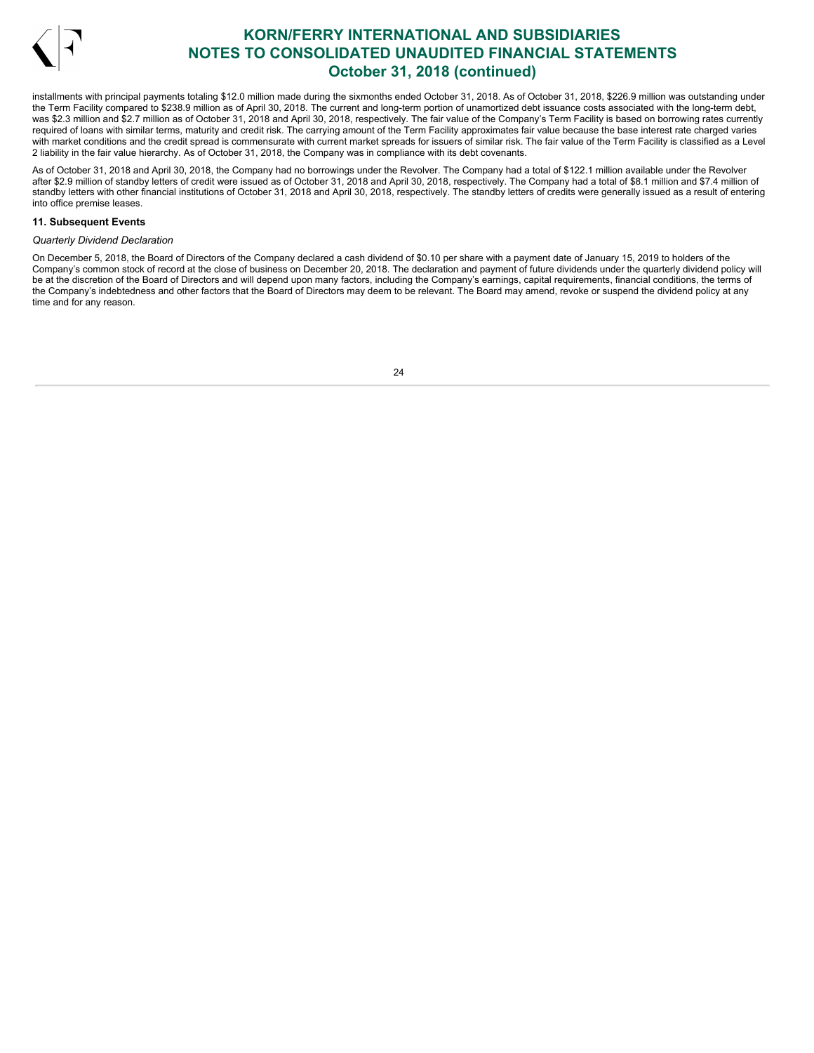

installments with principal payments totaling \$12.0 million made during the sixmonths ended October 31, 2018. As of October 31, 2018, \$226.9 million was outstanding under the Term Facility compared to \$238.9 million as of April 30, 2018. The current and long-term portion of unamortized debt issuance costs associated with the long-term debt, was \$2.3 million and \$2.7 million as of October 31, 2018 and April 30, 2018, respectively. The fair value of the Company's Term Facility is based on borrowing rates currently required of loans with similar terms, maturity and credit risk. The carrying amount of the Term Facility approximates fair value because the base interest rate charged varies with market conditions and the credit spread is commensurate with current market spreads for issuers of similar risk. The fair value of the Term Facility is classified as a Level 2 liability in the fair value hierarchy. As of October 31, 2018, the Company was in compliance with its debt covenants.

As of October 31, 2018 and April 30, 2018, the Company had no borrowings under the Revolver. The Company had a total of \$122.1 million available under the Revolver after \$2.9 million of standby letters of credit were issued as of October 31, 2018 and April 30, 2018, respectively. The Company had a total of \$8.1 million and \$7.4 million of standby letters with other financial institutions of October 31, 2018 and April 30, 2018, respectively. The standby letters of credits were generally issued as a result of entering into office premise leases.

### **11. Subsequent Events**

## *Quarterly Dividend Declaration*

On December 5, 2018, the Board of Directors of the Company declared a cash dividend of \$0.10 per share with a payment date of January 15, 2019 to holders of the Company's common stock of record at the close of business on December 20, 2018. The declaration and payment of future dividends under the quarterly dividend policy will be at the discretion of the Board of Directors and will depend upon many factors, including the Company's earnings, capital requirements, financial conditions, the terms of the Company's indebtedness and other factors that the Board of Directors may deem to be relevant. The Board may amend, revoke or suspend the dividend policy at any time and for any reason.

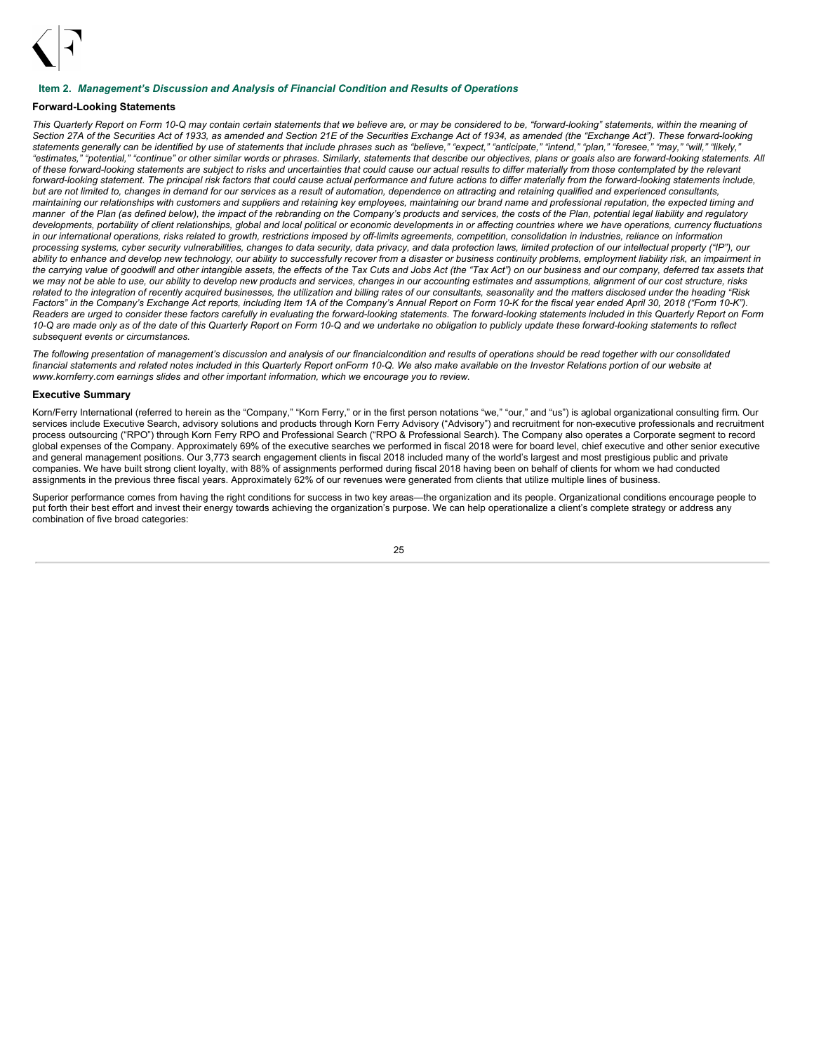

### <span id="page-26-0"></span>**Item 2.** *Management's Discussion and Analysis of Financial Condition and Results of Operations*

### **Forward-Looking Statements**

This Quarterly Report on Form 10-Q may contain certain statements that we believe are, or may be considered to be, "forward-looking" statements, within the meaning of Section 27A of the Securities Act of 1933, as amended and Section 21E of the Securities Exchange Act of 1934, as amended (the "Exchange Act"). These forward-looking statements generally can be identified by use of statements that include phrases such as "believe," "expect," "anticipate," "intend," "plan," "foresee," "may," "will," "likely, "estimates," "potential," "continue" or other similar words or phrases. Similarly, statements that describe our objectives, plans or goals also are forward-looking statements. All of these forward-looking statements are subject to risks and uncertainties that could cause our actual results to differ materially from those contemplated by the relevant forward-looking statement. The principal risk factors that could cause actual performance and future actions to differ materially from the forward-looking statements include, but are not limited to, changes in demand for our services as a result of automation, dependence on attracting and retaining qualified and experienced consultants, maintaining our relationships with customers and suppliers and retaining key employees, maintaining our brand name and professional reputation, the expected timing and manner of the Plan (as defined below), the impact of the rebranding on the Company's products and services, the costs of the Plan, potential legal liability and regulatory developments, portability of client relationships, global and local political or economic developments in or affecting countries where we have operations, currency fluctuations in our international operations, risks related to growth, restrictions imposed by off-limits agreements, competition, consolidation in industries, reliance on information processing systems, cyber security vulnerabilities, changes to data security, data privacy, and data protection laws, limited protection of our intellectual property ("IP"), our ability to enhance and develop new technology, our ability to successfully recover from a disaster or business continuity problems, employment liability risk, an impairment in the carrying value of goodwill and other intangible assets, the effects of the Tax Cuts and Jobs Act (the "Tax Act") on our business and our company, deferred tax assets that we may not be able to use, our ability to develop new products and services, changes in our accounting estimates and assumptions, alignment of our cost structure, risks related to the integration of recently acquired businesses, the utilization and billing rates of our consultants, seasonality and the matters disclosed under the heading "Risk Factors" in the Company's Exchange Act reports, including Item 1A of the Company's Annual Report on Form 10-K for the fiscal year ended April 30, 2018 ("Form 10-K"). Readers are urged to consider these factors carefully in evaluating the forward-looking statements. The forward-looking statements included in this Quarterly Report on Form 10-Q are made only as of the date of this Quarterly Report on Form 10-Q and we undertake no obligation to publicly update these forward-looking statements to reflect *subsequent events or circumstances.*

The following presentation of management's discussion and analysis of our financialcondition and results of operations should be read together with our consolidated financial statements and related notes included in this Quarterly Report onForm 10-Q. We also make available on the Investor Relations portion of our website at *www.kornferry.com earnings slides and other important information, which we encourage you to review.*

## **Executive Summary**

Korn/Ferry International (referred to herein as the "Company," "Korn Ferry," or in the first person notations "we," "our," and "us") is aglobal organizational consulting firm. Our services include Executive Search, advisory solutions and products through Korn Ferry Advisory ("Advisory") and recruitment for non-executive professionals and recruitment process outsourcing ("RPO") through Korn Ferry RPO and Professional Search ("RPO & Professional Search). The Company also operates a Corporate segment to record global expenses of the Company. Approximately 69% of the executive searches we performed in fiscal 2018 were for board level, chief executive and other senior executive and general management positions. Our 3,773 search engagement clients in fiscal 2018 included many of the world's largest and most prestigious public and private companies. We have built strong client loyalty, with 88% of assignments performed during fiscal 2018 having been on behalf of clients for whom we had conducted assignments in the previous three fiscal years. Approximately 62% of our revenues were generated from clients that utilize multiple lines of business.

Superior performance comes from having the right conditions for success in two key areas—the organization and its people. Organizational conditions encourage people to put forth their best effort and invest their energy towards achieving the organization's purpose. We can help operationalize a client's complete strategy or address any combination of five broad categories:

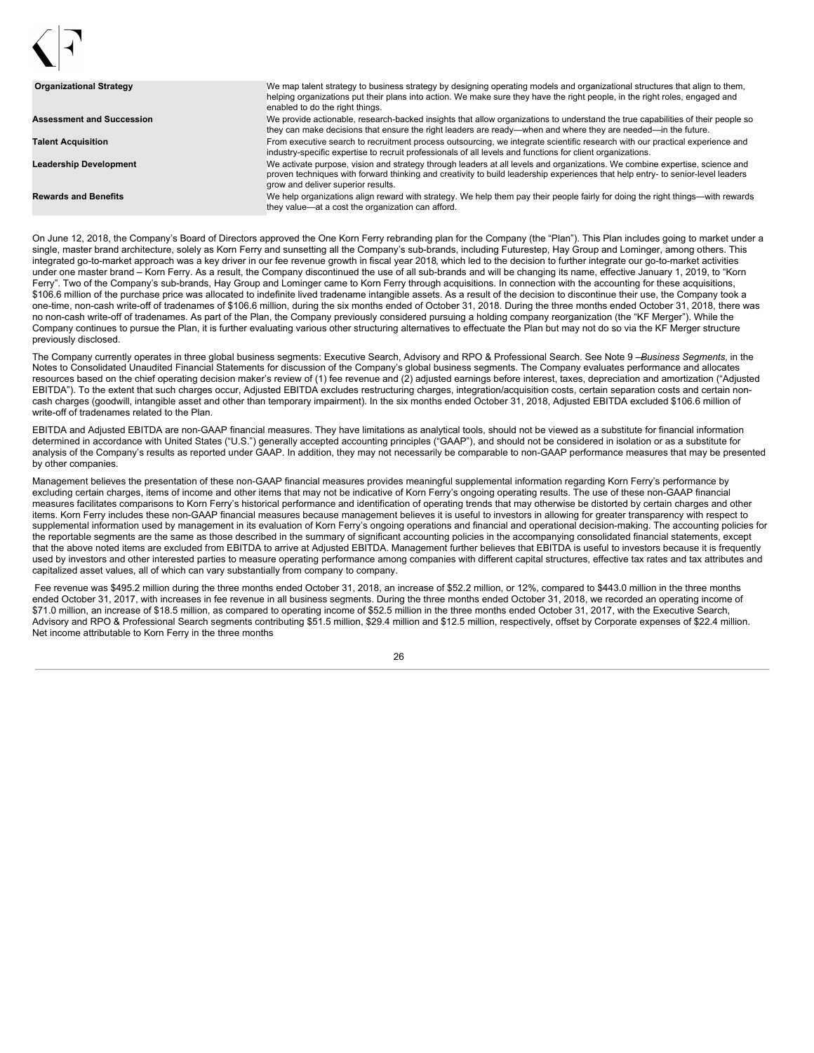| <b>Organizational Strategy</b>   | We map talent strategy to business strategy by designing operating models and organizational structures that align to them,<br>helping organizations put their plans into action. We make sure they have the right people, in the right roles, engaged and<br>enabled to do the right things.        |
|----------------------------------|------------------------------------------------------------------------------------------------------------------------------------------------------------------------------------------------------------------------------------------------------------------------------------------------------|
| <b>Assessment and Succession</b> | We provide actionable, research-backed insights that allow organizations to understand the true capabilities of their people so<br>they can make decisions that ensure the right leaders are ready—when and where they are needed—in the future.                                                     |
| <b>Talent Acquisition</b>        | From executive search to recruitment process outsourcing, we integrate scientific research with our practical experience and<br>industry-specific expertise to recruit professionals of all levels and functions for client organizations.                                                           |
| <b>Leadership Development</b>    | We activate purpose, vision and strategy through leaders at all levels and organizations. We combine expertise, science and<br>proven techniques with forward thinking and creativity to build leadership experiences that help entry- to senior-level leaders<br>grow and deliver superior results. |
| <b>Rewards and Benefits</b>      | We help organizations align reward with strategy. We help them pay their people fairly for doing the right things—with rewards<br>they value-at a cost the organization can afford.                                                                                                                  |

On June 12, 2018, the Company's Board of Directors approved the One Korn Ferry rebranding plan for the Company (the "Plan"). This Plan includes going to market under a single, master brand architecture, solely as Korn Ferry and sunsetting all the Company's sub-brands, including Futurestep, Hay Group and Lominger, among others. This integrated go-to-market approach was a key driver in our fee revenue growth in fiscal year 2018, which led to the decision to further integrate our go-to-market activities under one master brand – Korn Ferry. As a result, the Company discontinued the use of all sub-brands and will be changing its name, effective January 1, 2019, to "Korn Ferry". Two of the Company's sub-brands, Hay Group and Lominger came to Korn Ferry through acquisitions. In connection with the accounting for these acquisitions, \$106.6 million of the purchase price was allocated to indefinite lived tradename intangible assets. As a result of the decision to discontinue their use, the Company took a one-time, non-cash write-off of tradenames of \$106.6 million, during the six months ended of October 31, 2018. During the three months ended October 31, 2018, there was no non-cash write-off of tradenames. As part of the Plan, the Company previously considered pursuing a holding company reorganization (the "KF Merger"). While the Company continues to pursue the Plan, it is further evaluating various other structuring alternatives to effectuate the Plan but may not do so via the KF Merger structure previously disclosed.

The Company currently operates in three global business segments: Executive Search, Advisory and RPO & Professional Search. See Note 9 —*Business Segments,* in the Notes to Consolidated Unaudited Financial Statements for discussion of the Company's global business segments. The Company evaluates performance and allocates resources based on the chief operating decision maker's review of (1) fee revenue and (2) adjusted earnings before interest, taxes, depreciation and amortization ("Adjusted EBITDA"). To the extent that such charges occur, Adjusted EBITDA excludes restructuring charges, integration/acquisition costs, certain separation costs and certain noncash charges (goodwill, intangible asset and other than temporary impairment). In the six months ended October 31, 2018, Adjusted EBITDA excluded \$106.6 million of write-off of tradenames related to the Plan.

EBITDA and Adjusted EBITDA are non-GAAP financial measures. They have limitations as analytical tools, should not be viewed as a substitute for financial information determined in accordance with United States ("U.S.") generally accepted accounting principles ("GAAP"), and should not be considered in isolation or as a substitute for analysis of the Company's results as reported under GAAP. In addition, they may not necessarily be comparable to non-GAAP performance measures that may be presented by other companies.

Management believes the presentation of these non-GAAP financial measures provides meaningful supplemental information regarding Korn Ferry's performance by excluding certain charges, items of income and other items that may not be indicative of Korn Ferry's ongoing operating results. The use of these non-GAAP financial measures facilitates comparisons to Korn Ferry's historical performance and identification of operating trends that may otherwise be distorted by certain charges and other items. Korn Ferry includes these non-GAAP financial measures because management believes it is useful to investors in allowing for greater transparency with respect to supplemental information used by management in its evaluation of Korn Ferry's ongoing operations and financial and operational decision-making. The accounting policies for the reportable segments are the same as those described in the summary of significant accounting policies in the accompanying consolidated financial statements, except that the above noted items are excluded from EBITDA to arrive at Adjusted EBITDA. Management further believes that EBITDA is useful to investors because it is frequently used by investors and other interested parties to measure operating performance among companies with different capital structures, effective tax rates and tax attributes and capitalized asset values, all of which can vary substantially from company to company.

Fee revenue was \$495.2 million during the three months ended October 31, 2018, an increase of \$52.2 million, or 12%, compared to \$443.0 million in the three months ended October 31, 2017, with increases in fee revenue in all business segments. During the three months ended October 31, 2018, we recorded an operating income of \$71.0 million, an increase of \$18.5 million, as compared to operating income of \$52.5 million in the three months ended October 31, 2017, with the Executive Search, Advisory and RPO & Professional Search segments contributing \$51.5 million, \$29.4 million and \$12.5 million, respectively, offset by Corporate expenses of \$22.4 million. Net income attributable to Korn Ferry in the three months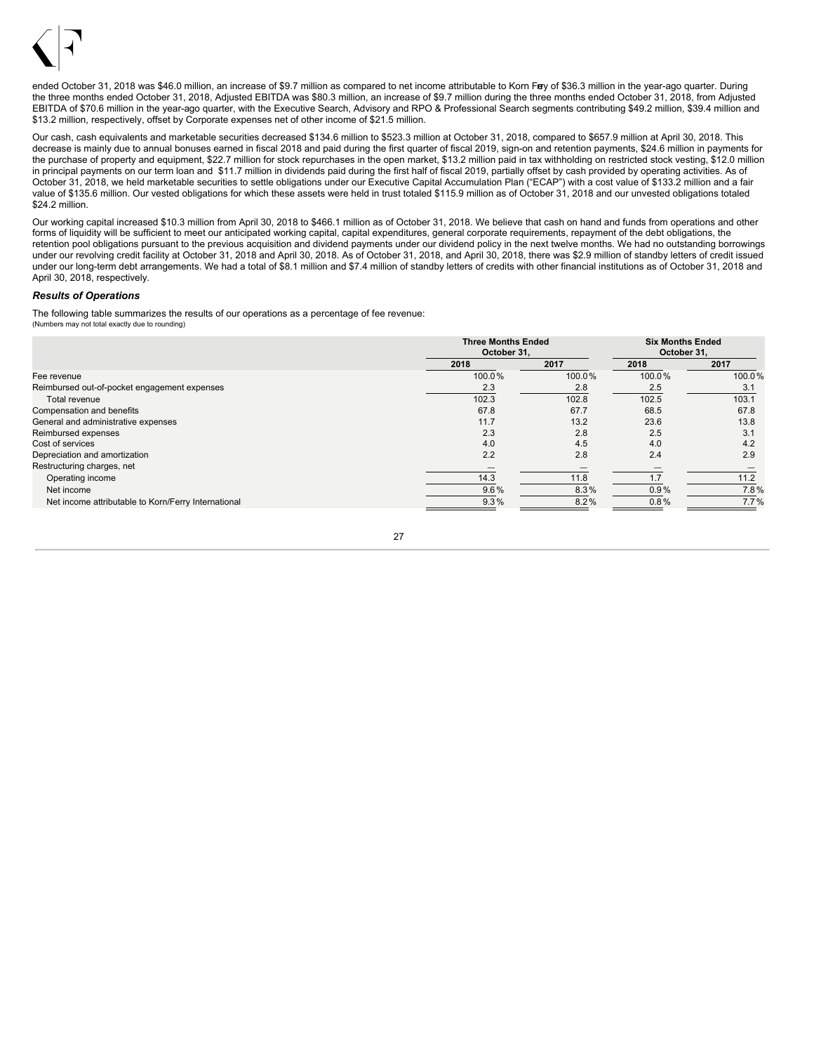

ended October 31, 2018 was \$46.0 million, an increase of \$9.7 million as compared to net income attributable to Korn Frey of \$36.3 million in the year-ago quarter. During the three months ended October 31, 2018, Adjusted EBITDA was \$80.3 million, an increase of \$9.7 million during the three months ended October 31, 2018, from Adjusted EBITDA of \$70.6 million in the year-ago quarter, with the Executive Search, Advisory and RPO & Professional Search segments contributing \$49.2 million, \$39.4 million and \$13.2 million, respectively, offset by Corporate expenses net of other income of \$21.5 million.

Our cash, cash equivalents and marketable securities decreased \$134.6 million to \$523.3 million at October 31, 2018, compared to \$657.9 million at April 30, 2018. This decrease is mainly due to annual bonuses earned in fiscal 2018 and paid during the first quarter of fiscal 2019, sign-on and retention payments, \$24.6 million in payments for the purchase of property and equipment, \$22.7 million for stock repurchases in the open market, \$13.2 million paid in tax withholding on restricted stock vesting, \$12.0 million in principal payments on our term loan and \$11.7 million in dividends paid during the first half of fiscal 2019, partially offset by cash provided by operating activities. As of October 31, 2018, we held marketable securities to settle obligations under our Executive Capital Accumulation Plan ("ECAP") with a cost value of \$133.2 million and a fair value of \$135.6 million. Our vested obligations for which these assets were held in trust totaled \$115.9 million as of October 31, 2018 and our unvested obligations totaled \$24.2 million.

Our working capital increased \$10.3 million from April 30, 2018 to \$466.1 million as of October 31, 2018. We believe that cash on hand and funds from operations and other forms of liquidity will be sufficient to meet our anticipated working capital, capital expenditures, general corporate requirements, repayment of the debt obligations, the retention pool obligations pursuant to the previous acquisition and dividend payments under our dividend policy in the next twelve months. We had no outstanding borrowings under our revolving credit facility at October 31, 2018 and April 30, 2018. As of October 31, 2018, and April 30, 2018, there was \$2.9 million of standby letters of credit issued under our long-term debt arrangements. We had a total of \$8.1 million and \$7.4 million of standby letters of credits with other financial institutions as of October 31, 2018 and April 30, 2018, respectively*.*

### *Results of Operations*

The following table summarizes the results of our operations as a percentage of fee revenue: (Numbers may not total exactly due to rounding)

|                                                     | <b>Three Months Ended</b><br>October 31. |        | <b>Six Months Ended</b><br>October 31. |        |
|-----------------------------------------------------|------------------------------------------|--------|----------------------------------------|--------|
|                                                     | 2018                                     | 2017   | 2018                                   | 2017   |
| Fee revenue                                         | 100.0%                                   | 100.0% | 100.0%                                 | 100.0% |
| Reimbursed out-of-pocket engagement expenses        | 2.3                                      | 2.8    | 2.5                                    | 3.1    |
| Total revenue                                       | 102.3                                    | 102.8  | 102.5                                  | 103.1  |
| Compensation and benefits                           | 67.8                                     | 67.7   | 68.5                                   | 67.8   |
| General and administrative expenses                 | 11.7                                     | 13.2   | 23.6                                   | 13.8   |
| Reimbursed expenses                                 | 2.3                                      | 2.8    | 2.5                                    | 3.1    |
| Cost of services                                    | 4.0                                      | 4.5    | 4.0                                    | 4.2    |
| Depreciation and amortization                       | 2.2                                      | 2.8    | 2.4                                    | 2.9    |
| Restructuring charges, net                          |                                          |        |                                        |        |
| Operating income                                    | 14.3                                     | 11.8   | 1.7                                    | 11.2   |
| Net income                                          | 9.6%                                     | 8.3%   | 0.9%                                   | 7.8%   |
| Net income attributable to Korn/Ferry International | 9.3%                                     | 8.2%   | 0.8%                                   | 7.7%   |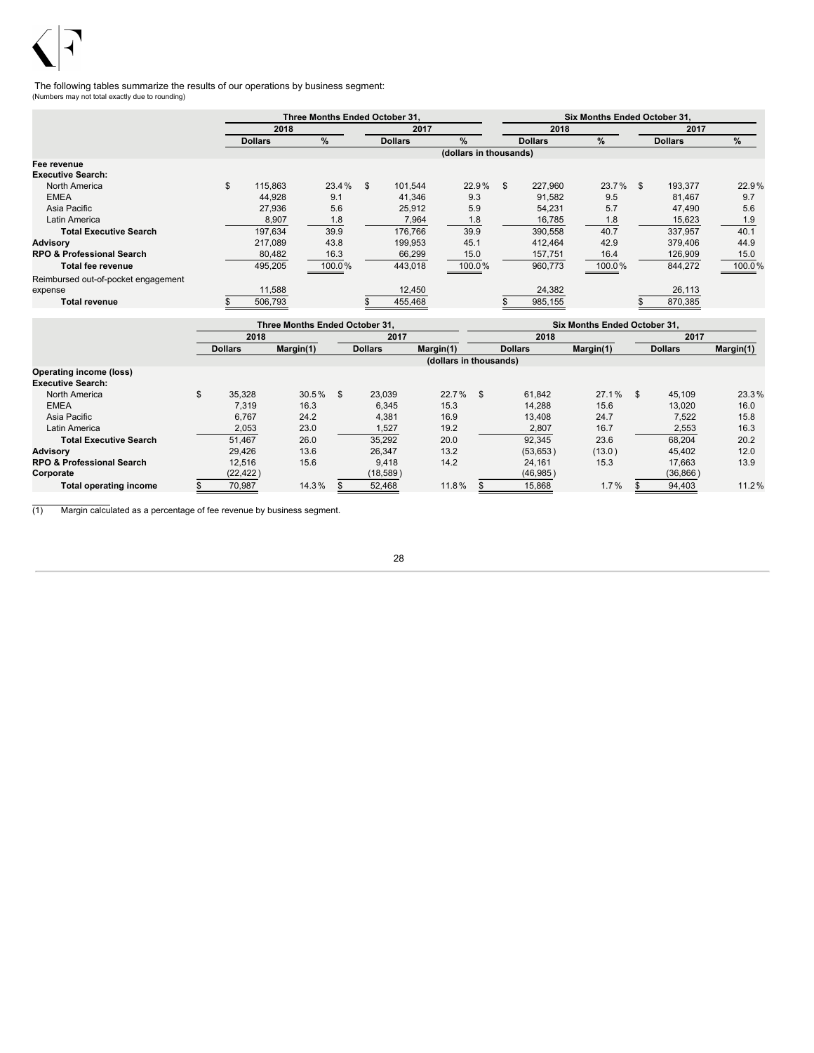

The following tables summarize the results of our operations by business segment: (Numbers may not total exactly due to rounding)

|                                      |                | Three Months Ended October 31. |                |                        |                | Six Months Ended October 31. |                |        |
|--------------------------------------|----------------|--------------------------------|----------------|------------------------|----------------|------------------------------|----------------|--------|
|                                      | 2018           |                                | 2017           |                        | 2018           |                              | 2017           |        |
|                                      | <b>Dollars</b> | %                              | <b>Dollars</b> | $\%$                   | <b>Dollars</b> | $\%$                         | <b>Dollars</b> | %      |
|                                      |                |                                |                | (dollars in thousands) |                |                              |                |        |
| Fee revenue                          |                |                                |                |                        |                |                              |                |        |
| <b>Executive Search:</b>             |                |                                |                |                        |                |                              |                |        |
| North America                        | \$<br>115.863  | 23.4%                          | \$<br>101.544  | 22.9%                  | \$<br>227.960  | $23.7\%$ \$                  | 193,377        | 22.9%  |
| <b>EMEA</b>                          | 44,928         | 9.1                            | 41,346         | 9.3                    | 91,582         | 9.5                          | 81,467         | 9.7    |
| Asia Pacific                         | 27,936         | 5.6                            | 25,912         | 5.9                    | 54,231         | 5.7                          | 47,490         | 5.6    |
| Latin America                        | 8,907          | 1.8                            | 7,964          | 1.8                    | 16,785         | 1.8                          | 15,623         | 1.9    |
| <b>Total Executive Search</b>        | 197,634        | 39.9                           | 176,766        | 39.9                   | 390,558        | 40.7                         | 337,957        | 40.1   |
| <b>Advisory</b>                      | 217,089        | 43.8                           | 199,953        | 45.1                   | 412,464        | 42.9                         | 379,406        | 44.9   |
| <b>RPO &amp; Professional Search</b> | 80,482         | 16.3                           | 66,299         | 15.0                   | 157,751        | 16.4                         | 126,909        | 15.0   |
| Total fee revenue                    | 495,205        | 100.0%                         | 443,018        | 100.0%                 | 960,773        | 100.0%                       | 844,272        | 100.0% |
| Reimbursed out-of-pocket engagement  |                |                                |                |                        |                |                              |                |        |
| expense                              | 11,588         |                                | 12,450         |                        | 24,382         |                              | 26,113         |        |
| <b>Total revenue</b>                 | 506,793        |                                | 455,468        |                        | 985,155        |                              | 870,385        |        |

|                                      |                | Three Months Ended October 31. |     |                |                        |      |                | <b>Six Months Ended October 31.</b> |                |           |
|--------------------------------------|----------------|--------------------------------|-----|----------------|------------------------|------|----------------|-------------------------------------|----------------|-----------|
|                                      | 2018           |                                |     | 2017           |                        |      | 2018           |                                     | 2017           |           |
|                                      | <b>Dollars</b> | Margin(1)                      |     | <b>Dollars</b> | Margin(1)              |      | <b>Dollars</b> | Margin(1)                           | <b>Dollars</b> | Margin(1) |
|                                      |                |                                |     |                | (dollars in thousands) |      |                |                                     |                |           |
| <b>Operating income (loss)</b>       |                |                                |     |                |                        |      |                |                                     |                |           |
| <b>Executive Search:</b>             |                |                                |     |                |                        |      |                |                                     |                |           |
| North America                        | 35.328         | 30.5%                          | \$. | 23.039         | 22.7%                  | - \$ | 61.842         | 27.1%                               | \$<br>45.109   | 23.3%     |
| <b>EMEA</b>                          | 7,319          | 16.3                           |     | 6,345          | 15.3                   |      | 14,288         | 15.6                                | 13,020         | 16.0      |
| Asia Pacific                         | 6.767          | 24.2                           |     | 4,381          | 16.9                   |      | 13.408         | 24.7                                | 7,522          | 15.8      |
| Latin America                        | 2,053          | 23.0                           |     | 1,527          | 19.2                   |      | 2,807          | 16.7                                | 2,553          | 16.3      |
| <b>Total Executive Search</b>        | 51.467         | 26.0                           |     | 35.292         | 20.0                   |      | 92.345         | 23.6                                | 68.204         | 20.2      |
| <b>Advisory</b>                      | 29.426         | 13.6                           |     | 26.347         | 13.2                   |      | (53,653)       | (13.0)                              | 45.402         | 12.0      |
| <b>RPO &amp; Professional Search</b> | 12.516         | 15.6                           |     | 9.418          | 14.2                   |      | 24,161         | 15.3                                | 17.663         | 13.9      |
| Corporate                            | (22, 422)      |                                |     | (18, 589)      |                        |      | (46, 985)      |                                     | (36, 866)      |           |
| <b>Total operating income</b>        | 70.987         | 14.3%                          |     | 52.468         | 11.8%                  |      | 15,868         | 1.7%                                | 94.403         | 11.2%     |

(1) Margin calculated as a percentage of fee revenue by business segment.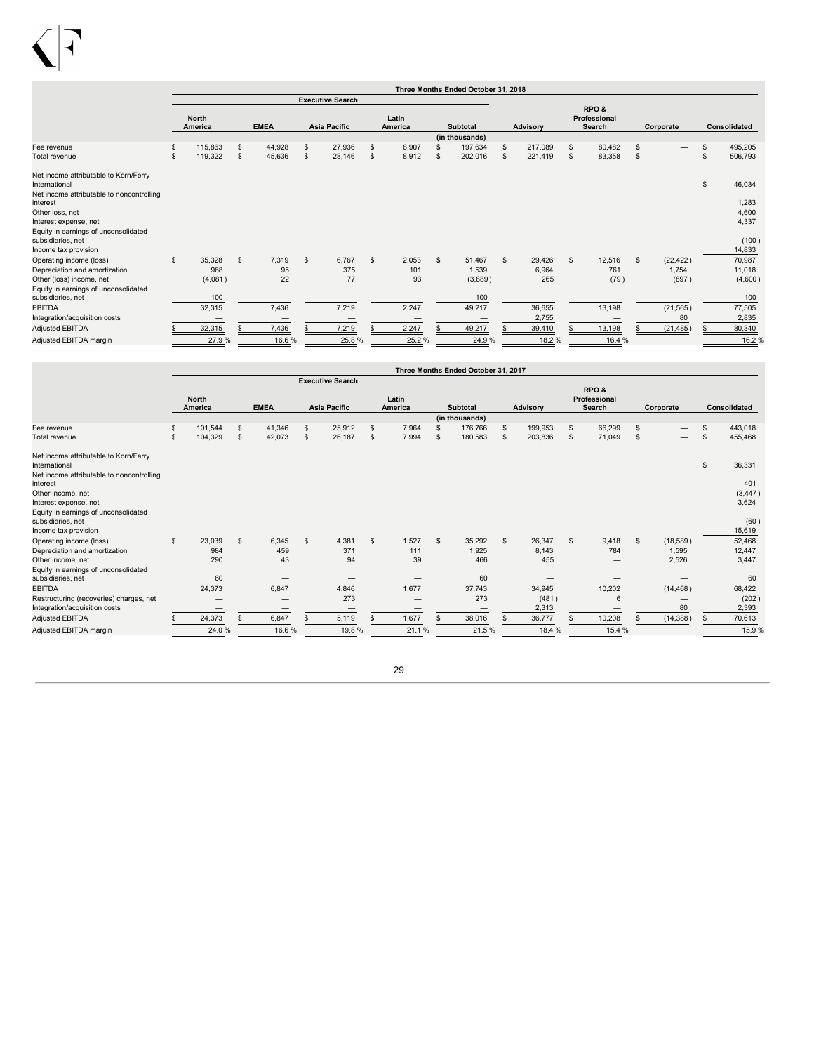

|                                                           |                |                         |              |                |                         |    |                  |    | Three Months Ended October 31, 2018 |                 |    |                                |              |           |              |
|-----------------------------------------------------------|----------------|-------------------------|--------------|----------------|-------------------------|----|------------------|----|-------------------------------------|-----------------|----|--------------------------------|--------------|-----------|--------------|
|                                                           |                |                         |              |                | <b>Executive Search</b> |    |                  |    |                                     |                 |    |                                |              |           |              |
|                                                           |                | <b>North</b><br>America | <b>EMEA</b>  |                | <b>Asia Pacific</b>     |    | Latin<br>America |    | <b>Subtotal</b>                     | <b>Advisory</b> |    | RPO&<br>Professional<br>Search |              | Corporate | Consolidated |
|                                                           |                |                         |              |                |                         |    |                  |    | (in thousands)                      |                 |    |                                |              |           |              |
| Fee revenue                                               |                | 115,863                 | \$<br>44,928 | \$             | 27,936                  | S  | 8,907            |    | 197,634                             | \$<br>217,089   | S. | 80,482                         | \$           |           | 495,205      |
| Total revenue                                             | $\mathfrak{s}$ | 119,322                 | \$<br>45,636 | \$             | 28,146                  | \$ | 8,912            | S  | 202,016                             | \$<br>221,419   | s. | 83,358                         | \$           |           | 506,793      |
| Net income attributable to Korn/Ferry<br>International    |                |                         |              |                |                         |    |                  |    |                                     |                 |    |                                |              |           | \$<br>46,034 |
| Net income attributable to noncontrolling<br>interest     |                |                         |              |                |                         |    |                  |    |                                     |                 |    |                                |              |           | 1,283        |
| Other loss, net                                           |                |                         |              |                |                         |    |                  |    |                                     |                 |    |                                |              |           | 4,600        |
| Interest expense, net                                     |                |                         |              |                |                         |    |                  |    |                                     |                 |    |                                |              |           | 4,337        |
| Equity in earnings of unconsolidated<br>subsidiaries, net |                |                         |              |                |                         |    |                  |    |                                     |                 |    |                                |              |           | (100)        |
| Income tax provision                                      |                |                         |              |                |                         |    |                  |    |                                     |                 |    |                                |              |           | 14,833       |
| Operating income (loss)                                   | \$             | 35,328                  | \$<br>7,319  | $\mathfrak{s}$ | 6,767                   | \$ | 2,053            | \$ | 51,467                              | \$<br>29,426    | s. | 12,516                         | $\mathbb{S}$ | (22, 422) | 70,987       |
| Depreciation and amortization                             |                | 968                     | 95           |                | 375                     |    | 101              |    | 1,539                               | 6,964           |    | 761                            |              | 1,754     | 11,018       |
| Other (loss) income, net                                  |                | (4,081)                 | 22           |                | 77                      |    | 93               |    | (3,889)                             | 265             |    | (79)                           |              | (897)     | (4,600)      |
| Equity in earnings of unconsolidated                      |                |                         |              |                |                         |    |                  |    |                                     |                 |    |                                |              |           |              |
| subsidiaries, net                                         |                | 100                     |              |                |                         |    |                  |    | 100                                 |                 |    |                                |              |           | 100          |
| <b>EBITDA</b>                                             |                | 32,315                  | 7,436        |                | 7,219                   |    | 2,247            |    | 49,217                              | 36,655          |    | 13,198                         |              | (21, 565) | 77,505       |
| Integration/acquisition costs                             |                |                         |              |                |                         |    |                  |    |                                     | 2,755           |    |                                |              | 80        | 2,835        |
| <b>Adjusted EBITDA</b>                                    |                | 32,315                  | 7,436        |                | 7,219                   |    | 2,247            |    | 49,217                              | 39,410          |    | 13,198                         |              | (21, 485) | 80,340       |
| Adjusted EBITDA margin                                    |                | 27.9%                   | 16.6%        |                | 25.8%                   |    | 25.2%            |    | 24.9%                               | 18.2%           |    | 16.4 %                         |              |           | 16.2%        |

|                                                           |                         |                |             |                |                         |                  |    | Three Months Ended October 31, 2017 |                 |              |                                |                |              |
|-----------------------------------------------------------|-------------------------|----------------|-------------|----------------|-------------------------|------------------|----|-------------------------------------|-----------------|--------------|--------------------------------|----------------|--------------|
|                                                           |                         |                |             |                | <b>Executive Search</b> |                  |    |                                     |                 |              |                                |                |              |
|                                                           | <b>North</b><br>America |                | <b>EMEA</b> |                | <b>Asia Pacific</b>     | Latin<br>America |    | <b>Subtotal</b>                     | <b>Advisory</b> |              | RPO&<br>Professional<br>Search | Corporate      | Consolidated |
|                                                           |                         |                |             |                |                         |                  |    | (in thousands)                      |                 |              |                                |                |              |
| Fee revenue                                               | \$<br>101,544           | $\mathfrak{s}$ | 41,346      | $\mathfrak{s}$ | 25,912                  | \$<br>7,964      |    | 176,766                             | \$<br>199,953   | s.           | 66,299                         | \$             | 443,018      |
| Total revenue                                             | \$<br>104,329           | $\mathfrak{s}$ | 42,073      | s.             | 26,187                  | \$<br>7,994      | S  | 180,583                             | \$<br>203,836   | - \$         | 71,049                         | \$             | 455,468      |
| Net income attributable to Korn/Ferry<br>International    |                         |                |             |                |                         |                  |    |                                     |                 |              |                                |                | \$<br>36,331 |
| Net income attributable to noncontrolling<br>interest     |                         |                |             |                |                         |                  |    |                                     |                 |              |                                |                | 401          |
| Other income, net                                         |                         |                |             |                |                         |                  |    |                                     |                 |              |                                |                | (3, 447)     |
| Interest expense, net                                     |                         |                |             |                |                         |                  |    |                                     |                 |              |                                |                | 3,624        |
| Equity in earnings of unconsolidated<br>subsidiaries, net |                         |                |             |                |                         |                  |    |                                     |                 |              |                                |                | (60)         |
| Income tax provision                                      |                         |                |             |                |                         |                  |    |                                     |                 |              |                                |                | 15,619       |
| Operating income (loss)                                   | \$<br>23,039            | $\mathfrak{L}$ | 6,345       | $\mathbf{s}$   | 4,381                   | \$<br>1,527      | s. | 35,292                              | \$<br>26,347    | $\mathbf{s}$ | 9,418                          | \$<br>(18,589) | 52,468       |
| Depreciation and amortization                             | 984                     |                | 459         |                | 371                     | 111              |    | 1,925                               | 8.143           |              | 784                            | 1,595          | 12,447       |
| Other income, net                                         | 290                     |                | 43          |                | 94                      | 39               |    | 466                                 | 455             |              |                                | 2,526          | 3,447        |
| Equity in earnings of unconsolidated                      |                         |                |             |                |                         |                  |    |                                     |                 |              |                                |                |              |
| subsidiaries, net                                         | 60                      |                |             |                |                         |                  |    | 60                                  |                 |              |                                |                | 60           |
| <b>EBITDA</b>                                             | 24,373                  |                | 6,847       |                | 4,846                   | 1,677            |    | 37,743                              | 34,945          |              | 10,202                         | (14, 468)      | 68,422       |
| Restructuring (recoveries) charges, net                   |                         |                |             |                | 273                     |                  |    | 273                                 | (481)           |              | 6                              |                | (202)        |
| Integration/acquisition costs                             | $\qquad \qquad$         |                |             |                |                         |                  |    |                                     | 2,313           |              | –                              | 80             | 2,393        |
| Adjusted EBITDA                                           | 24,373                  |                | 6,847       |                | 5,119                   | 1,677            |    | 38,016                              | 36,777          |              | 10,208                         | (14, 388)      | 70,613       |
| Adjusted EBITDA margin                                    | 24.0%                   |                | 16.6%       |                | 19.8%                   | 21.1%            |    | 21.5%                               | 18.4 %          |              | 15.4 %                         |                | 15.9%        |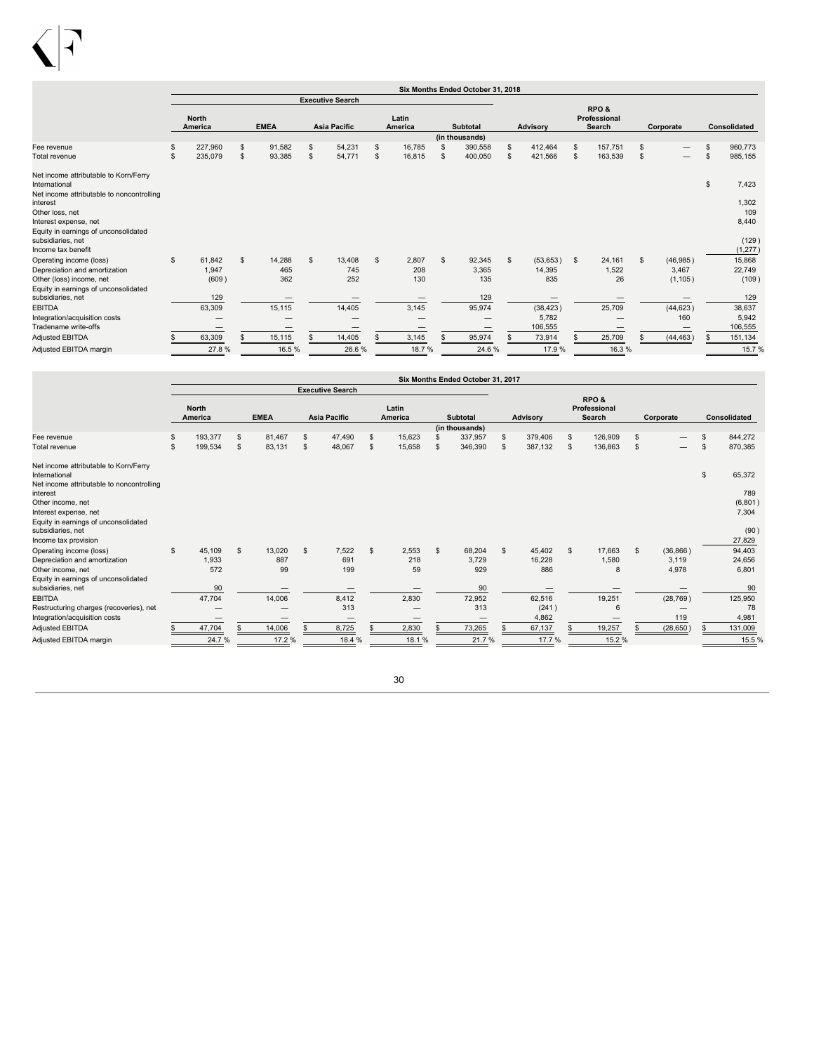

|                                                                                                     |                                |              |    |                         |                  |                | Six Months Ended October 31, 2018 |    |           |                                |    |                                 |               |              |
|-----------------------------------------------------------------------------------------------------|--------------------------------|--------------|----|-------------------------|------------------|----------------|-----------------------------------|----|-----------|--------------------------------|----|---------------------------------|---------------|--------------|
|                                                                                                     |                                |              |    | <b>Executive Search</b> |                  |                |                                   |    |           |                                |    |                                 |               |              |
|                                                                                                     | <b>North</b><br><b>America</b> | <b>EMEA</b>  |    | <b>Asia Pacific</b>     | Latin<br>America |                | <b>Subtotal</b>                   |    | Advisory  | RPO&<br>Professional<br>Search |    | Corporate                       |               | Consolidated |
|                                                                                                     |                                |              |    |                         |                  |                | (in thousands)                    |    |           |                                |    |                                 |               |              |
| Fee revenue                                                                                         | 227,960                        | \$<br>91.582 | \$ | 54,231                  | \$<br>16.785     |                | 390,558                           | \$ | 412,464   | \$<br>157.751                  | \$ | $\hspace{0.1mm}-\hspace{0.1mm}$ | £.            | 960.773      |
| Total revenue                                                                                       | \$<br>235,079                  | \$<br>93,385 | s  | 54,771                  | \$<br>16,815     | £.             | 400,050                           | \$ | 421,566   | \$<br>163,539                  | \$ | $\overline{\phantom{m}}$        | \$            | 985,155      |
| Net income attributable to Korn/Ferry<br>International<br>Net income attributable to noncontrolling |                                |              |    |                         |                  |                |                                   |    |           |                                |    |                                 | $\mathsf{\$}$ | 7,423        |
| interest                                                                                            |                                |              |    |                         |                  |                |                                   |    |           |                                |    |                                 |               | 1,302        |
| Other loss, net                                                                                     |                                |              |    |                         |                  |                |                                   |    |           |                                |    |                                 |               | 109          |
| Interest expense, net                                                                               |                                |              |    |                         |                  |                |                                   |    |           |                                |    |                                 |               | 8,440        |
| Equity in earnings of unconsolidated<br>subsidiaries, net                                           |                                |              |    |                         |                  |                |                                   |    |           |                                |    |                                 |               | (129)        |
| Income tax benefit                                                                                  |                                |              |    |                         |                  |                |                                   |    |           |                                |    |                                 |               | (1, 277)     |
| Operating income (loss)                                                                             | \$<br>61,842                   | \$<br>14,288 | S. | 13,408                  | \$<br>2,807      | $\mathfrak{s}$ | 92,345                            | s. | (53, 653) | \$<br>24.161                   | s  | (46, 985)                       |               | 15,868       |
| Depreciation and amortization                                                                       | 1,947                          | 465          |    | 745                     | 208              |                | 3.365                             |    | 14,395    | 1,522                          |    | 3.467                           |               | 22,749       |
| Other (loss) income, net                                                                            | (609)                          | 362          |    | 252                     | 130              |                | 135                               |    | 835       | 26                             |    | (1, 105)                        |               | (109)        |
| Equity in earnings of unconsolidated                                                                |                                |              |    |                         |                  |                |                                   |    |           |                                |    |                                 |               |              |
| subsidiaries, net                                                                                   | 129                            |              |    |                         |                  |                | 129                               |    |           |                                |    |                                 |               | 129          |
| <b>EBITDA</b>                                                                                       | 63,309                         | 15,115       |    | 14,405                  | 3,145            |                | 95,974                            |    | (38, 423) | 25,709                         |    | (44, 623)                       |               | 38,637       |
| Integration/acquisition costs                                                                       |                                |              |    |                         |                  |                |                                   |    | 5,782     |                                |    | 160                             |               | 5,942        |
| Tradename write-offs                                                                                |                                | –            |    |                         |                  |                | $\hspace{0.05cm}$                 |    | 106,555   |                                |    |                                 |               | 106,555      |
| <b>Adjusted EBITDA</b>                                                                              | 63,309                         | 15,115       |    | 14,405                  | 3,145            |                | 95,974                            |    | 73,914    | 25,709                         |    | (44, 463)                       |               | 151,134      |
| Adjusted EBITDA margin                                                                              | 27.8%                          | 16.5%        |    | 26.6%                   | 18.7%            |                | 24.6%                             |    | 17.9%     | 16.3%                          |    |                                 |               | 15.7%        |

|                                                                                                                                                                                                                            | Six Months Ended October 31, 2017 |                        |             |                     |                     |                                        |                  |                    |                 |                           |          |                         |                                |                      |                |                                           |                     |                                           |
|----------------------------------------------------------------------------------------------------------------------------------------------------------------------------------------------------------------------------|-----------------------------------|------------------------|-------------|---------------------|---------------------|----------------------------------------|------------------|--------------------|-----------------|---------------------------|----------|-------------------------|--------------------------------|----------------------|----------------|-------------------------------------------|---------------------|-------------------------------------------|
|                                                                                                                                                                                                                            |                                   |                        |             |                     |                     | <b>Executive Search</b>                |                  |                    |                 |                           |          |                         |                                |                      |                |                                           |                     |                                           |
|                                                                                                                                                                                                                            | <b>North</b><br>America           |                        | <b>EMEA</b> |                     | <b>Asia Pacific</b> |                                        | Latin<br>America |                    | <b>Subtotal</b> |                           | Advisory |                         | RPO&<br>Professional<br>Search |                      | Corporate      |                                           | <b>Consolidated</b> |                                           |
| Fee revenue                                                                                                                                                                                                                | \$                                | 193,377                | \$          | 81,467              | \$                  | 47,490                                 | $\mathfrak{s}$   | 15,623             |                 | (in thousands)<br>337,957 | S        | 379,406                 | -S                             | 126,909              | \$             | $\overline{\phantom{0}}$                  | $\mathfrak{L}$      | 844,272                                   |
| Total revenue                                                                                                                                                                                                              | \$.                               | 199,534                | \$          | 83,131              | \$                  | 48,067                                 | \$               | 15,658             | \$              | 346,390                   | S        | 387,132                 | \$                             | 136,863              | \$             | $\qquad \qquad \overline{\qquad \qquad }$ | $\mathfrak{s}$      | 870,385                                   |
| Net income attributable to Korn/Ferry<br>International<br>Net income attributable to noncontrolling<br>interest<br>Other income, net<br>Interest expense, net<br>Equity in earnings of unconsolidated<br>subsidiaries, net |                                   |                        |             |                     |                     |                                        |                  |                    |                 |                           |          |                         |                                |                      |                |                                           | \$                  | 65,372<br>789<br>(6,801)<br>7,304<br>(90) |
| Income tax provision<br>Operating income (loss)<br>Depreciation and amortization<br>Other income, net<br>Equity in earnings of unconsolidated                                                                              | \$                                | 45,109<br>1,933<br>572 | \$          | 13,020<br>887<br>99 | $\mathbf{s}$        | 7,522<br>691<br>199                    | \$               | 2,553<br>218<br>59 | s.              | 68,204<br>3.729<br>929    | \$       | 45,402<br>16.228<br>886 | $\mathbf{s}$                   | 17,663<br>1,580<br>8 | $\mathfrak{L}$ | (36, 866)<br>3.119<br>4,978               |                     | 27,829<br>94,403<br>24,656<br>6,801       |
| subsidiaries, net<br><b>EBITDA</b>                                                                                                                                                                                         |                                   | 90<br>47,704           |             | 14,006              |                     | 8,412                                  |                  | 2,830              |                 | 90<br>72,952              |          | 62,516                  |                                | 19,251<br>6          |                | (28, 769)                                 |                     | 90<br>125,950                             |
| Restructuring charges (recoveries), net<br>Integration/acquisition costs                                                                                                                                                   |                                   |                        |             |                     |                     | 313<br>$\hspace{0.1mm}-\hspace{0.1mm}$ |                  |                    |                 | 313                       |          | (241)<br>4,862          |                                |                      |                | 119                                       |                     | 78<br>4,981                               |
| <b>Adjusted EBITDA</b><br>Adjusted EBITDA margin                                                                                                                                                                           |                                   | 47,704<br>24.7%        |             | 14,006<br>17.2%     |                     | 8,725<br>18.4 %                        |                  | 2,830<br>18.1%     |                 | 73,265<br>21.7%           |          | 67,137<br>17.7 %        |                                | 19,257<br>15.2 %     |                | (28, 650)                                 |                     | 131,009<br>15.5 %                         |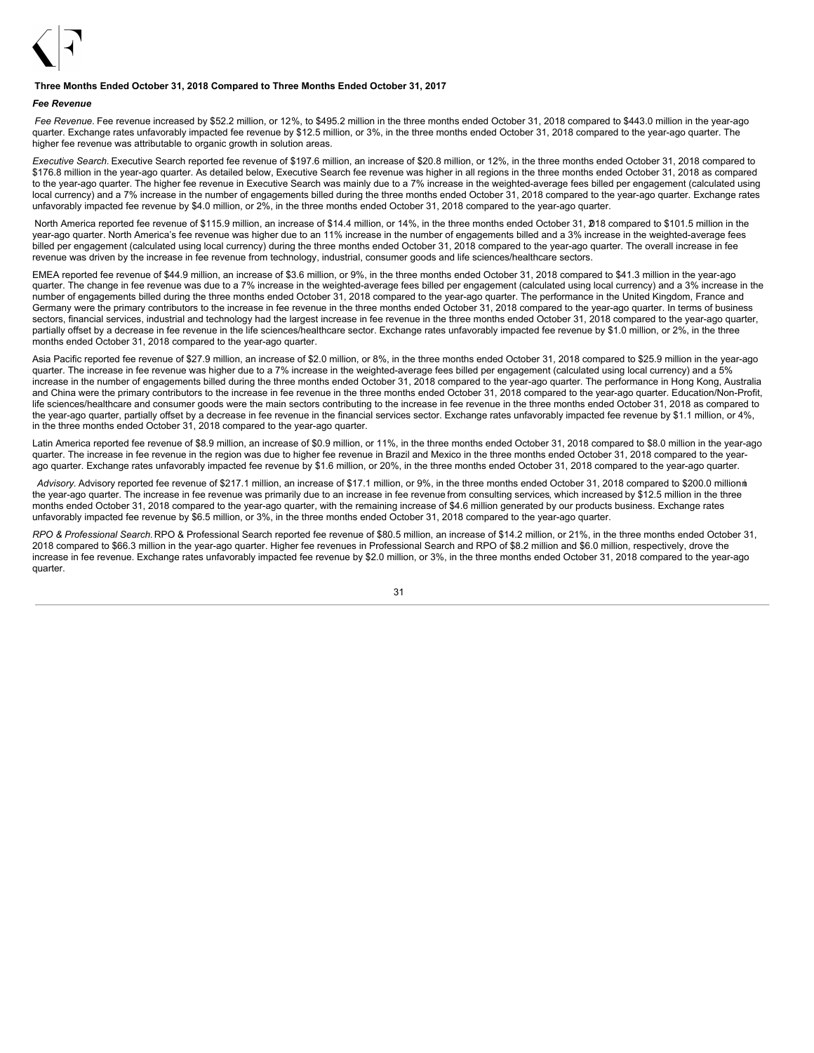

### **Three Months Ended October 31, 2018 Compared to Three Months Ended October 31, 2017**

#### *Fee Revenue*

*Fee Revenue.* Fee revenue increased by \$52.2 million, or 12%, to \$495.2 million in the three months ended October 31, 2018 compared to \$443.0 million in the year-ago quarter. Exchange rates unfavorably impacted fee revenue by \$12.5 million, or 3%, in the three months ended October 31, 2018 compared to the year-ago quarter. The higher fee revenue was attributable to organic growth in solution areas.

*Executive Search.* Executive Search reported fee revenue of \$197.6 million, an increase of \$20.8 million, or 12%, in the three months ended October 31, 2018 compared to \$176.8 million in the year-ago quarter. As detailed below, Executive Search fee revenue was higher in all regions in the three months ended October 31, 2018 as compared to the year-ago quarter. The higher fee revenue in Executive Search was mainly due to a 7% increase in the weighted-average fees billed per engagement (calculated using local currency) and a 7% increase in the number of engagements billed during the three months ended October 31, 2018 compared to the year-ago quarter. Exchange rates unfavorably impacted fee revenue by \$4.0 million, or 2%, in the three months ended October 31, 2018 compared to the year-ago quarter.

North America reported fee revenue of \$115.9 million, an increase of \$14.4 million, or 14%, in the three months ended October 31, 218 compared to \$101.5 million in the year-ago quarter. North America's fee revenue was higher due to an 11% increase in the number of engagements billed and a 3% increase in the weighted-average fees billed per engagement (calculated using local currency) during the three months ended October 31, 2018 compared to the year-ago quarter. The overall increase in fee revenue was driven by the increase in fee revenue from technology, industrial, consumer goods and life sciences/healthcare sectors.

EMEA reported fee revenue of \$44.9 million, an increase of \$3.6 million, or 9%, in the three months ended October 31, 2018 compared to \$41.3 million in the year-ago quarter. The change in fee revenue was due to a 7% increase in the weighted-average fees billed per engagement (calculated using local currency) and a 3% increase in the number of engagements billed during the three months ended October 31, 2018 compared to the year-ago quarter. The performance in the United Kingdom, France and Germany were the primary contributors to the increase in fee revenue in the three months ended October 31, 2018 compared to the year-ago quarter. In terms of business sectors, financial services, industrial and technology had the largest increase in fee revenue in the three months ended October 31, 2018 compared to the year-ago quarter, partially offset by a decrease in fee revenue in the life sciences/healthcare sector. Exchange rates unfavorably impacted fee revenue by \$1.0 million, or 2%, in the three months ended October 31, 2018 compared to the year-ago quarter.

Asia Pacific reported fee revenue of \$27.9 million, an increase of \$2.0 million, or 8%, in the three months ended October 31, 2018 compared to \$25.9 million in the year-ago quarter. The increase in fee revenue was higher due to a 7% increase in the weighted-average fees billed per engagement (calculated using local currency) and a 5% increase in the number of engagements billed during the three months ended October 31, 2018 compared to the year-ago quarter. The performance in Hong Kong, Australia and China were the primary contributors to the increase in fee revenue in the three months ended October 31, 2018 compared to the year-ago quarter. Education/Non-Profit, life sciences/healthcare and consumer goods were the main sectors contributing to the increase in fee revenue in the three months ended October 31, 2018 as compared to the year-ago quarter, partially offset by a decrease in fee revenue in the financial services sector. Exchange rates unfavorably impacted fee revenue by \$1.1 million, or 4%, in the three months ended October 31, 2018 compared to the year-ago quarter.

Latin America reported fee revenue of \$8.9 million, an increase of \$0.9 million, or 11%, in the three months ended October 31, 2018 compared to \$8.0 million in the year-ago quarter. The increase in fee revenue in the region was due to higher fee revenue in Brazil and Mexico in the three months ended October 31, 2018 compared to the yearago quarter. Exchange rates unfavorably impacted fee revenue by \$1.6 million, or 20%, in the three months ended October 31, 2018 compared to the year-ago quarter.

Advisory. Advisory reported fee revenue of \$217.1 million, an increase of \$17.1 million, or 9%, in the three months ended October 31, 2018 compared to \$200.0 millionni the year-ago quarter. The increase in fee revenue was primarily due to an increase in fee revenue from consulting services, which increased by \$12.5 million in the three months ended October 31, 2018 compared to the year-ago quarter, with the remaining increase of \$4.6 million generated by our products business. Exchange rates unfavorably impacted fee revenue by \$6.5 million, or 3%, in the three months ended October 31, 2018 compared to the year-ago quarter.

*RPO & Professional Search.* RPO & Professional Search reported fee revenue of \$80.5 million, an increase of \$14.2 million, or 21%, in the three months ended October 31, 2018 compared to \$66.3 million in the year-ago quarter. Higher fee revenues in Professional Search and RPO of \$8.2 million and \$6.0 million, respectively, drove the increase in fee revenue. Exchange rates unfavorably impacted fee revenue by \$2.0 million, or 3%, in the three months ended October 31, 2018 compared to the year-ago quarter.

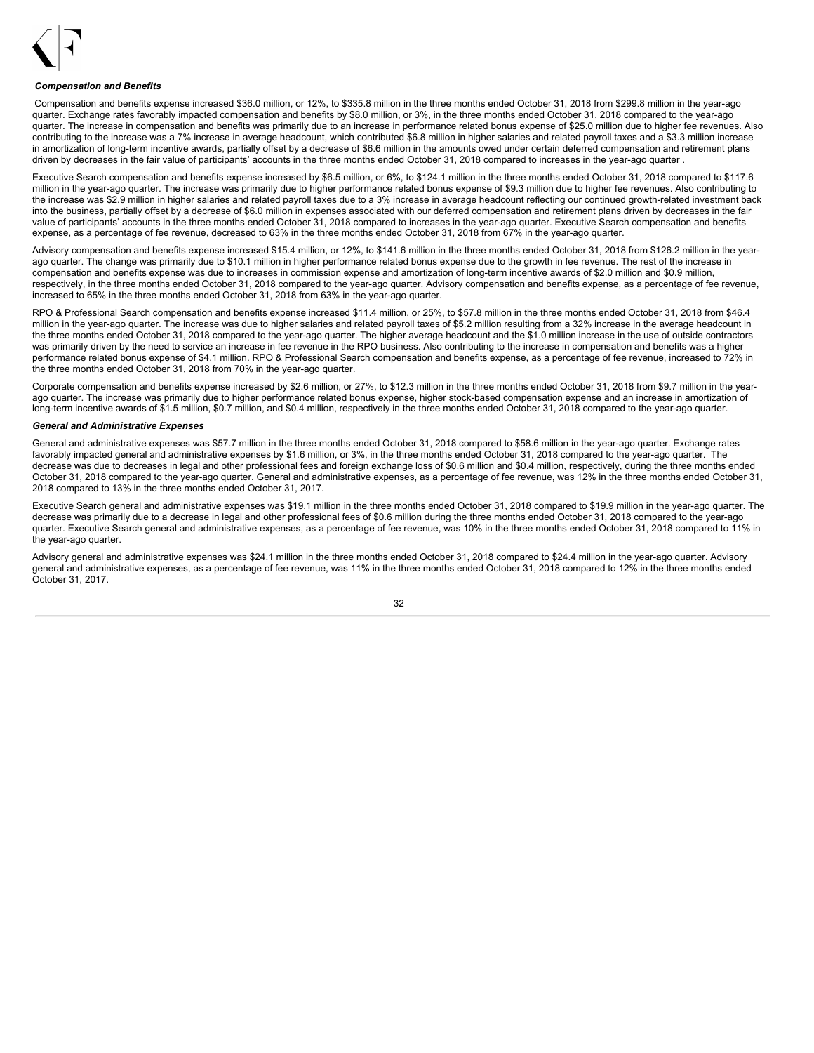

### *Compensation and Benefits*

Compensation and benefits expense increased \$36.0 million, or 12%, to \$335.8 million in the three months ended October 31, 2018 from \$299.8 million in the year-ago quarter. Exchange rates favorably impacted compensation and benefits by \$8.0 million, or 3%, in the three months ended October 31, 2018 compared to the year-ago quarter. The increase in compensation and benefits was primarily due to an increase in performance related bonus expense of \$25.0 million due to higher fee revenues. Also contributing to the increase was a 7% increase in average headcount, which contributed \$6.8 million in higher salaries and related payroll taxes and a \$3.3 million increase in amortization of long-term incentive awards, partially offset by a decrease of \$6.6 million in the amounts owed under certain deferred compensation and retirement plans driven by decreases in the fair value of participants' accounts in the three months ended October 31, 2018 compared to increases in the year-ago quarter .

Executive Search compensation and benefits expense increased by \$6.5 million, or 6%, to \$124.1 million in the three months ended October 31, 2018 compared to \$117.6 million in the year-ago quarter. The increase was primarily due to higher performance related bonus expense of \$9.3 million due to higher fee revenues. Also contributing to the increase was \$2.9 million in higher salaries and related payroll taxes due to a 3% increase in average headcount reflecting our continued growth-related investment back into the business, partially offset by a decrease of \$6.0 million in expenses associated with our deferred compensation and retirement plans driven by decreases in the fair value of participants' accounts in the three months ended October 31, 2018 compared to increases in the year-ago quarter. Executive Search compensation and benefits expense, as a percentage of fee revenue, decreased to 63% in the three months ended October 31, 2018 from 67% in the year-ago quarter.

Advisory compensation and benefits expense increased \$15.4 million, or 12%, to \$141.6 million in the three months ended October 31, 2018 from \$126.2 million in the yearago quarter. The change was primarily due to \$10.1 million in higher performance related bonus expense due to the growth in fee revenue. The rest of the increase in compensation and benefits expense was due to increases in commission expense and amortization of long-term incentive awards of \$2.0 million and \$0.9 million, respectively, in the three months ended October 31, 2018 compared to the year-ago quarter. Advisory compensation and benefits expense, as a percentage of fee revenue, increased to 65% in the three months ended October 31, 2018 from 63% in the year-ago quarter.

RPO & Professional Search compensation and benefits expense increased \$11.4 million, or 25%, to \$57.8 million in the three months ended October 31, 2018 from \$46.4 million in the year-ago quarter. The increase was due to higher salaries and related payroll taxes of \$5.2 million resulting from a 32% increase in the average headcount in the three months ended October 31, 2018 compared to the year-ago quarter. The higher average headcount and the \$1.0 million increase in the use of outside contractors was primarily driven by the need to service an increase in fee revenue in the RPO business. Also contributing to the increase in compensation and benefits was a higher performance related bonus expense of \$4.1 million. RPO & Professional Search compensation and benefits expense, as a percentage of fee revenue, increased to 72% in the three months ended October 31, 2018 from 70% in the year-ago quarter.

Corporate compensation and benefits expense increased by \$2.6 million, or 27%, to \$12.3 million in the three months ended October 31, 2018 from \$9.7 million in the yearago quarter. The increase was primarily due to higher performance related bonus expense, higher stock-based compensation expense and an increase in amortization of long-term incentive awards of \$1.5 million, \$0.7 million, and \$0.4 million, respectively in the three months ended October 31, 2018 compared to the year-ago quarter.

#### *General and Administrative Expenses*

General and administrative expenses was \$57.7 million in the three months ended October 31, 2018 compared to \$58.6 million in the year-ago quarter. Exchange rates favorably impacted general and administrative expenses by \$1.6 million, or 3%, in the three months ended October 31, 2018 compared to the year-ago quarter. The decrease was due to decreases in legal and other professional fees and foreign exchange loss of \$0.6 million and \$0.4 million, respectively, during the three months ended October 31, 2018 compared to the year-ago quarter. General and administrative expenses, as a percentage of fee revenue, was 12% in the three months ended October 31, 2018 compared to 13% in the three months ended October 31, 2017.

Executive Search general and administrative expenses was \$19.1 million in the three months ended October 31, 2018 compared to \$19.9 million in the year-ago quarter. The decrease was primarily due to a decrease in legal and other professional fees of \$0.6 million during the three months ended October 31, 2018 compared to the year-ago quarter. Executive Search general and administrative expenses, as a percentage of fee revenue, was 10% in the three months ended October 31, 2018 compared to 11% in the year-ago quarter.

Advisory general and administrative expenses was \$24.1 million in the three months ended October 31, 2018 compared to \$24.4 million in the year-ago quarter. Advisory general and administrative expenses, as a percentage of fee revenue, was 11% in the three months ended October 31, 2018 compared to 12% in the three months ended October 31, 2017.

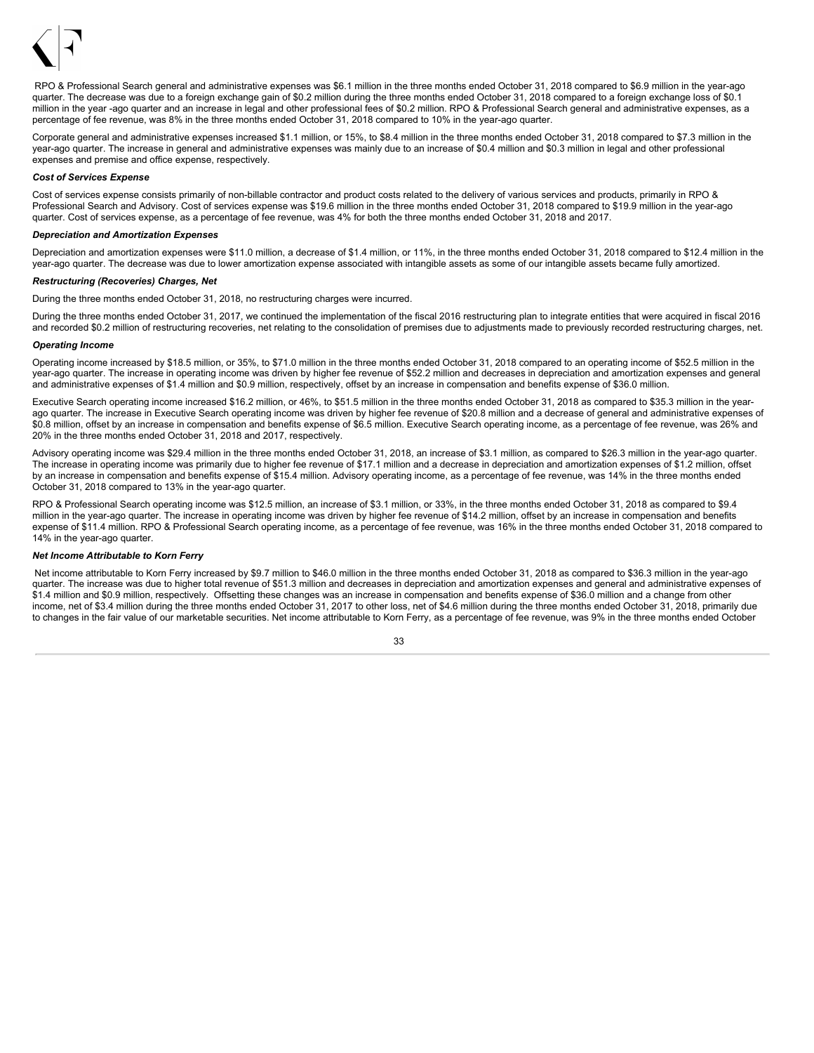

RPO & Professional Search general and administrative expenses was \$6.1 million in the three months ended October 31, 2018 compared to \$6.9 million in the year-ago quarter. The decrease was due to a foreign exchange gain of \$0.2 million during the three months ended October 31, 2018 compared to a foreign exchange loss of \$0.1 million in the year -ago quarter and an increase in legal and other professional fees of \$0.2 million. RPO & Professional Search general and administrative expenses, as a percentage of fee revenue, was 8% in the three months ended October 31, 2018 compared to 10% in the year-ago quarter.

Corporate general and administrative expenses increased \$1.1 million, or 15%, to \$8.4 million in the three months ended October 31, 2018 compared to \$7.3 million in the year-ago quarter. The increase in general and administrative expenses was mainly due to an increase of \$0.4 million and \$0.3 million in legal and other professional expenses and premise and office expense, respectively.

### *Cost of Services Expense*

Cost of services expense consists primarily of non-billable contractor and product costs related to the delivery of various services and products, primarily in RPO & Professional Search and Advisory. Cost of services expense was \$19.6 million in the three months ended October 31, 2018 compared to \$19.9 million in the year-ago quarter. Cost of services expense, as a percentage of fee revenue, was 4% for both the three months ended October 31, 2018 and 2017.

### *Depreciation and Amortization Expenses*

Depreciation and amortization expenses were \$11.0 million, a decrease of \$1.4 million, or 11%, in the three months ended October 31, 2018 compared to \$12.4 million in the year-ago quarter. The decrease was due to lower amortization expense associated with intangible assets as some of our intangible assets became fully amortized.

### *Restructuring (Recoveries) Charges, Net*

During the three months ended October 31, 2018, no restructuring charges were incurred.

During the three months ended October 31, 2017, we continued the implementation of the fiscal 2016 restructuring plan to integrate entities that were acquired in fiscal 2016 and recorded \$0.2 million of restructuring recoveries, net relating to the consolidation of premises due to adjustments made to previously recorded restructuring charges, net.

### *Operating Income*

Operating income increased by \$18.5 million, or 35%, to \$71.0 million in the three months ended October 31, 2018 compared to an operating income of \$52.5 million in the year-ago quarter. The increase in operating income was driven by higher fee revenue of \$52.2 million and decreases in depreciation and amortization expenses and general and administrative expenses of \$1.4 million and \$0.9 million, respectively, offset by an increase in compensation and benefits expense of \$36.0 million.

Executive Search operating income increased \$16.2 million, or 46%, to \$51.5 million in the three months ended October 31, 2018 as compared to \$35.3 million in the yearago quarter. The increase in Executive Search operating income was driven by higher fee revenue of \$20.8 million and a decrease of general and administrative expenses of \$0.8 million, offset by an increase in compensation and benefits expense of \$6.5 million. Executive Search operating income, as a percentage of fee revenue, was 26% and 20% in the three months ended October 31, 2018 and 2017, respectively.

Advisory operating income was \$29.4 million in the three months ended October 31, 2018, an increase of \$3.1 million, as compared to \$26.3 million in the year-ago quarter. The increase in operating income was primarily due to higher fee revenue of \$17.1 million and a decrease in depreciation and amortization expenses of \$1.2 million, offset by an increase in compensation and benefits expense of \$15.4 million. Advisory operating income, as a percentage of fee revenue, was 14% in the three months ended October 31, 2018 compared to 13% in the year-ago quarter.

RPO & Professional Search operating income was \$12.5 million, an increase of \$3.1 million, or 33%, in the three months ended October 31, 2018 as compared to \$9.4 million in the year-ago quarter. The increase in operating income was driven by higher fee revenue of \$14.2 million, offset by an increase in compensation and benefits expense of \$11.4 million. RPO & Professional Search operating income, as a percentage of fee revenue, was 16% in the three months ended October 31, 2018 compared to 14% in the year-ago quarter.

### *Net Income Attributable to Korn Ferry*

Net income attributable to Korn Ferry increased by \$9.7 million to \$46.0 million in the three months ended October 31, 2018 as compared to \$36.3 million in the year-ago quarter. The increase was due to higher total revenue of \$51.3 million and decreases in depreciation and amortization expenses and general and administrative expenses of \$1.4 million and \$0.9 million, respectively. Offsetting these changes was an increase in compensation and benefits expense of \$36.0 million and a change from other income, net of \$3.4 million during the three months ended October 31, 2017 to other loss, net of \$4.6 million during the three months ended October 31, 2018, primarily due to changes in the fair value of our marketable securities. Net income attributable to Korn Ferry, as a percentage of fee revenue, was 9% in the three months ended October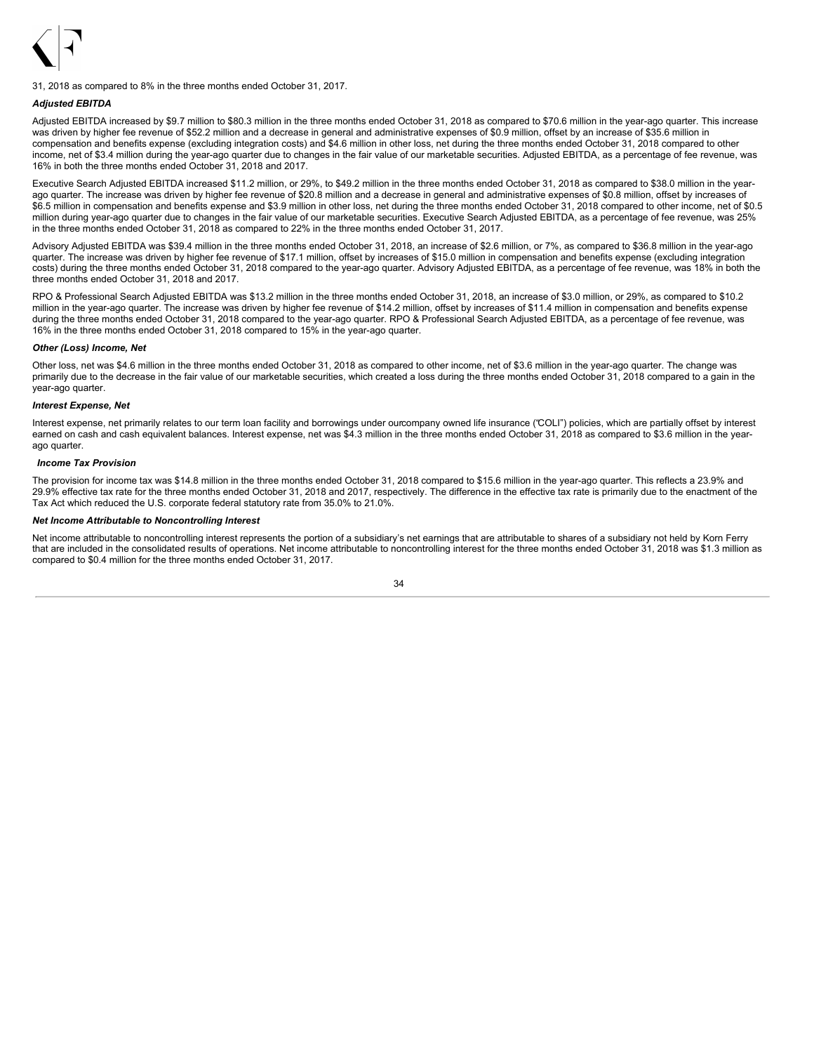

31, 2018 as compared to 8% in the three months ended October 31, 2017.

### *Adjusted EBITDA*

Adjusted EBITDA increased by \$9.7 million to \$80.3 million in the three months ended October 31, 2018 as compared to \$70.6 million in the year-ago quarter. This increase was driven by higher fee revenue of \$52.2 million and a decrease in general and administrative expenses of \$0.9 million, offset by an increase of \$35.6 million in compensation and benefits expense (excluding integration costs) and \$4.6 million in other loss, net during the three months ended October 31, 2018 compared to other income, net of \$3.4 million during the year-ago quarter due to changes in the fair value of our marketable securities. Adjusted EBITDA, as a percentage of fee revenue, was 16% in both the three months ended October 31, 2018 and 2017.

Executive Search Adjusted EBITDA increased \$11.2 million, or 29%, to \$49.2 million in the three months ended October 31, 2018 as compared to \$38.0 million in the yearago quarter. The increase was driven by higher fee revenue of \$20.8 million and a decrease in general and administrative expenses of \$0.8 million, offset by increases of \$6.5 million in compensation and benefits expense and \$3.9 million in other loss, net during the three months ended October 31, 2018 compared to other income, net of \$0.5 million during year-ago quarter due to changes in the fair value of our marketable securities. Executive Search Adjusted EBITDA, as a percentage of fee revenue, was 25% in the three months ended October 31, 2018 as compared to 22% in the three months ended October 31, 2017.

Advisory Adjusted EBITDA was \$39.4 million in the three months ended October 31, 2018, an increase of \$2.6 million, or 7%, as compared to \$36.8 million in the year-ago quarter. The increase was driven by higher fee revenue of \$17.1 million, offset by increases of \$15.0 million in compensation and benefits expense (excluding integration costs) during the three months ended October 31, 2018 compared to the year-ago quarter. Advisory Adjusted EBITDA, as a percentage of fee revenue, was 18% in both the three months ended October 31, 2018 and 2017.

RPO & Professional Search Adjusted EBITDA was \$13.2 million in the three months ended October 31, 2018, an increase of \$3.0 million, or 29%, as compared to \$10.2 million in the year-ago quarter. The increase was driven by higher fee revenue of \$14.2 million, offset by increases of \$11.4 million in compensation and benefits expense during the three months ended October 31, 2018 compared to the year-ago quarter. RPO & Professional Search Adjusted EBITDA, as a percentage of fee revenue, was 16% in the three months ended October 31, 2018 compared to 15% in the year-ago quarter.

#### *Other (Loss) Income, Net*

Other loss, net was \$4.6 million in the three months ended October 31, 2018 as compared to other income, net of \$3.6 million in the year-ago quarter. The change was primarily due to the decrease in the fair value of our marketable securities, which created a loss during the three months ended October 31, 2018 compared to a gain in the year-ago quarter.

#### *Interest Expense, Net*

Interest expense, net primarily relates to our term loan facility and borrowings under ourcompany owned life insurance ("COLI") policies, which are partially offset by interest earned on cash and cash equivalent balances. Interest expense, net was \$4.3 million in the three months ended October 31, 2018 as compared to \$3.6 million in the yearago quarter.

#### *Income Tax Provision*

The provision for income tax was \$14.8 million in the three months ended October 31, 2018 compared to \$15.6 million in the year-ago quarter. This reflects a 23.9% and 29.9% effective tax rate for the three months ended October 31, 2018 and 2017, respectively. The difference in the effective tax rate is primarily due to the enactment of the Tax Act which reduced the U.S. corporate federal statutory rate from 35.0% to 21.0%.

#### *Net Income Attributable to Noncontrolling Interest*

Net income attributable to noncontrolling interest represents the portion of a subsidiary's net earnings that are attributable to shares of a subsidiary not held by Korn Ferry that are included in the consolidated results of operations. Net income attributable to noncontrolling interest for the three months ended October 31, 2018 was \$1.3 million as compared to \$0.4 million for the three months ended October 31, 2017.

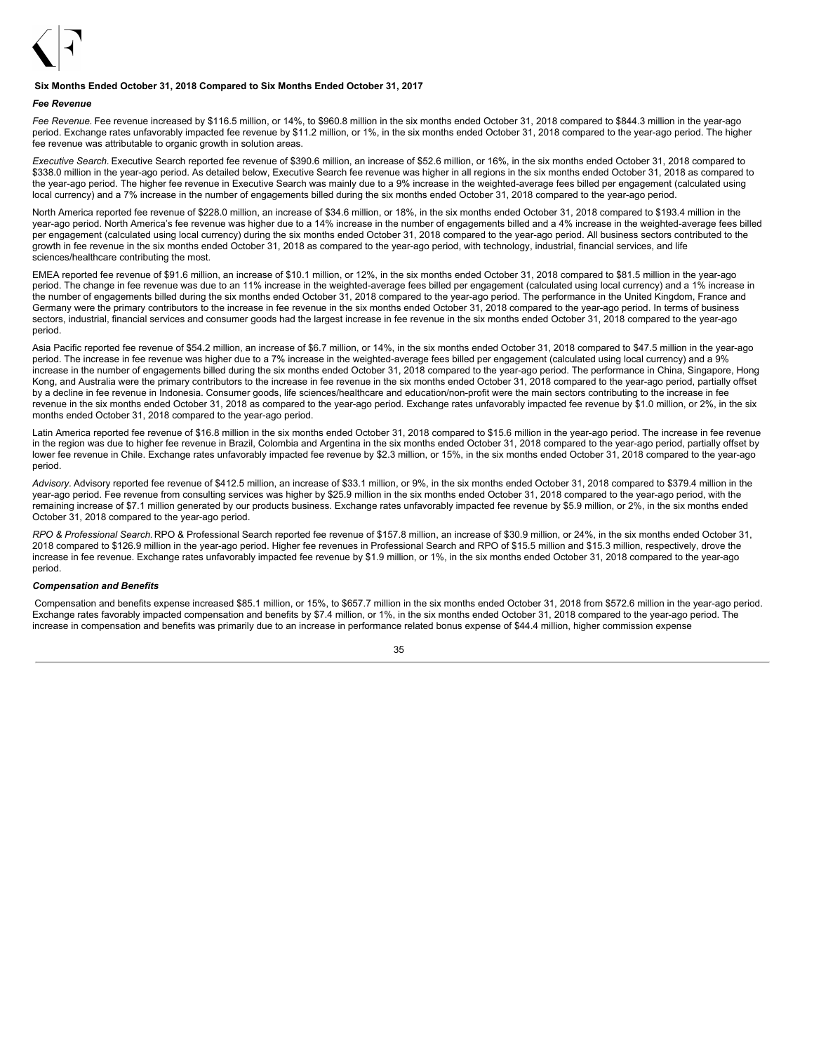

### **Six Months Ended October 31, 2018 Compared to Six Months Ended October 31, 2017**

#### *Fee Revenue*

*Fee Revenue.* Fee revenue increased by \$116.5 million, or 14%, to \$960.8 million in the six months ended October 31, 2018 compared to \$844.3 million in the year-ago period. Exchange rates unfavorably impacted fee revenue by \$11.2 million, or 1%, in the six months ended October 31, 2018 compared to the year-ago period. The higher fee revenue was attributable to organic growth in solution areas.

*Executive Search.* Executive Search reported fee revenue of \$390.6 million, an increase of \$52.6 million, or 16%, in the six months ended October 31, 2018 compared to \$338.0 million in the year-ago period. As detailed below, Executive Search fee revenue was higher in all regions in the six months ended October 31, 2018 as compared to the year-ago period. The higher fee revenue in Executive Search was mainly due to a 9% increase in the weighted-average fees billed per engagement (calculated using local currency) and a 7% increase in the number of engagements billed during the six months ended October 31, 2018 compared to the year-ago period.

North America reported fee revenue of \$228.0 million, an increase of \$34.6 million, or 18%, in the six months ended October 31, 2018 compared to \$193.4 million in the year-ago period. North America's fee revenue was higher due to a 14% increase in the number of engagements billed and a 4% increase in the weighted-average fees billed per engagement (calculated using local currency) during the six months ended October 31, 2018 compared to the year-ago period. All business sectors contributed to the growth in fee revenue in the six months ended October 31, 2018 as compared to the year-ago period, with technology, industrial, financial services, and life sciences/healthcare contributing the most.

EMEA reported fee revenue of \$91.6 million, an increase of \$10.1 million, or 12%, in the six months ended October 31, 2018 compared to \$81.5 million in the year-ago period. The change in fee revenue was due to an 11% increase in the weighted-average fees billed per engagement (calculated using local currency) and a 1% increase in the number of engagements billed during the six months ended October 31, 2018 compared to the year-ago period. The performance in the United Kingdom, France and Germany were the primary contributors to the increase in fee revenue in the six months ended October 31, 2018 compared to the year-ago period. In terms of business sectors, industrial, financial services and consumer goods had the largest increase in fee revenue in the six months ended October 31, 2018 compared to the year-ago period.

Asia Pacific reported fee revenue of \$54.2 million, an increase of \$6.7 million, or 14%, in the six months ended October 31, 2018 compared to \$47.5 million in the year-ago period. The increase in fee revenue was higher due to a 7% increase in the weighted-average fees billed per engagement (calculated using local currency) and a 9% increase in the number of engagements billed during the six months ended October 31, 2018 compared to the year-ago period. The performance in China, Singapore, Hong Kong, and Australia were the primary contributors to the increase in fee revenue in the six months ended October 31, 2018 compared to the year-ago period, partially offset by a decline in fee revenue in Indonesia. Consumer goods, life sciences/healthcare and education/non-profit were the main sectors contributing to the increase in fee revenue in the six months ended October 31, 2018 as compared to the year-ago period. Exchange rates unfavorably impacted fee revenue by \$1.0 million, or 2%, in the six months ended October 31, 2018 compared to the year-ago period.

Latin America reported fee revenue of \$16.8 million in the six months ended October 31, 2018 compared to \$15.6 million in the year-ago period. The increase in fee revenue in the region was due to higher fee revenue in Brazil, Colombia and Argentina in the six months ended October 31, 2018 compared to the year-ago period, partially offset by lower fee revenue in Chile. Exchange rates unfavorably impacted fee revenue by \$2.3 million, or 15%, in the six months ended October 31, 2018 compared to the year-ago period.

*Advisory.* Advisory reported fee revenue of \$412.5 million, an increase of \$33.1 million, or 9%, in the six months ended October 31, 2018 compared to \$379.4 million in the year-ago period. Fee revenue from consulting services was higher by \$25.9 million in the six months ended October 31, 2018 compared to the year-ago period, with the remaining increase of \$7.1 million generated by our products business. Exchange rates unfavorably impacted fee revenue by \$5.9 million, or 2%, in the six months ended October 31, 2018 compared to the year-ago period.

*RPO & Professional Search.* RPO & Professional Search reported fee revenue of \$157.8 million, an increase of \$30.9 million, or 24%, in the six months ended October 31, 2018 compared to \$126.9 million in the year-ago period. Higher fee revenues in Professional Search and RPO of \$15.5 million and \$15.3 million, respectively, drove the increase in fee revenue. Exchange rates unfavorably impacted fee revenue by \$1.9 million, or 1%, in the six months ended October 31, 2018 compared to the year-ago period.

#### *Compensation and Benefits*

Compensation and benefits expense increased \$85.1 million, or 15%, to \$657.7 million in the six months ended October 31, 2018 from \$572.6 million in the year-ago period. Exchange rates favorably impacted compensation and benefits by \$7.4 million, or 1%, in the six months ended October 31, 2018 compared to the year-ago period. The increase in compensation and benefits was primarily due to an increase in performance related bonus expense of \$44.4 million, higher commission expense

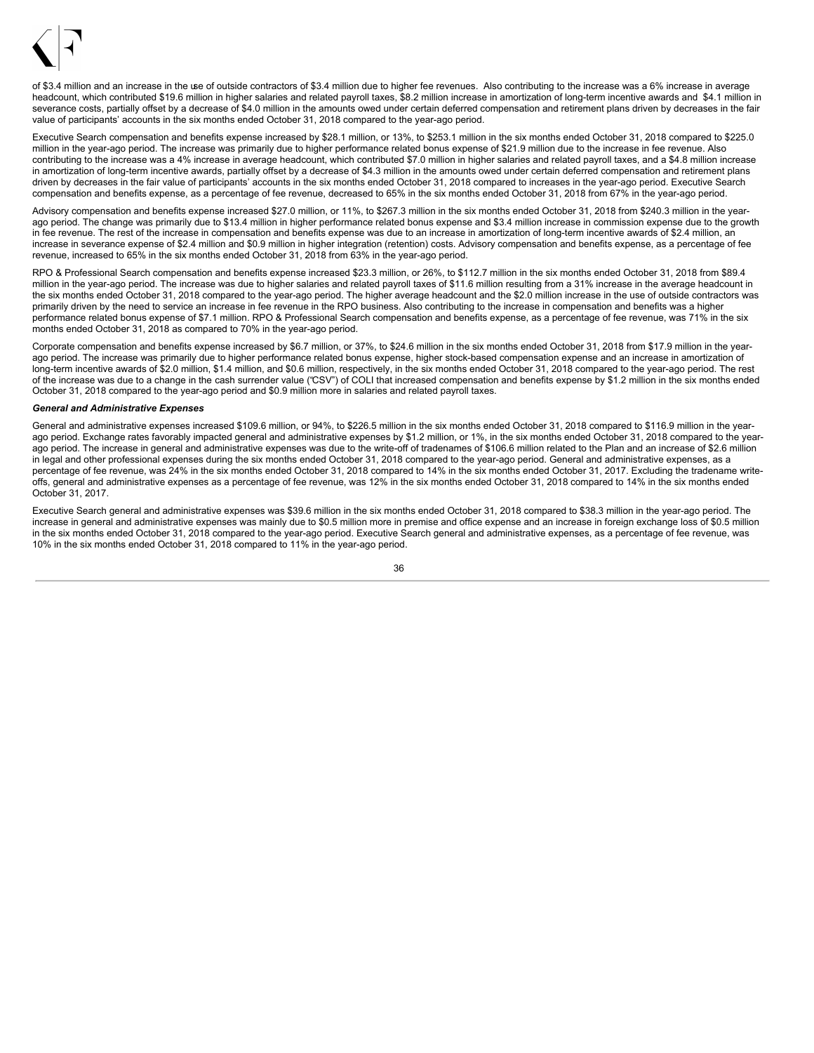

of \$3.4 million and an increase in the use of outside contractors of \$3.4 million due to higher fee revenues. Also contributing to the increase was a 6% increase in average headcount, which contributed \$19.6 million in higher salaries and related payroll taxes, \$8.2 million increase in amortization of long-term incentive awards and \$4.1 million in severance costs, partially offset by a decrease of \$4.0 million in the amounts owed under certain deferred compensation and retirement plans driven by decreases in the fair value of participants' accounts in the six months ended October 31, 2018 compared to the year-ago period.

Executive Search compensation and benefits expense increased by \$28.1 million, or 13%, to \$253.1 million in the six months ended October 31, 2018 compared to \$225.0 million in the year-ago period. The increase was primarily due to higher performance related bonus expense of \$21.9 million due to the increase in fee revenue. Also contributing to the increase was a 4% increase in average headcount, which contributed \$7.0 million in higher salaries and related payroll taxes, and a \$4.8 million increase in amortization of long-term incentive awards, partially offset by a decrease of \$4.3 million in the amounts owed under certain deferred compensation and retirement plans driven by decreases in the fair value of participants' accounts in the six months ended October 31, 2018 compared to increases in the year-ago period. Executive Search compensation and benefits expense, as a percentage of fee revenue, decreased to 65% in the six months ended October 31, 2018 from 67% in the year-ago period.

Advisory compensation and benefits expense increased \$27.0 million, or 11%, to \$267.3 million in the six months ended October 31, 2018 from \$240.3 million in the yearago period. The change was primarily due to \$13.4 million in higher performance related bonus expense and \$3.4 million increase in commission expense due to the growth in fee revenue. The rest of the increase in compensation and benefits expense was due to an increase in amortization of long-term incentive awards of \$2.4 million, an increase in severance expense of \$2.4 million and \$0.9 million in higher integration (retention) costs. Advisory compensation and benefits expense, as a percentage of fee revenue, increased to 65% in the six months ended October 31, 2018 from 63% in the year-ago period.

RPO & Professional Search compensation and benefits expense increased \$23.3 million, or 26%, to \$112.7 million in the six months ended October 31, 2018 from \$89.4 million in the year-ago period. The increase was due to higher salaries and related payroll taxes of \$11.6 million resulting from a 31% increase in the average headcount in the six months ended October 31, 2018 compared to the year-ago period. The higher average headcount and the \$2.0 million increase in the use of outside contractors was primarily driven by the need to service an increase in fee revenue in the RPO business. Also contributing to the increase in compensation and benefits was a higher performance related bonus expense of \$7.1 million. RPO & Professional Search compensation and benefits expense, as a percentage of fee revenue, was 71% in the six months ended October 31, 2018 as compared to 70% in the year-ago period.

Corporate compensation and benefits expense increased by \$6.7 million, or 37%, to \$24.6 million in the six months ended October 31, 2018 from \$17.9 million in the yearago period. The increase was primarily due to higher performance related bonus expense, higher stock-based compensation expense and an increase in amortization of long-term incentive awards of \$2.0 million, \$1.4 million, and \$0.6 million, respectively, in the six months ended October 31, 2018 compared to the year-ago period. The rest of the increase was due to a change in the cash surrender value ("CSV") of COLI that increased compensation and benefits expense by \$1.2 million in the six months ended October 31, 2018 compared to the year-ago period and \$0.9 million more in salaries and related payroll taxes.

### *General and Administrative Expenses*

General and administrative expenses increased \$109.6 million, or 94%, to \$226.5 million in the six months ended October 31, 2018 compared to \$116.9 million in the yearago period. Exchange rates favorably impacted general and administrative expenses by \$1.2 million, or 1%, in the six months ended October 31, 2018 compared to the yearago period. The increase in general and administrative expenses was due to the write-off of tradenames of \$106.6 million related to the Plan and an increase of \$2.6 million in legal and other professional expenses during the six months ended October 31, 2018 compared to the year-ago period. General and administrative expenses, as a percentage of fee revenue, was 24% in the six months ended October 31, 2018 compared to 14% in the six months ended October 31, 2017. Excluding the tradename writeoffs, general and administrative expenses as a percentage of fee revenue, was 12% in the six months ended October 31, 2018 compared to 14% in the six months ended October 31, 2017.

Executive Search general and administrative expenses was \$39.6 million in the six months ended October 31, 2018 compared to \$38.3 million in the year-ago period. The increase in general and administrative expenses was mainly due to \$0.5 million more in premise and office expense and an increase in foreign exchange loss of \$0.5 million in the six months ended October 31, 2018 compared to the year-ago period. Executive Search general and administrative expenses, as a percentage of fee revenue, was 10% in the six months ended October 31, 2018 compared to 11% in the year-ago period.

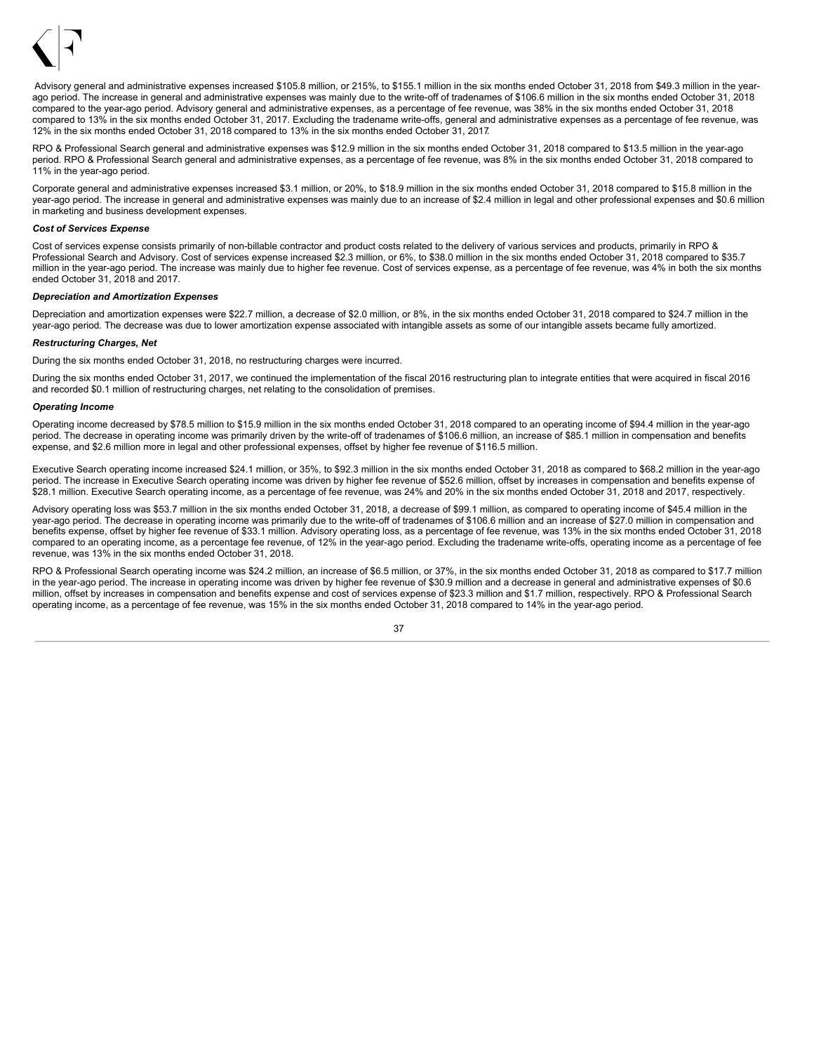

Advisory general and administrative expenses increased \$105.8 million, or 215%, to \$155.1 million in the six months ended October 31, 2018 from \$49.3 million in the vearago period. The increase in general and administrative expenses was mainly due to the write-off of tradenames of \$106.6 million in the six months ended October 31, 2018 compared to the year-ago period. Advisory general and administrative expenses, as a percentage of fee revenue, was 38% in the six months ended October 31, 2018 compared to 13% in the six months ended October 31, 2017. Excluding the tradename write-offs, general and administrative expenses as a percentage of fee revenue, was 12% in the six months ended October 31, 2018 compared to 13% in the six months ended October 31, 2017.

RPO & Professional Search general and administrative expenses was \$12.9 million in the six months ended October 31, 2018 compared to \$13.5 million in the year-ago period. RPO & Professional Search general and administrative expenses, as a percentage of fee revenue, was 8% in the six months ended October 31, 2018 compared to 11% in the year-ago period.

Corporate general and administrative expenses increased \$3.1 million, or 20%, to \$18.9 million in the six months ended October 31, 2018 compared to \$15.8 million in the year-ago period. The increase in general and administrative expenses was mainly due to an increase of \$2.4 million in legal and other professional expenses and \$0.6 million in marketing and business development expenses.

### *Cost of Services Expense*

Cost of services expense consists primarily of non-billable contractor and product costs related to the delivery of various services and products, primarily in RPO & Professional Search and Advisory. Cost of services expense increased \$2.3 million, or 6%, to \$38.0 million in the six months ended October 31, 2018 compared to \$35.7 million in the year-ago period. The increase was mainly due to higher fee revenue. Cost of services expense, as a percentage of fee revenue, was 4% in both the six months ended October 31, 2018 and 2017.

### *Depreciation and Amortization Expenses*

Depreciation and amortization expenses were \$22.7 million, a decrease of \$2.0 million, or 8%, in the six months ended October 31, 2018 compared to \$24.7 million in the year-ago period. The decrease was due to lower amortization expense associated with intangible assets as some of our intangible assets became fully amortized.

### *Restructuring Charges, Net*

During the six months ended October 31, 2018, no restructuring charges were incurred.

During the six months ended October 31, 2017, we continued the implementation of the fiscal 2016 restructuring plan to integrate entities that were acquired in fiscal 2016 and recorded \$0.1 million of restructuring charges, net relating to the consolidation of premises.

### *Operating Income*

Operating income decreased by \$78.5 million to \$15.9 million in the six months ended October 31, 2018 compared to an operating income of \$94.4 million in the year-ago period. The decrease in operating income was primarily driven by the write-off of tradenames of \$106.6 million, an increase of \$85.1 million in compensation and benefits expense, and \$2.6 million more in legal and other professional expenses, offset by higher fee revenue of \$116.5 million.

Executive Search operating income increased \$24.1 million, or 35%, to \$92.3 million in the six months ended October 31, 2018 as compared to \$68.2 million in the year-ago period. The increase in Executive Search operating income was driven by higher fee revenue of \$52.6 million, offset by increases in compensation and benefits expense of \$28.1 million. Executive Search operating income, as a percentage of fee revenue, was 24% and 20% in the six months ended October 31, 2018 and 2017, respectively.

Advisory operating loss was \$53.7 million in the six months ended October 31, 2018, a decrease of \$99.1 million, as compared to operating income of \$45.4 million in the year-ago period. The decrease in operating income was primarily due to the write-off of tradenames of \$106.6 million and an increase of \$27.0 million in compensation and benefits expense, offset by higher fee revenue of \$33.1 million. Advisory operating loss, as a percentage of fee revenue, was 13% in the six months ended October 31, 2018 compared to an operating income, as a percentage fee revenue, of 12% in the year-ago period. Excluding the tradename write-offs, operating income as a percentage of fee revenue, was 13% in the six months ended October 31, 2018.

RPO & Professional Search operating income was \$24.2 million, an increase of \$6.5 million, or 37%, in the six months ended October 31, 2018 as compared to \$17.7 million in the year-ago period. The increase in operating income was driven by higher fee revenue of \$30.9 million and a decrease in general and administrative expenses of \$0.6 million, offset by increases in compensation and benefits expense and cost of services expense of \$23.3 million and \$1.7 million, respectively. RPO & Professional Search operating income, as a percentage of fee revenue, was 15% in the six months ended October 31, 2018 compared to 14% in the year-ago period.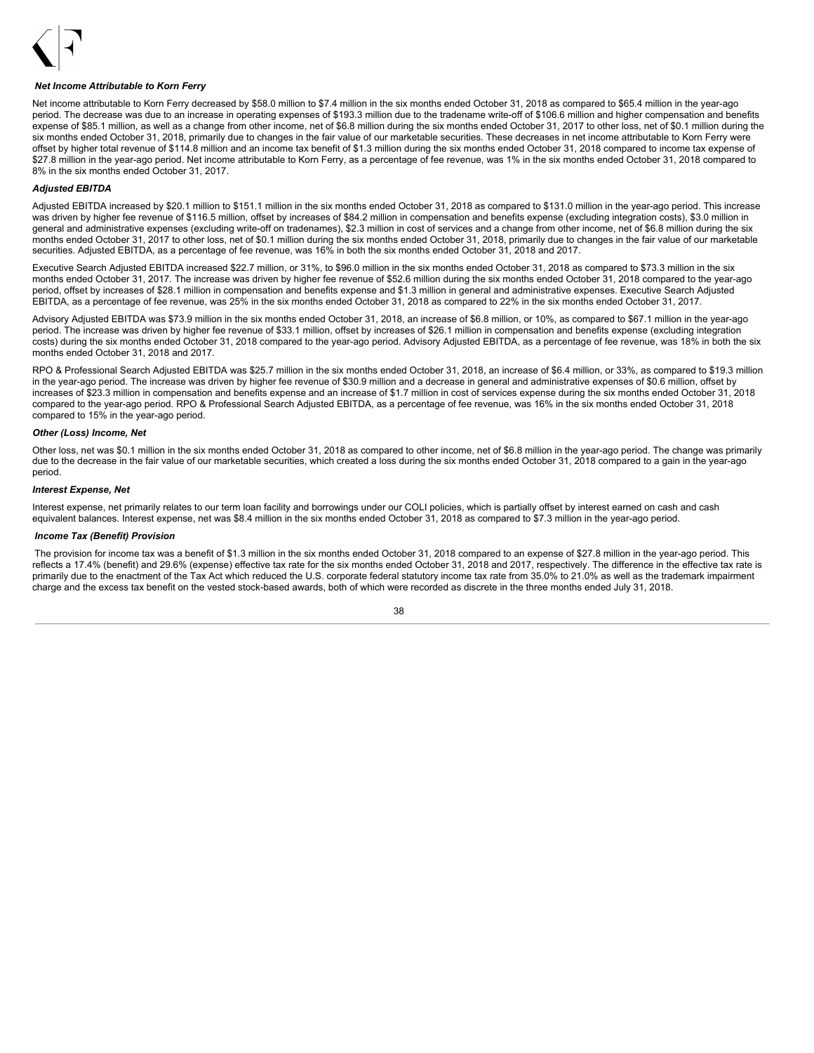

#### *Net Income Attributable to Korn Ferry*

Net income attributable to Korn Ferry decreased by \$58.0 million to \$7.4 million in the six months ended October 31, 2018 as compared to \$65.4 million in the year-ago period. The decrease was due to an increase in operating expenses of \$193.3 million due to the tradename write-off of \$106.6 million and higher compensation and benefits expense of \$85.1 million, as well as a change from other income, net of \$6.8 million during the six months ended October 31, 2017 to other loss, net of \$0.1 million during the six months ended October 31, 2018, primarily due to changes in the fair value of our marketable securities. These decreases in net income attributable to Korn Ferry were offset by higher total revenue of \$114.8 million and an income tax benefit of \$1.3 million during the six months ended October 31, 2018 compared to income tax expense of \$27.8 million in the year-ago period. Net income attributable to Korn Ferry, as a percentage of fee revenue, was 1% in the six months ended October 31, 2018 compared to 8% in the six months ended October 31, 2017.

### *Adjusted EBITDA*

Adjusted EBITDA increased by \$20.1 million to \$151.1 million in the six months ended October 31, 2018 as compared to \$131.0 million in the year-ago period. This increase was driven by higher fee revenue of \$116.5 million, offset by increases of \$84.2 million in compensation and benefits expense (excluding integration costs), \$3.0 million in general and administrative expenses (excluding write-off on tradenames), \$2.3 million in cost of services and a change from other income, net of \$6.8 million during the six months ended October 31, 2017 to other loss, net of \$0.1 million during the six months ended October 31, 2018, primarily due to changes in the fair value of our marketable securities. Adjusted EBITDA, as a percentage of fee revenue, was 16% in both the six months ended October 31, 2018 and 2017.

Executive Search Adjusted EBITDA increased \$22.7 million, or 31%, to \$96.0 million in the six months ended October 31, 2018 as compared to \$73.3 million in the six months ended October 31, 2017. The increase was driven by higher fee revenue of \$52.6 million during the six months ended October 31, 2018 compared to the year-ago period, offset by increases of \$28.1 million in compensation and benefits expense and \$1.3 million in general and administrative expenses. Executive Search Adjusted EBITDA, as a percentage of fee revenue, was 25% in the six months ended October 31, 2018 as compared to 22% in the six months ended October 31, 2017.

Advisory Adjusted EBITDA was \$73.9 million in the six months ended October 31, 2018, an increase of \$6.8 million, or 10%, as compared to \$67.1 million in the year-ago period. The increase was driven by higher fee revenue of \$33.1 million, offset by increases of \$26.1 million in compensation and benefits expense (excluding integration costs) during the six months ended October 31, 2018 compared to the year-ago period. Advisory Adjusted EBITDA, as a percentage of fee revenue, was 18% in both the six months ended October 31, 2018 and 2017.

RPO & Professional Search Adjusted EBITDA was \$25.7 million in the six months ended October 31, 2018, an increase of \$6.4 million, or 33%, as compared to \$19.3 million in the year-ago period. The increase was driven by higher fee revenue of \$30.9 million and a decrease in general and administrative expenses of \$0.6 million, offset by increases of \$23.3 million in compensation and benefits expense and an increase of \$1.7 million in cost of services expense during the six months ended October 31, 2018 compared to the year-ago period. RPO & Professional Search Adjusted EBITDA, as a percentage of fee revenue, was 16% in the six months ended October 31, 2018 compared to 15% in the year-ago period.

## *Other (Loss) Income, Net*

Other loss, net was \$0.1 million in the six months ended October 31, 2018 as compared to other income, net of \$6.8 million in the year-ago period. The change was primarily due to the decrease in the fair value of our marketable securities, which created a loss during the six months ended October 31, 2018 compared to a gain in the year-ago period.

#### *Interest Expense, Net*

Interest expense, net primarily relates to our term loan facility and borrowings under our COLI policies, which is partially offset by interest earned on cash and cash equivalent balances. Interest expense, net was \$8.4 million in the six months ended October 31, 2018 as compared to \$7.3 million in the year-ago period.

#### *Income Tax (Benefit) Provision*

The provision for income tax was a benefit of \$1.3 million in the six months ended October 31, 2018 compared to an expense of \$27.8 million in the year-ago period. This reflects a 17.4% (benefit) and 29.6% (expense) effective tax rate for the six months ended October 31, 2018 and 2017, respectively. The difference in the effective tax rate is primarily due to the enactment of the Tax Act which reduced the U.S. corporate federal statutory income tax rate from 35.0% to 21.0% as well as the trademark impairment charge and the excess tax benefit on the vested stock-based awards, both of which were recorded as discrete in the three months ended July 31, 2018.

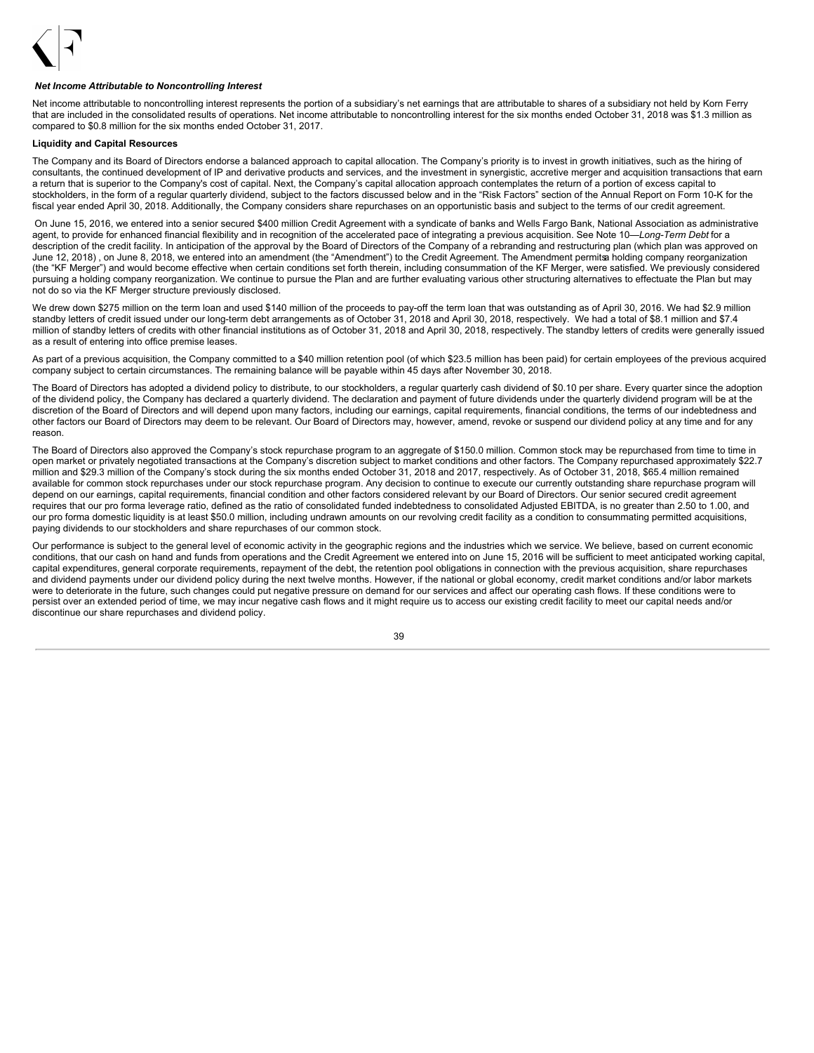

### *Net Income Attributable to Noncontrolling Interest*

Net income attributable to noncontrolling interest represents the portion of a subsidiary's net earnings that are attributable to shares of a subsidiary not held by Korn Ferry that are included in the consolidated results of operations. Net income attributable to noncontrolling interest for the six months ended October 31, 2018 was \$1.3 million as compared to \$0.8 million for the six months ended October 31, 2017.

## **Liquidity and Capital Resources**

The Company and its Board of Directors endorse a balanced approach to capital allocation. The Company's priority is to invest in growth initiatives, such as the hiring of consultants, the continued development of IP and derivative products and services, and the investment in synergistic, accretive merger and acquisition transactions that earn a return that is superior to the Company's cost of capital. Next, the Company's capital allocation approach contemplates the return of a portion of excess capital to stockholders, in the form of a regular quarterly dividend, subject to the factors discussed below and in the "Risk Factors" section of the Annual Report on Form 10-K for the fiscal year ended April 30, 2018. Additionally, the Company considers share repurchases on an opportunistic basis and subject to the terms of our credit agreement.

On June 15, 2016, we entered into a senior secured \$400 million Credit Agreement with a syndicate of banks and Wells Fargo Bank, National Association as administrative agent, to provide for enhanced financial flexibility and in recognition of the accelerated pace of integrating a previous acquisition. See Note 10—*Long-Term Debt* for a description of the credit facility. In anticipation of the approval by the Board of Directors of the Company of a rebranding and restructuring plan (which plan was approved on June 12, 2018) , on June 8, 2018, we entered into an amendment (the "Amendment") to the Credit Agreement. The Amendment permitsa holding company reorganization (the "KF Merger") and would become effective when certain conditions set forth therein, including consummation of the KF Merger, were satisfied. We previously considered pursuing a holding company reorganization. We continue to pursue the Plan and are further evaluating various other structuring alternatives to effectuate the Plan but may not do so via the KF Merger structure previously disclosed.

We drew down \$275 million on the term loan and used \$140 million of the proceeds to pay-off the term loan that was outstanding as of April 30, 2016. We had \$2.9 million standby letters of credit issued under our long-term debt arrangements as of October 31, 2018 and April 30, 2018, respectively. We had a total of \$8.1 million and \$7.4 million of standby letters of credits with other financial institutions as of October 31, 2018 and April 30, 2018, respectively. The standby letters of credits were generally issued as a result of entering into office premise leases.

As part of a previous acquisition, the Company committed to a \$40 million retention pool (of which \$23.5 million has been paid) for certain employees of the previous acquired company subject to certain circumstances. The remaining balance will be payable within 45 days after November 30, 2018.

The Board of Directors has adopted a dividend policy to distribute, to our stockholders, a regular quarterly cash dividend of \$0.10 per share. Every quarter since the adoption of the dividend policy, the Company has declared a quarterly dividend. The declaration and payment of future dividends under the quarterly dividend program will be at the discretion of the Board of Directors and will depend upon many factors, including our earnings, capital requirements, financial conditions, the terms of our indebtedness and other factors our Board of Directors may deem to be relevant. Our Board of Directors may, however, amend, revoke or suspend our dividend policy at any time and for any reason.

The Board of Directors also approved the Company's stock repurchase program to an aggregate of \$150.0 million. Common stock may be repurchased from time to time in open market or privately negotiated transactions at the Company's discretion subject to market conditions and other factors. The Company repurchased approximately \$22.7 million and \$29.3 million of the Company's stock during the six months ended October 31, 2018 and 2017, respectively. As of October 31, 2018, \$65.4 million remained available for common stock repurchases under our stock repurchase program. Any decision to continue to execute our currently outstanding share repurchase program will depend on our earnings, capital requirements, financial condition and other factors considered relevant by our Board of Directors. Our senior secured credit agreement requires that our pro forma leverage ratio, defined as the ratio of consolidated funded indebtedness to consolidated Adjusted EBITDA, is no greater than 2.50 to 1.00, and our pro forma domestic liquidity is at least \$50.0 million, including undrawn amounts on our revolving credit facility as a condition to consummating permitted acquisitions, paying dividends to our stockholders and share repurchases of our common stock.

Our performance is subject to the general level of economic activity in the geographic regions and the industries which we service. We believe, based on current economic conditions, that our cash on hand and funds from operations and the Credit Agreement we entered into on June 15, 2016 will be sufficient to meet anticipated working capital, capital expenditures, general corporate requirements, repayment of the debt, the retention pool obligations in connection with the previous acquisition, share repurchases and dividend payments under our dividend policy during the next twelve months. However, if the national or global economy, credit market conditions and/or labor markets were to deteriorate in the future, such changes could put negative pressure on demand for our services and affect our operating cash flows. If these conditions were to persist over an extended period of time, we may incur negative cash flows and it might require us to access our existing credit facility to meet our capital needs and/or discontinue our share repurchases and dividend policy.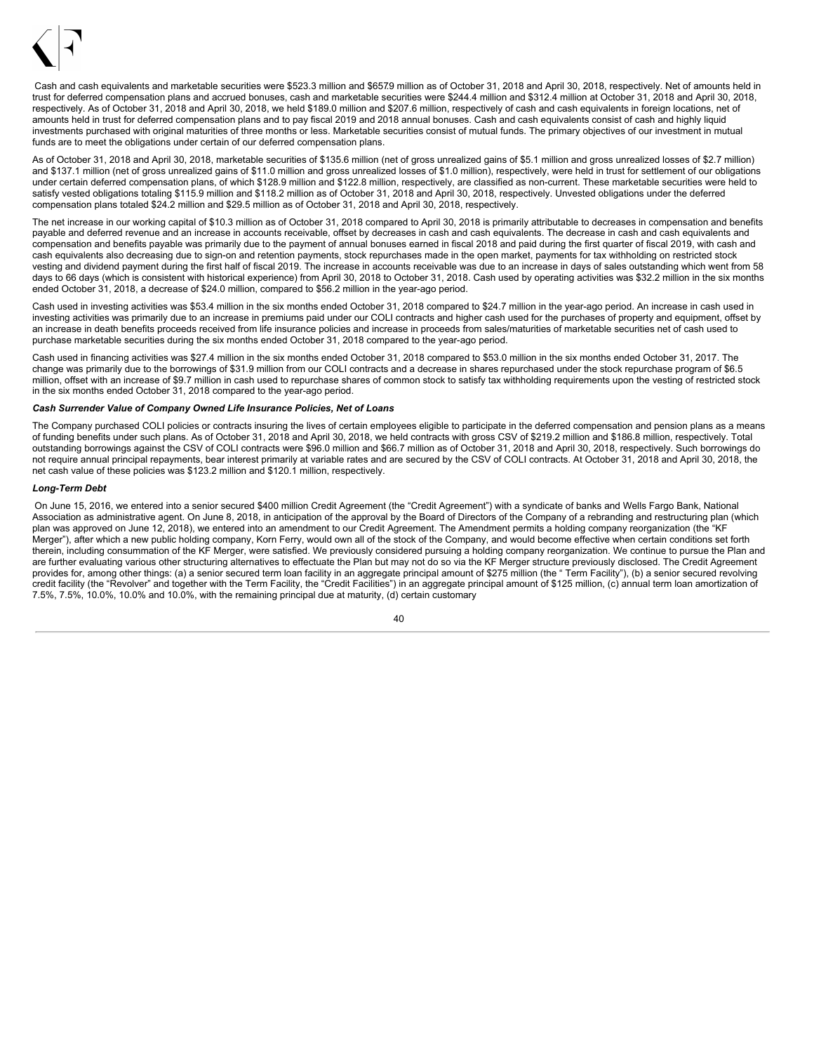

Cash and cash equivalents and marketable securities were \$523.3 million and \$657.9 million as of October 31, 2018 and April 30, 2018, respectively. Net of amounts held in trust for deferred compensation plans and accrued bonuses, cash and marketable securities were \$244.4 million and \$312.4 million at October 31, 2018 and April 30, 2018, respectively. As of October 31, 2018 and April 30, 2018, we held \$189.0 million and \$207.6 million, respectively of cash and cash equivalents in foreign locations, net of amounts held in trust for deferred compensation plans and to pay fiscal 2019 and 2018 annual bonuses. Cash and cash equivalents consist of cash and highly liquid investments purchased with original maturities of three months or less. Marketable securities consist of mutual funds. The primary objectives of our investment in mutual funds are to meet the obligations under certain of our deferred compensation plans.

As of October 31, 2018 and April 30, 2018, marketable securities of \$135.6 million (net of gross unrealized gains of \$5.1 million and gross unrealized losses of \$2.7 million) and \$137.1 million (net of gross unrealized gains of \$11.0 million and gross unrealized losses of \$1.0 million), respectively, were held in trust for settlement of our obligations under certain deferred compensation plans, of which \$128.9 million and \$122.8 million, respectively, are classified as non-current. These marketable securities were held to satisfy vested obligations totaling \$115.9 million and \$118.2 million as of October 31, 2018 and April 30, 2018, respectively. Unvested obligations under the deferred compensation plans totaled \$24.2 million and \$29.5 million as of October 31, 2018 and April 30, 2018, respectively.

The net increase in our working capital of \$10.3 million as of October 31, 2018 compared to April 30, 2018 is primarily attributable to decreases in compensation and benefits payable and deferred revenue and an increase in accounts receivable, offset by decreases in cash and cash equivalents. The decrease in cash and cash equivalents and compensation and benefits payable was primarily due to the payment of annual bonuses earned in fiscal 2018 and paid during the first quarter of fiscal 2019, with cash and cash equivalents also decreasing due to sign-on and retention payments, stock repurchases made in the open market, payments for tax withholding on restricted stock vesting and dividend payment during the first half of fiscal 2019. The increase in accounts receivable was due to an increase in days of sales outstanding which went from 58 days to 66 days (which is consistent with historical experience) from April 30, 2018 to October 31, 2018. Cash used by operating activities was \$32.2 million in the six months ended October 31, 2018, a decrease of \$24.0 million, compared to \$56.2 million in the year-ago period.

Cash used in investing activities was \$53.4 million in the six months ended October 31, 2018 compared to \$24.7 million in the year-ago period. An increase in cash used in investing activities was primarily due to an increase in premiums paid under our COLI contracts and higher cash used for the purchases of property and equipment, offset by an increase in death benefits proceeds received from life insurance policies and increase in proceeds from sales/maturities of marketable securities net of cash used to purchase marketable securities during the six months ended October 31, 2018 compared to the year-ago period.

Cash used in financing activities was \$27.4 million in the six months ended October 31, 2018 compared to \$53.0 million in the six months ended October 31, 2017. The change was primarily due to the borrowings of \$31.9 million from our COLI contracts and a decrease in shares repurchased under the stock repurchase program of \$6.5 million, offset with an increase of \$9.7 million in cash used to repurchase shares of common stock to satisfy tax withholding requirements upon the vesting of restricted stock in the six months ended October 31, 2018 compared to the year-ago period.

## *Cash Surrender Value of Company Owned Life Insurance Policies, Net of Loans*

The Company purchased COLI policies or contracts insuring the lives of certain employees eligible to participate in the deferred compensation and pension plans as a means of funding benefits under such plans. As of October 31, 2018 and April 30, 2018, we held contracts with gross CSV of \$219.2 million and \$186.8 million, respectively. Total outstanding borrowings against the CSV of COLI contracts were \$96.0 million and \$66.7 million as of October 31, 2018 and April 30, 2018, respectively. Such borrowings do not require annual principal repayments, bear interest primarily at variable rates and are secured by the CSV of COLI contracts. At October 31, 2018 and April 30, 2018, the net cash value of these policies was \$123.2 million and \$120.1 million, respectively.

### *Long-Term Debt*

On June 15, 2016, we entered into a senior secured \$400 million Credit Agreement (the "Credit Agreement") with a syndicate of banks and Wells Fargo Bank, National Association as administrative agent. On June 8, 2018, in anticipation of the approval by the Board of Directors of the Company of a rebranding and restructuring plan (which plan was approved on June 12, 2018), we entered into an amendment to our Credit Agreement. The Amendment permits a holding company reorganization (the "KF Merger"), after which a new public holding company, Korn Ferry, would own all of the stock of the Company, and would become effective when certain conditions set forth therein, including consummation of the KF Merger, were satisfied. We previously considered pursuing a holding company reorganization. We continue to pursue the Plan and are further evaluating various other structuring alternatives to effectuate the Plan but may not do so via the KF Merger structure previously disclosed. The Credit Agreement provides for, among other things: (a) a senior secured term loan facility in an aggregate principal amount of \$275 million (the "Term Facility"), (b) a senior secured revolving credit facility (the "Revolver" and together with the Term Facility, the "Credit Facilities") in an aggregate principal amount of \$125 million, (c) annual term loan amortization of 7.5%, 7.5%, 10.0%, 10.0% and 10.0%, with the remaining principal due at maturity, (d) certain customary

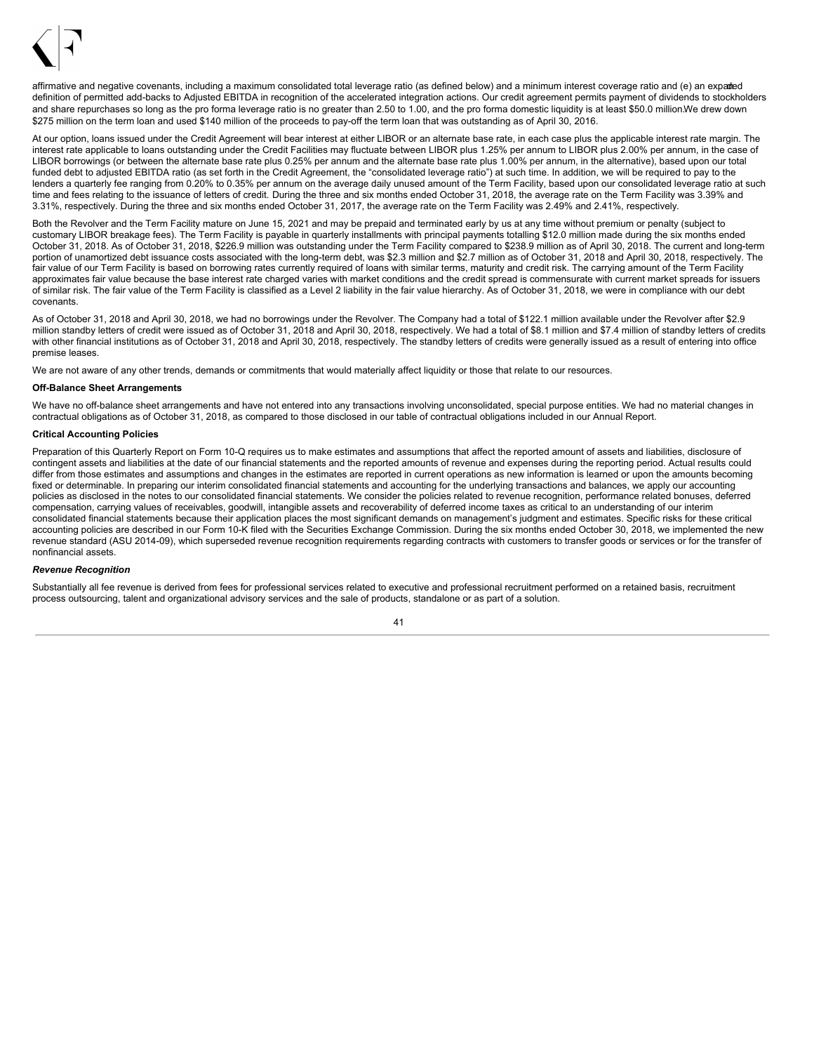

affirmative and negative covenants, including a maximum consolidated total leverage ratio (as defined below) and a minimum interest coverage ratio and (e) an expaded definition of permitted add-backs to Adjusted EBITDA in recognition of the accelerated integration actions. Our credit agreement permits payment of dividends to stockholders and share repurchases so long as the pro forma leverage ratio is no greater than 2.50 to 1.00, and the pro forma domestic liquidity is at least \$50.0 million.We drew down \$275 million on the term loan and used \$140 million of the proceeds to pay-off the term loan that was outstanding as of April 30, 2016.

At our option, loans issued under the Credit Agreement will bear interest at either LIBOR or an alternate base rate, in each case plus the applicable interest rate margin. The interest rate applicable to loans outstanding under the Credit Facilities may fluctuate between LIBOR plus 1.25% per annum to LIBOR plus 2.00% per annum, in the case of LIBOR borrowings (or between the alternate base rate plus 0.25% per annum and the alternate base rate plus 1.00% per annum, in the alternative), based upon our total funded debt to adjusted EBITDA ratio (as set forth in the Credit Agreement, the "consolidated leverage ratio") at such time. In addition, we will be required to pay to the lenders a quarterly fee ranging from 0.20% to 0.35% per annum on the average daily unused amount of the Term Facility, based upon our consolidated leverage ratio at such time and fees relating to the issuance of letters of credit. During the three and six months ended October 31, 2018, the average rate on the Term Facility was 3.39% and 3.31%, respectively. During the three and six months ended October 31, 2017, the average rate on the Term Facility was 2.49% and 2.41%, respectively.

Both the Revolver and the Term Facility mature on June 15, 2021 and may be prepaid and terminated early by us at any time without premium or penalty (subject to customary LIBOR breakage fees). The Term Facility is payable in quarterly installments with principal payments totalling \$12.0 million made during the six months ended October 31, 2018. As of October 31, 2018, \$226.9 million was outstanding under the Term Facility compared to \$238.9 million as of April 30, 2018. The current and long-term portion of unamortized debt issuance costs associated with the long-term debt, was \$2.3 million and \$2.7 million as of October 31, 2018 and April 30, 2018, respectively. The fair value of our Term Facility is based on borrowing rates currently required of loans with similar terms, maturity and credit risk. The carrying amount of the Term Facility approximates fair value because the base interest rate charged varies with market conditions and the credit spread is commensurate with current market spreads for issuers of similar risk. The fair value of the Term Facility is classified as a Level 2 liability in the fair value hierarchy. As of October 31, 2018, we were in compliance with our debt covenants.

As of October 31, 2018 and April 30, 2018, we had no borrowings under the Revolver. The Company had a total of \$122.1 million available under the Revolver after \$2.9 million standby letters of credit were issued as of October 31, 2018 and April 30, 2018, respectively. We had a total of \$8.1 million and \$7.4 million of standby letters of credits with other financial institutions as of October 31, 2018 and April 30, 2018, respectively. The standby letters of credits were generally issued as a result of entering into office premise leases.

We are not aware of any other trends, demands or commitments that would materially affect liquidity or those that relate to our resources.

#### **Off-Balance Sheet Arrangements**

We have no off-balance sheet arrangements and have not entered into any transactions involving unconsolidated, special purpose entities. We had no material changes in contractual obligations as of October 31, 2018, as compared to those disclosed in our table of contractual obligations included in our Annual Report.

### **Critical Accounting Policies**

Preparation of this Quarterly Report on Form 10-Q requires us to make estimates and assumptions that affect the reported amount of assets and liabilities, disclosure of contingent assets and liabilities at the date of our financial statements and the reported amounts of revenue and expenses during the reporting period. Actual results could differ from those estimates and assumptions and changes in the estimates are reported in current operations as new information is learned or upon the amounts becoming fixed or determinable. In preparing our interim consolidated financial statements and accounting for the underlying transactions and balances, we apply our accounting policies as disclosed in the notes to our consolidated financial statements. We consider the policies related to revenue recognition, performance related bonuses, deferred compensation, carrying values of receivables, goodwill, intangible assets and recoverability of deferred income taxes as critical to an understanding of our interim consolidated financial statements because their application places the most significant demands on management's judgment and estimates. Specific risks for these critical accounting policies are described in our Form 10-K filed with the Securities Exchange Commission. During the six months ended October 30, 2018, we implemented the new revenue standard (ASU 2014-09), which superseded revenue recognition requirements regarding contracts with customers to transfer goods or services or for the transfer of nonfinancial assets.

### *Revenue Recognition*

Substantially all fee revenue is derived from fees for professional services related to executive and professional recruitment performed on a retained basis, recruitment process outsourcing, talent and organizational advisory services and the sale of products, standalone or as part of a solution.

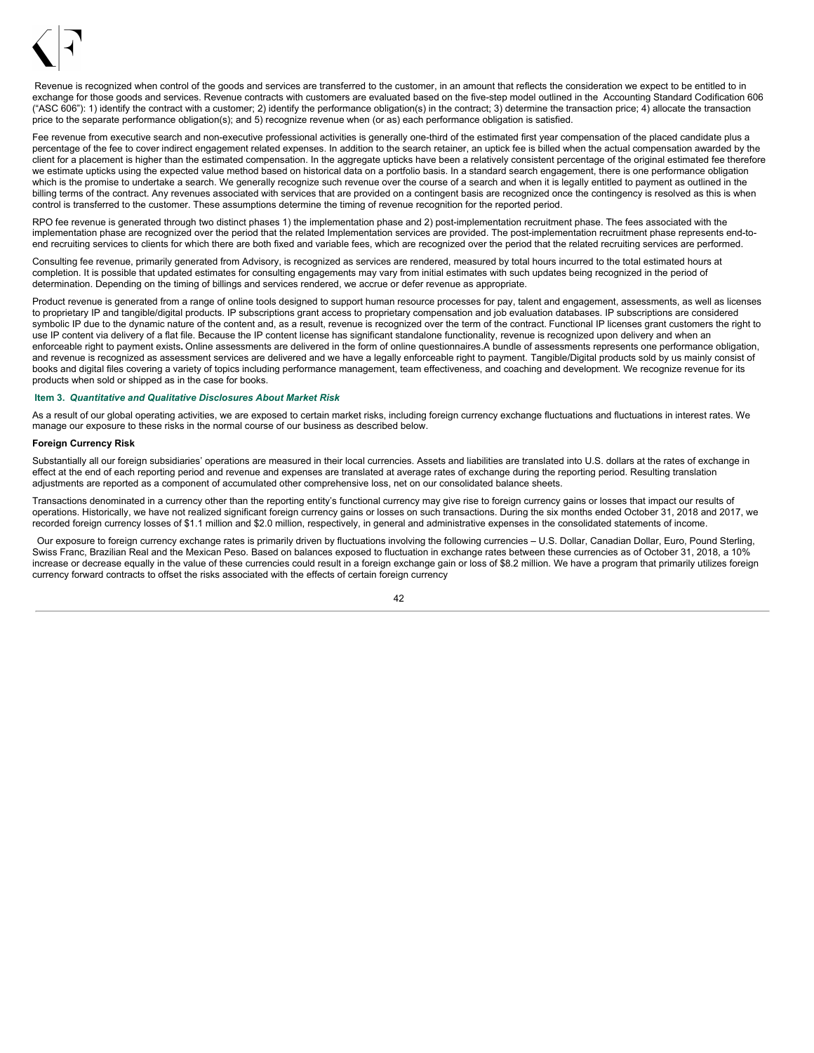

Revenue is recognized when control of the goods and services are transferred to the customer, in an amount that reflects the consideration we expect to be entitled to in exchange for those goods and services. Revenue contracts with customers are evaluated based on the five-step model outlined in the Accounting Standard Codification 606 ("ASC 606"): 1) identify the contract with a customer; 2) identify the performance obligation(s) in the contract; 3) determine the transaction price; 4) allocate the transaction price to the separate performance obligation(s); and 5) recognize revenue when (or as) each performance obligation is satisfied.

Fee revenue from executive search and non-executive professional activities is generally one-third of the estimated first year compensation of the placed candidate plus a percentage of the fee to cover indirect engagement related expenses. In addition to the search retainer, an uptick fee is billed when the actual compensation awarded by the client for a placement is higher than the estimated compensation. In the aggregate upticks have been a relatively consistent percentage of the original estimated fee therefore we estimate upticks using the expected value method based on historical data on a portfolio basis. In a standard search engagement, there is one performance obligation which is the promise to undertake a search. We generally recognize such revenue over the course of a search and when it is legally entitled to payment as outlined in the billing terms of the contract. Any revenues associated with services that are provided on a contingent basis are recognized once the contingency is resolved as this is when control is transferred to the customer. These assumptions determine the timing of revenue recognition for the reported period.

RPO fee revenue is generated through two distinct phases 1) the implementation phase and 2) post-implementation recruitment phase. The fees associated with the implementation phase are recognized over the period that the related Implementation services are provided. The post-implementation recruitment phase represents end-toend recruiting services to clients for which there are both fixed and variable fees, which are recognized over the period that the related recruiting services are performed.

Consulting fee revenue, primarily generated from Advisory, is recognized as services are rendered, measured by total hours incurred to the total estimated hours at completion. It is possible that updated estimates for consulting engagements may vary from initial estimates with such updates being recognized in the period of determination. Depending on the timing of billings and services rendered, we accrue or defer revenue as appropriate.

Product revenue is generated from a range of online tools designed to support human resource processes for pay, talent and engagement, assessments, as well as licenses to proprietary IP and tangible/digital products. IP subscriptions grant access to proprietary compensation and job evaluation databases. IP subscriptions are considered symbolic IP due to the dynamic nature of the content and, as a result, revenue is recognized over the term of the contract. Functional IP licenses grant customers the right to use IP content via delivery of a flat file. Because the IP content license has significant standalone functionality, revenue is recognized upon delivery and when an enforceable right to payment exists**.** Online assessments are delivered in the form of online questionnaires.A bundle of assessments represents one performance obligation, and revenue is recognized as assessment services are delivered and we have a legally enforceable right to payment. Tangible/Digital products sold by us mainly consist of books and digital files covering a variety of topics including performance management, team effectiveness, and coaching and development. We recognize revenue for its products when sold or shipped as in the case for books.

### <span id="page-43-0"></span>**Item 3.** *Quantitative and Qualitative Disclosures About Market Risk*

As a result of our global operating activities, we are exposed to certain market risks, including foreign currency exchange fluctuations and fluctuations in interest rates. We manage our exposure to these risks in the normal course of our business as described below.

#### **Foreign Currency Risk**

Substantially all our foreign subsidiaries' operations are measured in their local currencies. Assets and liabilities are translated into U.S. dollars at the rates of exchange in effect at the end of each reporting period and revenue and expenses are translated at average rates of exchange during the reporting period. Resulting translation adjustments are reported as a component of accumulated other comprehensive loss, net on our consolidated balance sheets.

Transactions denominated in a currency other than the reporting entity's functional currency may give rise to foreign currency gains or losses that impact our results of operations. Historically, we have not realized significant foreign currency gains or losses on such transactions. During the six months ended October 31, 2018 and 2017, we recorded foreign currency losses of \$1.1 million and \$2.0 million, respectively, in general and administrative expenses in the consolidated statements of income.

Our exposure to foreign currency exchange rates is primarily driven by fluctuations involving the following currencies – U.S. Dollar, Canadian Dollar, Euro, Pound Sterling, Swiss Franc, Brazilian Real and the Mexican Peso. Based on balances exposed to fluctuation in exchange rates between these currencies as of October 31, 2018, a 10% increase or decrease equally in the value of these currencies could result in a foreign exchange gain or loss of \$8.2 million. We have a program that primarily utilizes foreign currency forward contracts to offset the risks associated with the effects of certain foreign currency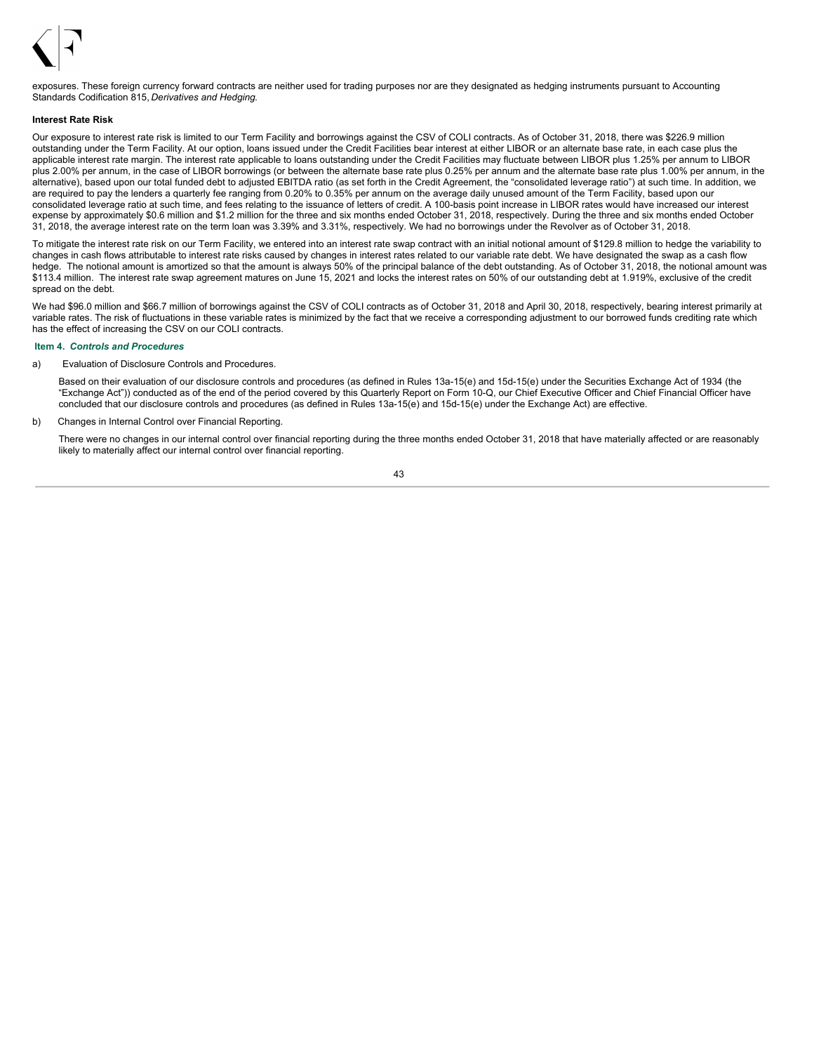

exposures. These foreign currency forward contracts are neither used for trading purposes nor are they designated as hedging instruments pursuant to Accounting Standards Codification 815, *Derivatives and Hedging*.

#### **Interest Rate Risk**

Our exposure to interest rate risk is limited to our Term Facility and borrowings against the CSV of COLI contracts. As of October 31, 2018, there was \$226.9 million outstanding under the Term Facility. At our option, loans issued under the Credit Facilities bear interest at either LIBOR or an alternate base rate, in each case plus the applicable interest rate margin. The interest rate applicable to loans outstanding under the Credit Facilities may fluctuate between LIBOR plus 1.25% per annum to LIBOR plus 2.00% per annum, in the case of LIBOR borrowings (or between the alternate base rate plus 0.25% per annum and the alternate base rate plus 1.00% per annum, in the alternative), based upon our total funded debt to adjusted EBITDA ratio (as set forth in the Credit Agreement, the "consolidated leverage ratio") at such time. In addition, we are required to pay the lenders a quarterly fee ranging from 0.20% to 0.35% per annum on the average daily unused amount of the Term Facility, based upon our consolidated leverage ratio at such time, and fees relating to the issuance of letters of credit. A 100-basis point increase in LIBOR rates would have increased our interest expense by approximately \$0.6 million and \$1.2 million for the three and six months ended October 31, 2018, respectively. During the three and six months ended October 31, 2018, the average interest rate on the term loan was 3.39% and 3.31%, respectively. We had no borrowings under the Revolver as of October 31, 2018.

To mitigate the interest rate risk on our Term Facility, we entered into an interest rate swap contract with an initial notional amount of \$129.8 million to hedge the variability to changes in cash flows attributable to interest rate risks caused by changes in interest rates related to our variable rate debt. We have designated the swap as a cash flow hedge. The notional amount is amortized so that the amount is always 50% of the principal balance of the debt outstanding. As of October 31, 2018, the notional amount was \$113.4 million. The interest rate swap agreement matures on June 15, 2021 and locks the interest rates on 50% of our outstanding debt at 1.919%, exclusive of the credit spread on the debt.

We had \$96.0 million and \$66.7 million of borrowings against the CSV of COLI contracts as of October 31, 2018 and April 30, 2018, respectively, bearing interest primarily at variable rates. The risk of fluctuations in these variable rates is minimized by the fact that we receive a corresponding adjustment to our borrowed funds crediting rate which has the effect of increasing the CSV on our COLI contracts.

#### <span id="page-44-0"></span>**Item 4.** *Controls and Procedures*

a) Evaluation of Disclosure Controls and Procedures.

Based on their evaluation of our disclosure controls and procedures (as defined in Rules 13a-15(e) and 15d-15(e) under the Securities Exchange Act of 1934 (the "Exchange Act")) conducted as of the end of the period covered by this Quarterly Report on Form 10-Q, our Chief Executive Officer and Chief Financial Officer have concluded that our disclosure controls and procedures (as defined in Rules 13a-15(e) and 15d-15(e) under the Exchange Act) are effective.

b) Changes in Internal Control over Financial Reporting.

There were no changes in our internal control over financial reporting during the three months ended October 31, 2018 that have materially affected or are reasonably likely to materially affect our internal control over financial reporting.

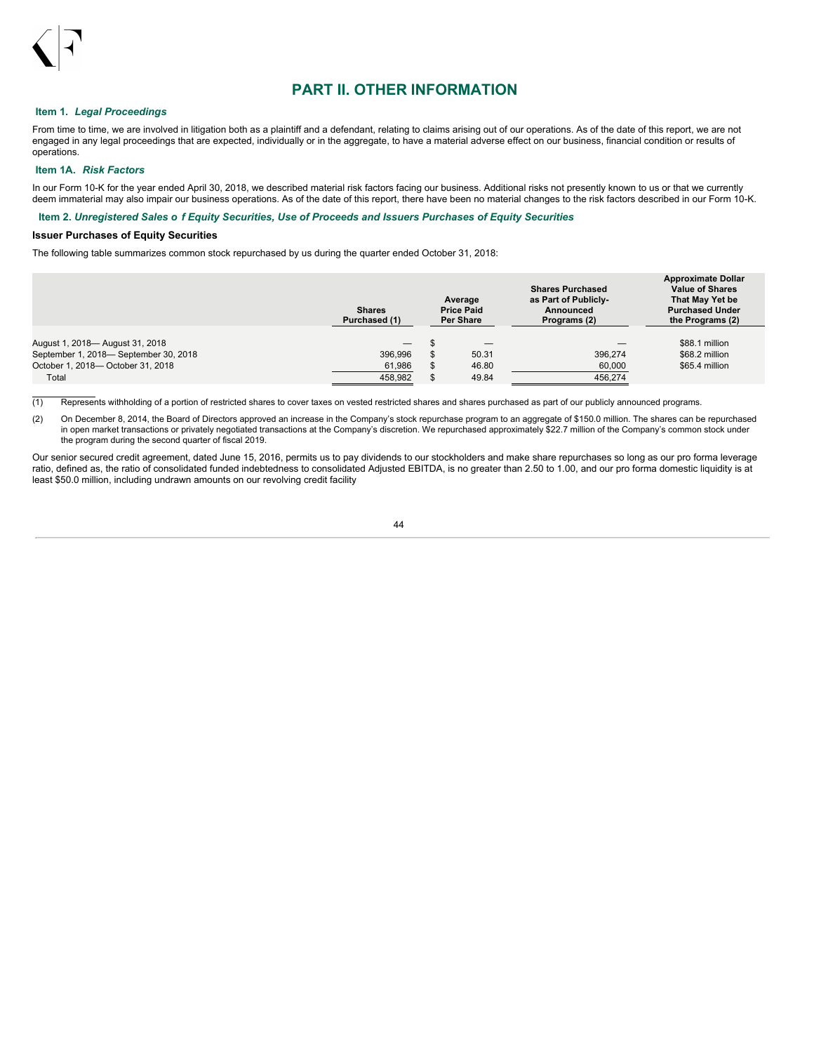

## **PART II. OTHER INFORMATION**

## <span id="page-45-0"></span>**Item 1.** *Legal Proceedings*

From time to time, we are involved in litigation both as a plaintiff and a defendant, relating to claims arising out of our operations. As of the date of this report, we are not engaged in any legal proceedings that are expected, individually or in the aggregate, to have a material adverse effect on our business, financial condition or results of operations.

## <span id="page-45-1"></span>**Item 1A.** *Risk Factors*

In our Form 10-K for the year ended April 30, 2018, we described material risk factors facing our business. Additional risks not presently known to us or that we currently deem immaterial may also impair our business operations. As of the date of this report, there have been no material changes to the risk factors described in our Form 10-K.

### <span id="page-45-2"></span>Item 2. Unregistered Sales o f Equity Securities, Use of Proceeds and Issuers Purchases of Equity Securities

## **Issuer Purchases of Equity Securities**

The following table summarizes common stock repurchased by us during the quarter ended October 31, 2018:

|                                                                          | <b>Shares</b><br>Purchased (1)             | Average<br><b>Price Paid</b><br><b>Per Share</b> |       | <b>Shares Purchased</b><br>as Part of Publicly-<br>Announced<br>Programs (2) | <b>Approximate Dollar</b><br><b>Value of Shares</b><br>That May Yet be<br><b>Purchased Under</b><br>the Programs (2) |  |
|--------------------------------------------------------------------------|--------------------------------------------|--------------------------------------------------|-------|------------------------------------------------------------------------------|----------------------------------------------------------------------------------------------------------------------|--|
| August 1, 2018— August 31, 2018<br>September 1, 2018- September 30, 2018 | $\hspace{0.1mm}-\hspace{0.1mm}$<br>396.996 |                                                  | 50.31 | 396.274                                                                      | \$88.1 million<br>\$68.2 million                                                                                     |  |
| October 1, 2018- October 31, 2018                                        | 61,986                                     |                                                  | 46.80 | 60,000                                                                       | \$65.4 million                                                                                                       |  |
| Total                                                                    | 458.982                                    |                                                  | 49.84 | 456,274                                                                      |                                                                                                                      |  |

(1) Represents withholding of a portion of restricted shares to cover taxes on vested restricted shares and shares purchased as part of our publicly announced programs.

(2) On December 8, 2014, the Board of Directors approved an increase in the Company's stock repurchase program to an aggregate of \$150.0 million. The shares can be repurchased in open market transactions or privately negotiated transactions at the Company's discretion. We repurchased approximately \$22.7 million of the Company's common stock under<br>the program during the second quarter of fiscal 2

Our senior secured credit agreement, dated June 15, 2016, permits us to pay dividends to our stockholders and make share repurchases so long as our pro forma leverage ratio, defined as, the ratio of consolidated funded indebtedness to consolidated Adjusted EBITDA, is no greater than 2.50 to 1.00, and our pro forma domestic liquidity is at least \$50.0 million, including undrawn amounts on our revolving credit facility.

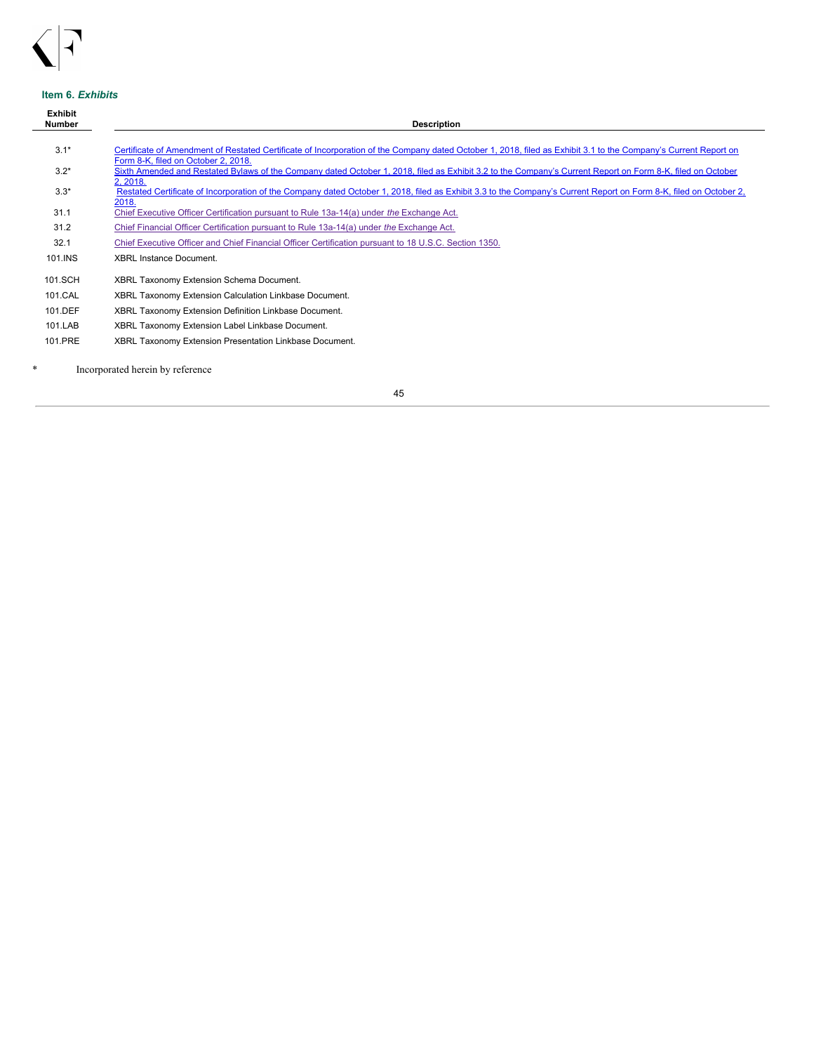

## <span id="page-46-0"></span>**Item 6.** *Exhibits*

| <b>Exhibit</b><br><b>Number</b> | <b>Description</b>                                                                                                                                                                                     |
|---------------------------------|--------------------------------------------------------------------------------------------------------------------------------------------------------------------------------------------------------|
|                                 |                                                                                                                                                                                                        |
| $3.1*$                          | Certificate of Amendment of Restated Certificate of Incorporation of the Company dated October 1, 2018, filed as Exhibit 3.1 to the Company's Current Report on<br>Form 8-K, filed on October 2, 2018. |
| $3.2*$                          | Sixth Amended and Restated Bylaws of the Company dated October 1, 2018, filed as Exhibit 3.2 to the Company's Current Report on Form 8-K, filed on October<br>2, 2018.                                 |
| $3.3*$                          | Restated Certificate of Incorporation of the Company dated October 1, 2018, filed as Exhibit 3.3 to the Company's Current Report on Form 8-K, filed on October 2,<br>2018.                             |
| 31.1                            | Chief Executive Officer Certification pursuant to Rule 13a-14(a) under the Exchange Act.                                                                                                               |
| 31.2                            | Chief Financial Officer Certification pursuant to Rule 13a-14(a) under the Exchange Act.                                                                                                               |
| 32.1                            | Chief Executive Officer and Chief Financial Officer Certification pursuant to 18 U.S.C. Section 1350.                                                                                                  |
| 101.INS                         | <b>XBRL Instance Document.</b>                                                                                                                                                                         |
| 101.SCH                         | XBRL Taxonomy Extension Schema Document.                                                                                                                                                               |
| 101.CAL                         | XBRL Taxonomy Extension Calculation Linkbase Document.                                                                                                                                                 |
| 101.DEF                         | XBRL Taxonomy Extension Definition Linkbase Document.                                                                                                                                                  |
| 101.LAB                         | XBRL Taxonomy Extension Label Linkbase Document.                                                                                                                                                       |
| 101.PRE                         | XBRL Taxonomy Extension Presentation Linkbase Document.                                                                                                                                                |

 $\overline{\phantom{a}}$ 

\* Incorporated herein by reference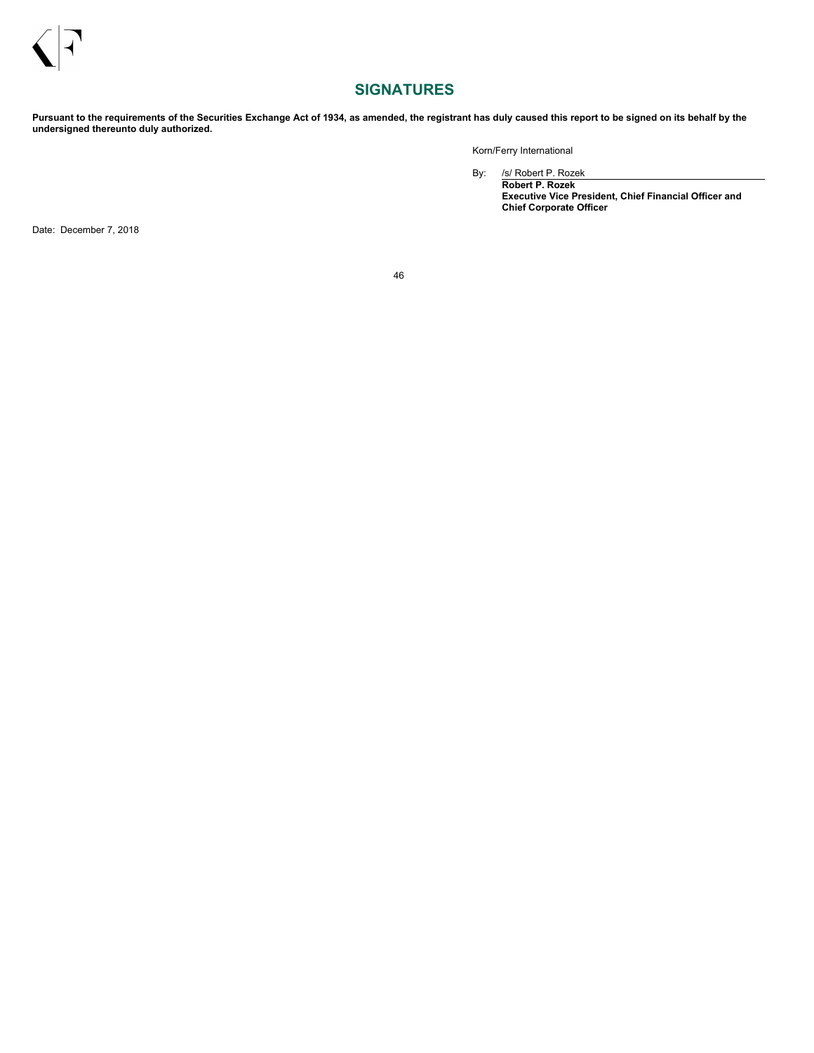# <span id="page-47-0"></span>**SIGNATURES**

Pursuant to the requirements of the Securities Exchange Act of 1934, as amended, the registrant has duly caused this report to be signed on its behalf by the **undersigned thereunto duly authorized.**

Korn/Ferry International

By: /s/ Robert P. Rozek

**Robert P. Rozek Executive Vice President, Chief Financial Officer and Chief Corporate Officer**

Date: December 7, 2018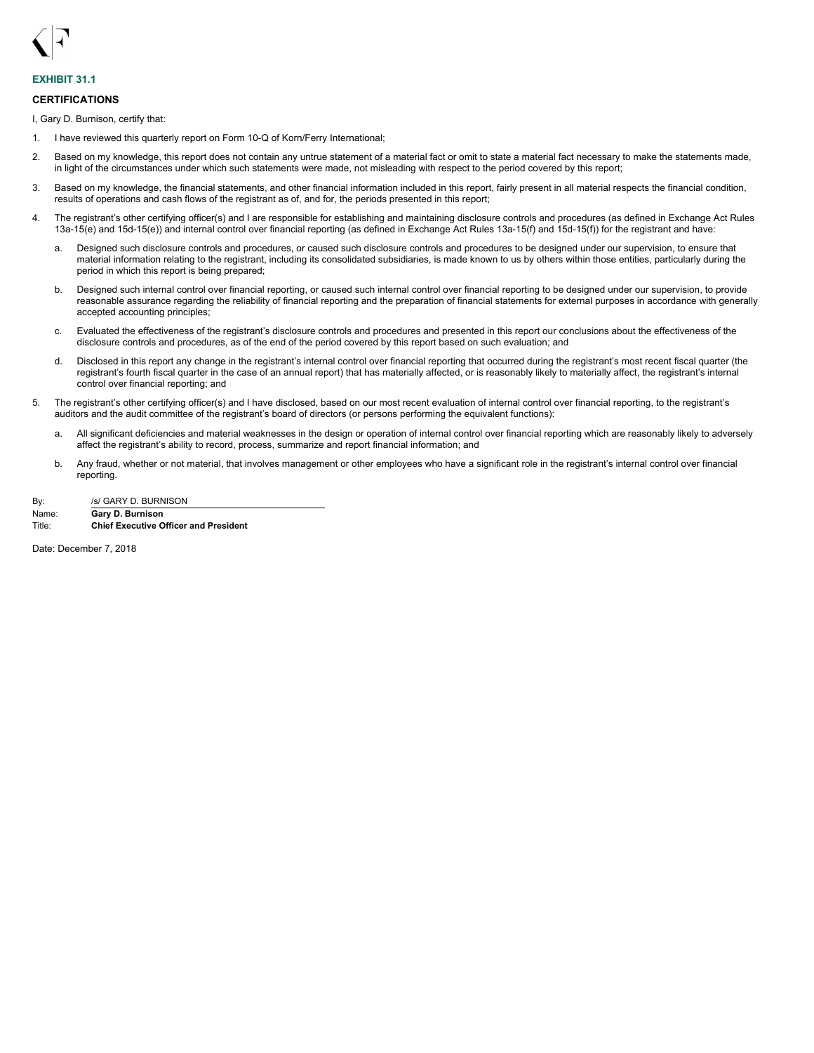<span id="page-48-0"></span>

## **EXHIBIT 31.1**

### **CERTIFICATIONS**

I, Gary D. Burnison, certify that:

- 1. I have reviewed this quarterly report on Form 10-Q of Korn/Ferry International;
- 2. Based on my knowledge, this report does not contain any untrue statement of a material fact or omit to state a material fact necessary to make the statements made, in light of the circumstances under which such statements were made, not misleading with respect to the period covered by this report;
- 3. Based on my knowledge, the financial statements, and other financial information included in this report, fairly present in all material respects the financial condition, results of operations and cash flows of the registrant as of, and for, the periods presented in this report;
- 4. The registrant's other certifying officer(s) and I are responsible for establishing and maintaining disclosure controls and procedures (as defined in Exchange Act Rules 13a-15(e) and 15d-15(e)) and internal control over financial reporting (as defined in Exchange Act Rules 13a-15(f) and 15d-15(f)) for the registrant and have:
	- a. Designed such disclosure controls and procedures, or caused such disclosure controls and procedures to be designed under our supervision, to ensure that material information relating to the registrant, including its consolidated subsidiaries, is made known to us by others within those entities, particularly during the period in which this report is being prepared;
	- b. Designed such internal control over financial reporting, or caused such internal control over financial reporting to be designed under our supervision, to provide reasonable assurance regarding the reliability of financial reporting and the preparation of financial statements for external purposes in accordance with generally accepted accounting principles;
	- c. Evaluated the effectiveness of the registrant's disclosure controls and procedures and presented in this report our conclusions about the effectiveness of the disclosure controls and procedures, as of the end of the period covered by this report based on such evaluation; and
	- d. Disclosed in this report any change in the registrant's internal control over financial reporting that occurred during the registrant's most recent fiscal quarter (the registrant's fourth fiscal quarter in the case of an annual report) that has materially affected, or is reasonably likely to materially affect, the registrant's internal control over financial reporting; and
- 5. The registrant's other certifying officer(s) and I have disclosed, based on our most recent evaluation of internal control over financial reporting, to the registrant's auditors and the audit committee of the registrant's board of directors (or persons performing the equivalent functions):
	- a. All significant deficiencies and material weaknesses in the design or operation of internal control over financial reporting which are reasonably likely to adversely affect the registrant's ability to record, process, summarize and report financial information; and
	- b. Any fraud, whether or not material, that involves management or other employees who have a significant role in the registrant's internal control over financial reporting.
- By: /s/ GARY D. BURNISON Name: **Gary D. Burnison** Title: **Chief Executive Officer and President**

Date: December 7, 2018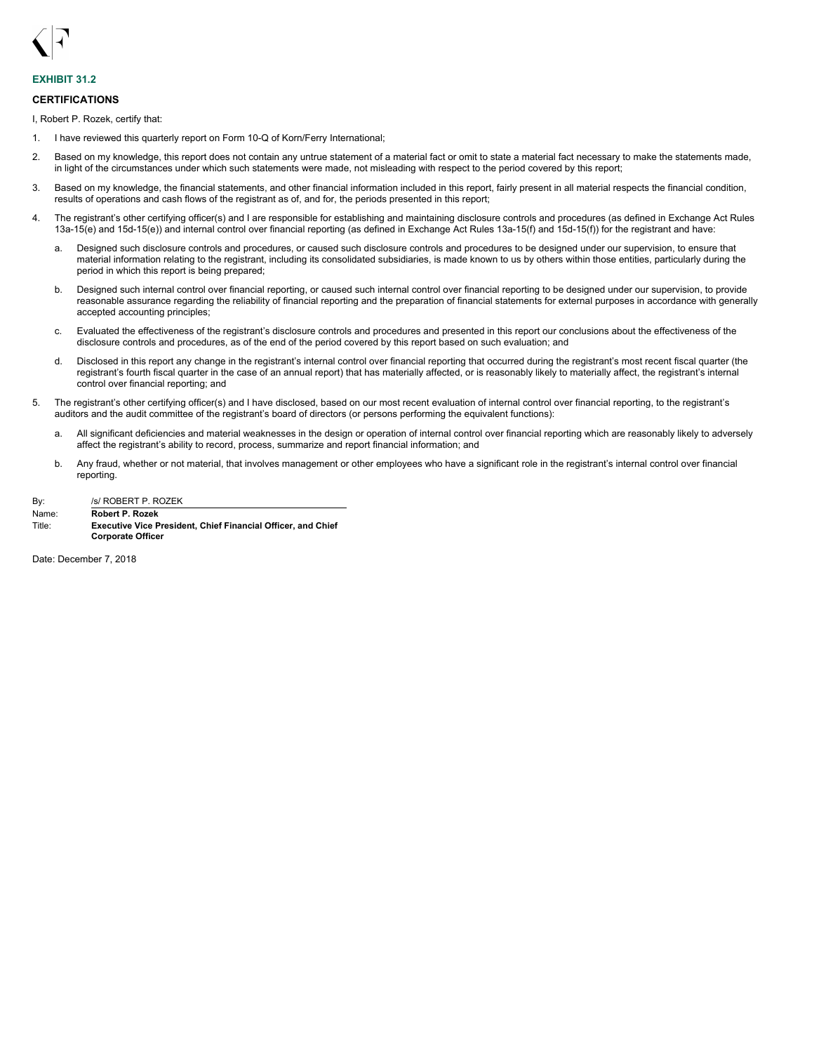<span id="page-49-0"></span>

## **EXHIBIT 31.2**

### **CERTIFICATIONS**

I, Robert P. Rozek, certify that:

- 1. I have reviewed this quarterly report on Form 10-Q of Korn/Ferry International;
- 2. Based on my knowledge, this report does not contain any untrue statement of a material fact or omit to state a material fact necessary to make the statements made, in light of the circumstances under which such statements were made, not misleading with respect to the period covered by this report;
- 3. Based on my knowledge, the financial statements, and other financial information included in this report, fairly present in all material respects the financial condition, results of operations and cash flows of the registrant as of, and for, the periods presented in this report;
- 4. The registrant's other certifying officer(s) and I are responsible for establishing and maintaining disclosure controls and procedures (as defined in Exchange Act Rules 13a-15(e) and 15d-15(e)) and internal control over financial reporting (as defined in Exchange Act Rules 13a-15(f) and 15d-15(f)) for the registrant and have:
	- a. Designed such disclosure controls and procedures, or caused such disclosure controls and procedures to be designed under our supervision, to ensure that material information relating to the registrant, including its consolidated subsidiaries, is made known to us by others within those entities, particularly during the period in which this report is being prepared;
	- b. Designed such internal control over financial reporting, or caused such internal control over financial reporting to be designed under our supervision, to provide reasonable assurance regarding the reliability of financial reporting and the preparation of financial statements for external purposes in accordance with generally accepted accounting principles;
	- c. Evaluated the effectiveness of the registrant's disclosure controls and procedures and presented in this report our conclusions about the effectiveness of the disclosure controls and procedures, as of the end of the period covered by this report based on such evaluation; and
	- d. Disclosed in this report any change in the registrant's internal control over financial reporting that occurred during the registrant's most recent fiscal quarter (the registrant's fourth fiscal quarter in the case of an annual report) that has materially affected, or is reasonably likely to materially affect, the registrant's internal control over financial reporting; and
- 5. The registrant's other certifying officer(s) and I have disclosed, based on our most recent evaluation of internal control over financial reporting, to the registrant's auditors and the audit committee of the registrant's board of directors (or persons performing the equivalent functions):
	- a. All significant deficiencies and material weaknesses in the design or operation of internal control over financial reporting which are reasonably likely to adversely affect the registrant's ability to record, process, summarize and report financial information; and
	- b. Any fraud, whether or not material, that involves management or other employees who have a significant role in the registrant's internal control over financial reporting.

| By:     | /s/ ROBERT P. ROZEK                                 |  |  |  |  |  |  |  |
|---------|-----------------------------------------------------|--|--|--|--|--|--|--|
| Name:   | <b>Robert P. Rozek</b>                              |  |  |  |  |  |  |  |
| alitle: | <b>Executive Vice President, Chief Einancial Of</b> |  |  |  |  |  |  |  |

Title: **Executive Vice President, Chief Financial Officer, and Chief Corporate Officer**

Date: December 7, 2018